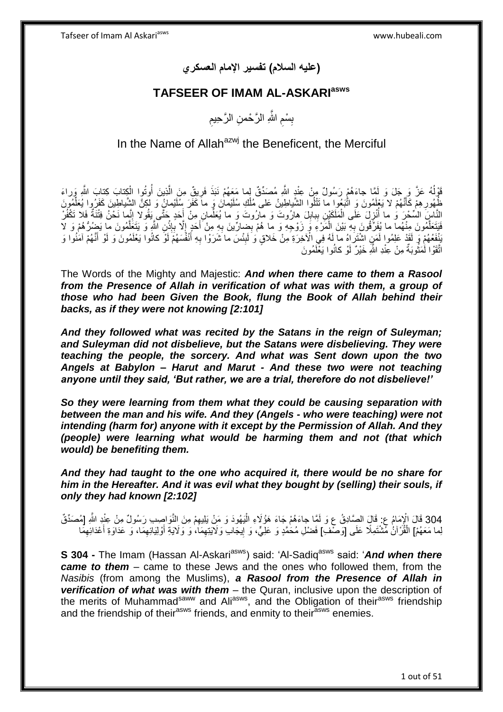**)عليه السالم( تفسير اإلمام العسكري**

# **TAFSEER OF IMAM AL-ASKARIasws**

ِ بِسْمِ اللَّهِ الرَّحْمنِ الرَّحِيمِ ِ ِ

# In the Name of Allah $a^{2}$  the Beneficent, the Merciful

قَوْلُهُ عَزَّ وَ جَلَ وَ لَمَّا جاءَهُمْ رَسُولٌ مِنْ عِنْدِ اللَّهِ مُصَدِّقٌ لِما مَعَهُمْ نَبَذَ فَرِيقٌ مِنَ الَّذِينَ أُوتُوا الْكِتابَ كِتابَ اللَّهِ وَراءَ ا<br>ا ْ ا<br>ا ه ِ ظُهُورِ هِمْ كَأَنَّهُمْ لا يَعْلِمُونَ وَ اتَّنَبُعُوا ما تَتْلُوا الشَّياطِينُ عَلى مُلْكِ سُلَيْمانَ وَ ماَ كَفَرَ سِلَيْمانُ وَ لَكِنَّ الشَّياطِينَ كَفَرُوا يُعَلِّمُونَ َ ِ ِّ ْ النَّاسِِ السِّحْرَ وَ ما أُنْزِلَ عَلَى الْمَلَكَيْنِ بِبابِلَ هِارُوتَ وَ مارُوتُ وَ ما يُعَلِّمانِ مِنْ أَحَدٍ حَتَّى يَقُولاً إِنَّمَا نَحْنُ فِتْنَةٌ فَلا تَكْفُرْ ِ َ ِّ ِ **∣** ْ ِ ِه ِم ْن ِضا ِّري َن ب َم ْر ِء َو َزْو ِج ِه َو ما ُه ْم ب ِه َبْي َن ال ُهما ما ُيَف ِّرقُو َن ب ُمو َن ِمنْ ُمو َن ما َي ُض ُّر ُه ْم َو َف ال َيَت َعل ِن هَّللاِ َو َيَت َعل ِذ إ هال ب َحٍد إ أ ِ ْ **∶** ه ه **ٔ** ِ  $\overline{\phantom{a}}$ َ َنْفَعُهُمْ وَ لَقَدْ عَلِمُوا لَمَنٍ اشْتَرَاهُ ما لَهُ فِي الْأخِرَةِ مِنْ خَلاقٍ وَ لَبِئْسَ ما شَرَوْا بِهِ أَنْفُسَهُمْ لَوْ كانُوا يَعْلَمُونَ وَ لَوْ أَنَّهُمْ آمَنُوا وَ َ ِ ِ َ لَ اتَّقَوْا لَٰمَثُوبَةٌ مِنْ عِنْدِ اللَّهِ خَيْرٌ لَوْ كانُوا يَغْلَمُونَ روبو<br>با

The Words of the Mighty and Majestic: *And when there came to them a Rasool from the Presence of Allah in verification of what was with them, a group of those who had been Given the Book, flung the Book of Allah behind their backs, as if they were not knowing [2:101]*

*And they followed what was recited by the Satans in the reign of Suleyman; and Suleyman did not disbelieve, but the Satans were disbelieving. They were teaching the people, the sorcery. And what was Sent down upon the two Angels at Babylon – Harut and Marut - And these two were not teaching anyone until they said, 'But rather, we are a trial, therefore do not disbelieve!'* 

*So they were learning from them what they could be causing separation with between the man and his wife. And they (Angels - who were teaching) were not intending (harm for) anyone with it except by the Permission of Allah. And they (people) were learning what would be harming them and not (that which would) be benefiting them.*

*And they had taught to the one who acquired it, there would be no share for him in the Hereafter. And it was evil what they bought by (selling) their souls, if only they had known [2:102]*

304 قَالَ الْإِمَامُ عِ: قَالَ الصَّادِقُ عِ وَ لَمَّا جاءَهُمْ جَاءَ هَؤُلَاءِ الْيَهُودَ وَ مَنْ يَلِيهِمْ مِنَ النَّوَاصِبِ رَسُولٌ مِنْ عِنْدِ اللَّهِ [مُصَدِّقٌ<br>1904 : مَا يُرْدَ إِنْ أَنْ يَقِيَّلُوا الصَّابِقُ عِ و ْ لِما مَعَهُمْ] الْقُرْآنُ مُشْتَمِلًا عَلَى [وَصْف)] فَضْلِ مُحَمَّدٍ وَ عَلِيٍّ، وَ إِيجَابِ وَلَايَتِهِمَا، وَ وَلَايَةِ أَوْلِيَائِهِمَا، وَ عَدَاوَةِ أَعْدَائِهِمَا ِ َ ِ <u>֖֚֓</u>ׇ֛֖֦֦֧֦֦֚֡֝֝ ِ َ

**S 304 -** The Imam (Hassan Al-Askari<sup>asws</sup>) said: 'Al-Sadiq<sup>asws</sup> said: 'And when there *came to them* – came to these Jews and the ones who followed them, from the *Nasibis* (from among the Muslims), *a Rasool from the Presence of Allah in verification of what was with them* – the Quran, inclusive upon the description of the merits of Muhammad<sup>saww</sup> and Ali<sup>asws</sup>, and the Obligation of their<sup>asws</sup> friendship and the friendship of their<sup>asws</sup> friends, and enmity to their<sup>asws</sup> enemies.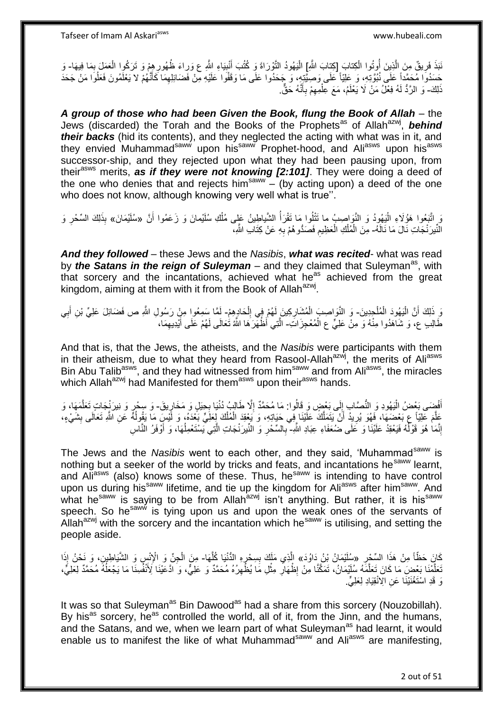نَبَذَ فَرِيقٌ مِنَ الَّذِينَ أُوتُوا الْكِتابَ [كِتابَ اللَّهِ] الْيَهُودُ التَّوْرَاةَ وَ كُتُبَ أَنْبِيَاءِ اللَّهِ عَ وَراءَ ظُهُورِهِمْ وَ تَرَكُوا الْعَمَلَ بِمَا فِيهَا- وَ ْ ِ<br>ُ ه ِ **!** َ ِ ِ ْ حَسَدُوا مُحَمَّداً عَلَى نُبُوَّتِهِ، وَ عَلِيّاً عَلَى وَصِيَّتِهِ، وَ جَحَدُوا عَلَى مَا وَقَفُوا عَلَيْهِ مِنْ فَضَائِلِهِمَا كَأَنَّهُمْ لا يَعْلَمُونَ فَعَلُوا مَنْ جَحَدَ َ ِ ُ ذَلِكَ- وَ الزَّدُّ لَهُ فِعْلُ مَنْ لَا يَعْلَمُ، مَعَ عِلْمِهِمْ بِأَنَّهُ حَقٌّ. َ **∶** ِ ْ

*A group of those who had been Given the Book, flung the Book of Allah* – the Jews (discarded) the Torah and the Books of the Prophets<sup>as</sup> of Allah<sup>azwj</sup>, behind *their backs* (hid its contents), and they neglected the acting with what was in it, and they envied Muhammad<sup>saww</sup> upon his<sup>saww</sup> Prophet-hood, and Ali<sup>asws</sup> upon his<sup>asws</sup> successor-ship, and they rejected upon what they had been pausing upon, from theirasws merits, *as if they were not knowing [2:101]*. They were doing a deed of the one who denies that and rejects him<sup>saww</sup>  $-$  (by acting upon) a deed of the one who does not know, although knowing very well what is true''.

رَ ٍ اتَّبَعُوا هَؤُلَاءِ الْيَهُوِدُ وَ النَّوَاصِبُ ما تَتْلُوا مَا تَقْرَأُ الشَّياطِينُ عَلِى مُلْكِ سُلَيْمانَ وَ زَعَمُوا أَنَّ «سُلَيْمَانَ» بِذَلِكَ السِّحْرِ وَ :<br>ا المناسبة المستشفى.<br>وفيات َ ِ النَّيرَنْجَاتِ نَالَ مَا نَالَهُ- مِنَ الْمُلْكِ الْعَظِيمِ فَصَدُّو هُمْ بِهِ عَنْ كِتَابِ اللَّهِ، ْ **∶** ِ

*And they followed* – these Jews and the *Nasibis*, *what was recited*- what was read by *the Satans in the reign of Suleyman* – and they claimed that Suleyman<sup>as</sup>, with that sorcery and the incantations, achieved what he<sup>as</sup> achieved from the great kingdom, aiming at them with it from the Book of Allah<sup>azwj</sup>.

وَ ذَلِكَ أَنَّ الْيَهُودَ الْمُلْجِدِينَ- وَ النَّوَاصِبَ الْمُشَارِكِينَ لَهُمْ فِي اِلْحَادِهِمْ- لَمَّا سَمِعُوا مِنْ رَسُولِ اللَّهِ ص فَضَائِلَ عَلِيٍّ بْنِ أَبِي ْ ْ :<br>ا ِ ْ ْ ِ ِ َ لَ طَّالِبِ عِ، وَ شَالَهُدُوا مِنْهُ وَ مِنْ عَلِيٍّ عِ الْمُعْجِزَاتِّ- اَلَّتِي أَظْهَّرَهَا اللَّهُ تُعَالَى لَهُمْ عَلَى أَيْدِيهِمَا، ْ َ ه

And that is, that the Jews, the atheists, and the *Nasibis* were participants with them in their atheism, due to what they heard from Rasool-Allah<sup>azwj</sup>, the merits of Ali<sup>asws</sup> Bin Abu Talib<sup>asws</sup>, and they had witnessed from him<sup>saww</sup> and from Ali<sup>asws</sup>, the miracles which Allah<sup>azwj</sup> had Manifested for them<sup>asws</sup> upon their<sup>asws</sup> hands.

أَفْضَى بَعْضُ الْيَهُودِ وَ النُّصَّابِ إِلَى بَعْضٍ وَ قَالُوا: مَا مُحَمَّدٌ إِلَّا طَالِبُ دُنْيَا بِحِيَلٍ وَ مَخَارٍيقَ- وَ سِحْرٍ وَ نِيرَنْجِدَاتٍ تَعَلَّمَهَا، وَ ∣∣<br>ِ :<br>ا ั้ง<br>เก **∶** ِ ه عَلَّمَ عَلِيَّاً عِ بَعْضَهَا، فَهُوَ يُرِيدُ أَنْ يَتَمَلَّكَ عَلَيْنَا فِي حَيَاتِهِ، وَ يَعْقِدَ الْمُلْكَ لِعَلِّيٍّ بَعْدَهُ، وَ لَيْسِ مَا يَقُولُهُ عَنِ اللَّهِ تَعَالَى بِشَيْءٍ،<br>.................................. اُ اً ِ ِ ا<br>ا ْ ْ إِنَّمَا هُوَ قَوْلُهُ فَيَعْقِدُ عَلَيْنَا وَ عَلَى ضُعَفَاءِ عِبَادِ اللَّهِ- بِالسِّحْرِ وَ النِّيرَنْجَاتِ الَّتِي يَسْتَعْمِلُهَا، وَ أَوْفَرُ النَّاسِ ُ ِ  $\overline{a}$ ه ِ **∶** َ

The Jews and the *Nasibis* went to each other, and they said, 'Muhammad<sup>saww</sup> is nothing but a seeker of the world by tricks and feats, and incantations he<sup>saww</sup> learnt, and  $AI<sub>i</sub><sup>asws</sup>$  (also) knows some of these. Thus, he<sup>saww</sup> is intending to have control upon us during his<sup>saww</sup> lifetime, and tie up the kingdom for Aliasws after him<sup>saww</sup>. And what he<sup>saww</sup> is saying to be from Allah<sup>azwj</sup> isn't anything. But rather, it is his<sup>saww</sup> what he<sup>saww</sup> speech. So he<sup>saww</sup> is tying upon us and upon the weak ones of the servants of Allah<sup>azwj</sup> with the sorcery and the incantation which he<sup>saww</sup> is utilising, and setting the people aside.

ِ كَانَ حَظَّاً مِنْ هَذَا السِّحْرِ «سُلَّئِمَانُ بِْنُ دَاوُدَ» الَّذِي مَلَكَ بِسِحْرٍهِ الدُّنْيَا كُلَّهَا- مِنَ الْجِنِّ وَ الْإِنْسِ وَ الشَّيَاطِينِ، وَ نَحْنُ إِذَا ¦ ِ ه ه ْ ْ َعَلَّمْنَا بَعْضَ مَا كَانَ تَعَلَّمَهُ سُلَيْمَانُ، تَمَكَّنَا مِنْ إِظْهَارِ مِثْلِ مَا يُظْهِرُهُ مُحَمَّدٌ وَ عَلِيٌّ، وَ اَدَعَيْنَا لَانْفُسِنَا مَا يَجْعَلُهُ مُحَمَّدٌ لِعَلِيُّ، ه ه ُ ِ ْ **∶** ِ وَ قَدِ اسْتَغْنَيْنَا عَنِ الِانْقِيَادِ لِعَلِيٍّ.

It was so that Suleyman<sup>as</sup> Bin Dawood<sup>as</sup> had a share from this sorcery (Nouzobillah). By his<sup>as</sup> sorcery, he<sup>as</sup> controlled the world, all of it, from the Jinn, and the humans, and the Satans, and we, when we learn part of what Suleyman<sup>as</sup> had learnt, it would enable us to manifest the like of what Muhammad<sup>saww</sup> and Ali<sup>asws</sup> are manifesting,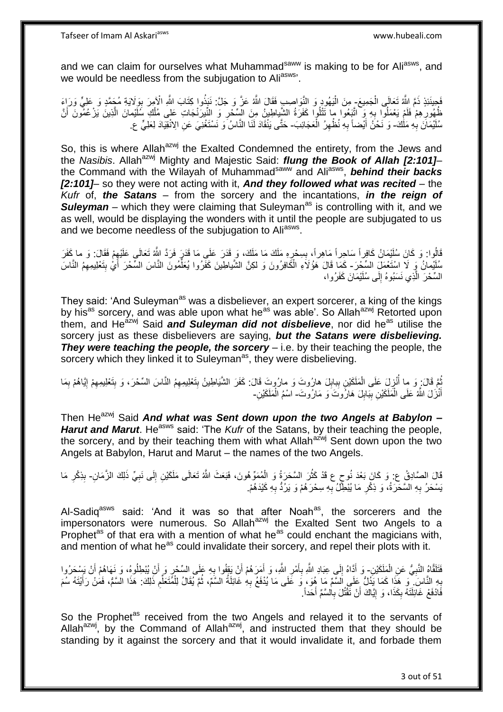and we can claim for ourselves what Muhammad<sup>saww</sup> is making to be for Ali<sup>asws</sup>, and we would be needless from the subjugation to Aliasws'.

فَجِينَئِذٍ ذَمَّ اللَّهُ تَعَالَى الْجَمِيعَ- مِنَ الْيَهُودِ وَ النَّوَاصِبِ فَقَالَ اللَّهُ عَنَّ وَ جَلَّ: نَبَذُوا كِتَابَ اللَّهِ الْأَمِرَ بِوَلَايَةِ مُجَمَّدٍ وَ عَلِيٍّ وَرَبِاءَ ْ ِ ظُهُورِ هِمْ فَلَمْ يَعْمَلُوا بِهِ وَ اتَّبَعُوا مِا تَتْلُوا كَفَرَةُ الشَّياطِينُ مِنَ الْسِّخْرِ وَ النَّيرَنْجَاتِ عَلى مُلْكِ سُلَّيْمانَ الَّذِينَ يَزْعُمُونَ أَنَّ ¦<br>∶ ِ ِ َ ه سُلَيْمَانَ بِهِ مَلْكَ- وَ نَحْنُ أَيْضاً بِهِ نُظْهِرُ الْعَجَائِبَ- حَتَّى يَنْقَادَ لَنَا النَّاسُ وَ نَسْتَغْنِيَ عَنِ الِانْقِيَادَ لِعَلِيٍّ ع **∶** ْ ِ ِ َ

So, this is where Allah<sup>azwj</sup> the Exalted Condemned the entirety, from the Jews and the *Nasibis*. Allah<sup>azwj</sup> Mighty and Majestic Said: *flung the Book of Allah [2:101]*– the Command with the Wilayah of Muhammad<sup>saww</sup> and Ali<sup>asws</sup>, behind their backs *[2:101]*– so they were not acting with it, *And they followed what was recited* – the *Kufr* of, *the Satans* – from the sorcery and the incantations, *in the reign of*  **Suleyman** – which they were claiming that Suleyman<sup>as</sup> is controlling with it, and we as well, would be displaying the wonders with it until the people are subjugated to us and we become needless of the subjugation to Ali<sup>asws</sup>.

قَالُوا: وَ كَانَ سُلَيْمَانُ كَافِراً سَاحِراً مَاهِراً، بِسِحْرٍهِ مَلَكَ مَا مَلَكَ، وَ قَدَرَ عَلَى مَا قَدَرَ فَرَدَّ اللَّهُ تَعَالَى عَلَيْهِمْ فَقَالَ: وَ ما كَفَرَ ِ **∣** ِ لْمَلَئِيمانُ وَ لَا اسْتَعْمَلَ السِّجْرَ- كَمَا قَالَ هَؤُلَاءِ الْكَافِرُونَ وَ لكِنَّ الشَّياطِينَ كَفَرُوا يُعَلَّمُونَ النَّاسَ السِّحْرَ أَيْ بِتَعْلِيمِهِمُ النَّاسَ ْ ِ َ ِّ السِّحْرَ الَّذِي نَسَبُوهُ إِلَى سُلَيْمَانَ كَفَرُوا،  $\frac{1}{2}$ 

They said: 'And Suleyman<sup>as</sup> was a disbeliever, an expert sorcerer, a king of the kings by his<sup>as</sup> sorcery, and was able upon what he<sup>as</sup> was able'. So Allah<sup>azwj</sup> Retorted upon them, and He<sup>azwj</sup> Said *and Suleyman did not disbelieve*, nor did he<sup>as</sup> utilise the sorcery just as these disbelievers are saying, *but the Satans were disbelieving. They were teaching the people, the sorcery* – i.e. by their teaching the people, the sorcery which they linked it to Suleyman<sup>as</sup>, they were disbelieving.

مُّةً قَالَ ٍ وَ ما أُنْزِلَ عَلَى الْمَلَكَيْنِ بِبِابِلَ هارُوتَ وَ مارُوتَ قَالَ: كَفَرَ الشَّيَاطِينُ بِتَعْلِيمِهِمْ النَّاسَ السِّحْرَ، وَ بِتَعْلِيمِهِمْ الْقَالَةُ بِمَا بِمَاهُمْ بِمَا ِ **∣** ْ ِ ا<br>ا ِ ِ **∶** ון<br>≀ ِ ِ أَنْزَلَ اللَّهُ عَلَى الْمَلَكَيْنِ بِبَابِلَ هَارُوتَ َوَ مَارُوتَ- اسْمُ الْمَلَكَيْنِ-**! ∣** ا<br>ا َ ْ

Then He<sup>azwj</sup> Said *And what was Sent down upon the two Angels at Babylon – Harut and Marut*. He<sup>asws</sup> said: 'The *Kufr* of the Satans, by their teaching the people, the sorcery, and by their teaching them with what Allah<sup>azwj</sup> Sent down upon the two Angels at Babylon, Harut and Marut – the names of the two Angels.

قَالَ الصَّادِقُ ع: وَ كَانَ بَعْدَ نُوحٍ ع قَدْ كَثُرَ السَّحَرَةُ وَ الْمُمَوِّهُونَ، فَبَعَثَ اللَّهُ تَعَالَى مَلَكَيْنِ إِلَى نَبِيِّ ذَلِكَ الزَّمَا*نِ*- بِذِكْرِ مَا<br>وورد اللہ اللہ اللہ عنہ اللہ عنہ اللہ عنہ اللہ ع ْ ان<br>سالات ِ ِ ِ ِ يَسْحَرُ بِهِ السَّحَرَةُ، وَ ذِكْرِ مَا يُبْطِّلُ بِهِ سِحْرَهُمْ وَ يَرُدُّ بِهِ كَيْدَهُمْ. ِ ِ ِ ِ

Al-Sadiq<sup>asws</sup> said: 'And it was so that after Noah<sup>as</sup>, the sorcerers and the impersonators were numerous. So Allah<sup>azwj</sup> the Exalted Sent two Angels to a Prophet<sup>as</sup> of that era with a mention of what he<sup>as</sup> could enchant the magicians with, and mention of what he<sup>as</sup> could invalidate their sorcery, and repel their plots with it.

فَتَلَقَّاهُ النَّبِيُّ عَنِ الْمَلَكَيْنِ- وَ أَدَّاهُ إِلَي عِبَادِ اللَّهِ بِأَمْرِ اللَّهِ، وَ أَمَرَهُمْ أَنْ يَقُووا بِهِ عَلَى السَّحْرِ وَ أَنْ يُبْطِلُوهُ، وَ نَهَاهُمْ أَنْ يَسْحَرُوا ْ ِ ِ اُ ِ  $\frac{1}{2}$ َ َ اُ ֦֧֦֧ ِ َ َ بِهِ النَّاسَ ۚ وَ هَذَا كَمَا يَذُلُّ عَلَى اَلسَّمِّ مَا هُوَ، وَ عَلَى مَا يُذْفَعُ بِهِ غَائِلَةُ السَّمَّ، ثُمَّ يُقَالُ لِلْمُتَعَلِّمِ ذَلِكَ: هَذَا السَّمُّ، فَمَنْ رَأَيْتَهُ سُمَ **∶** ِ ِّ ْ ُ ِ َ فَادْفَعْ غَائِلَتَهُ بِكَذَا، وَ إِيَّاكَ أَنْ تَقْتُلَ بِالسَّمِّ أَحَداً. َ **∶** َ ِ ِ

So the Prophet<sup>as</sup> received from the two Angels and relayed it to the servants of Allah<sup>azwj</sup>, by the Command of Allah<sup>azwj</sup>, and instructed them that they should be standing by it against the sorcery and that it would invalidate it, and forbade them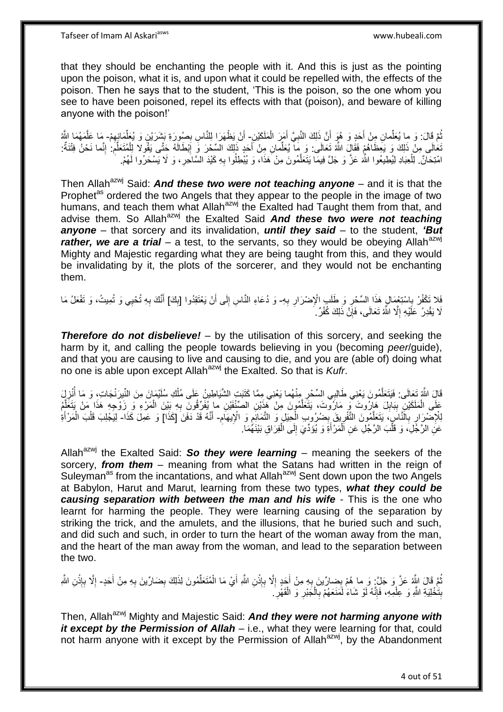that they should be enchanting the people with it. And this is just as the pointing upon the poison, what it is, and upon what it could be repelled with, the effects of the poison. Then he says that to the student, 'This is the poison, so the one whom you see to have been poisoned, repel its effects with that (poison), and beware of killing anyone with the poison!'

ثُمَّ قَالَ: وَ ما يُعَلِّمانِ مِنْ أَخَدٍ وَ هُوَ أَنَّ ذَلِكَ النَّبِيَّ أَمَرَ الْمَلَكَيْنِ- أَنْ يَظْهَرَا لِلنَّاسِ بِصُورَةِ بَشَرَيْنٍ وَ يُعَلِّمَانِهِمْ- مَا عَلَّمَهُمَا اللَّهُ ِّ ُ ْ َ **∶** ِ ِّ ِ َ ه تَعَالَى مِنْ ذَلِكَ وَ يَعِظَاهُمْ فَقَالٍَ اللَّهُ تَعَالَى: وَ مَا يُعَلِّمانِ مِنْ أَجَدٍ ذَلِكَ السِّحْرَ وَ إِبْطَالَهُ حَتَّى يَقُولا لِلْمُتَعَلِّمِ ۚ إِنَّما نَحْنُ فِتْتَةٌ: َ ِ ِ ِ ِّ ْ امْتِحَانٌ. لِلْعِبَادِ لِيُطِيعُوا اللَّهَ عَزَّ وَ جَلَّ فِيمَا يَتَعَلَّمُونَ مِنْ هَذَا، وَ يُبْطِلُوا بِهِ كَيْدَ السَّاحَرِ، وَ لَا يَسْحَرُوا لَهُمْ. ِ ه **ٍ** 

Then Allah<sup>azwj</sup> Said: **And these two were not teaching anyone** – and it is that the Prophet<sup>as</sup> ordered the two Angels that they appear to the people in the image of two humans, and teach them what Allah<sup>azwj</sup> the Exalted had Taught them from that, and advise them. So Allah<sup>azwj</sup> the Exalted Said **And these two were not teaching** *anyone* – that sorcery and its invalidation, *until they said* – to the student, *'But rather, we are a trial* – a test, to the servants, so they would be obeying Allah<sup>azwj</sup> Mighty and Majestic regarding what they are being taught from this, and they would be invalidating by it, the plots of the sorcerer, and they would not be enchanting them.

فَلا تُكْفُرْ بِاسْتِغْمَالٍ هَذَا السِّحْرِ وَ طَلَبٍ الْإِصْرَارِ بِهِ- وَ دُعَاءِ النَّاسِ إِلَى أَنْ يَعْتَقِدُوا [بِكَ] أَنَّكَ بِهِ تُحْيِي وَ تُمِيتُ، وَ تَفْعَلُ مَا<br>نَبِينَ تُجْفُرْ بِاسْتِغْمَالٍ هَذَا السِّحْرِ ِ **∶ ∶** ِ ِ َ ∣∣<br>∶ **∶** َ لَا يَقْدِرُ عَلَيْهِ إِلَّا اللَّهُ تَعَالَى، فَإِنَّ ذَلِكَ كُفْرٌ . ِ ِ

*Therefore do not disbelieve!* – by the utilisation of this sorcery, and seeking the harm by it, and calling the people towards believing in you (becoming *peer*/guide), and that you are causing to live and causing to die, and you are (able of) doing what no one is able upon except Allahazwj the Exalted. So that is *Kufr*.

قَالَ اللَّهُ تَعَالَى: فَيَتَعَلَّمُونَ يَعْنِي طَالِبِي السِّحْرِ مِنْهُما يَعْنِي مِمَّا كَتَبَتِ الشَّيَاطِينُ عَلَى مُلْكِ سُلَيْمِانَ مِنَ النِّبِرَنْجَاتِ، وَ مَا أُنْزِلِيَ ه ¦ ِ ُ ْ ِمَا الْمَلَكَيْنِ بِبَابِلَ هَارُوتَ ۖ وَ مَارُوتَ، يَتَعَلَّمُونَ مِنْ هَذَيْنِ الصِّنْفَيْنِ ما يُفَرِّقُونَ بِهِ بَيْنَ الْمَرْءِ وَ زَوْجِهِ هَذَا مَنْ يَتَغَلَّمُ ه **! ∣** ْ ْ ِ ه ِ لِلْإِصْرَارِ بِالْنَّاسِِ، يَتَعَلَّمُونَ التَّفْرِيقَ بِصُرُوبِ الْحِيَلِ وَ النَّفَائِعِ وَ الْإِيهَامِ- أَنَّهُ قَدْ دَفَنَ [كَذَا] وَ عَمِلَ كَذَا- لِيَجْلِبَ قَلْبَ الْمَرْأَةِ ِ ْ ِ ِ ه ِ **∶** َ َ ْ ْ عَنِ الرَّجُلِ، وَ قَلْبَ الرَّجُلِ عَنِ الْمَرْأَةِ وَ يُؤَدِّيَ إِلَى الْفِرَاقِ بَيْنَهُمَا. ْ ْ ْ ِ َ

Allah<sup>azwj</sup> the Exalted Said: So they were learning – meaning the seekers of the sorcery, *from them* – meaning from what the Satans had written in the reign of Suleyman<sup>as</sup> from the incantations, and what Allah<sup>azwj</sup> Sent down upon the two Angels at Babylon, Harut and Marut, learning from these two types, *what they could be causing separation with between the man and his wife* - This is the one who learnt for harming the people. They were learning causing of the separation by striking the trick, and the amulets, and the illusions, that he buried such and such, and did such and such, in order to turn the heart of the woman away from the man, and the heart of the man away from the woman, and lead to the separation between the two.

ثُمَّ قَالَ اللَّهُ عَزَّ وَ جَلَّ: وَ ما هُمْ بِضِارِّينَ بِهِ مِنْ أَجَدٍ إِلَّا بِإِنْنِ اللَّهِ أَيْ مَا الْمُتَعَلِّمُونَ لِذَلِكَ بِضَارِّينَ بِهِ مِنْ أَحَدٍ- إِلَّا بِإِنْنِ اللَّهِ ْ ِ ِ َ **∶** َ ِ ِ ِّ ْ َ **ٔ ∶** ِ بِتَّخْلِيَةِ اللَّهِ وَ عِلْمِهِ، فَإِنَّهُ لَوْ شَاءَ لَمَنَعَهُمْ بِالْجَبْرِ وَ الْقَهْرِ َ ِ ْ **ِ** ِ ْ **∶** ْ **∶** 

Then, Allah<sup>azwj</sup> Mighty and Majestic Said: **And they were not harming anyone with** *it except by the Permission of Allah* – i.e., what they were learning for that, could not harm anyone with it except by the Permission of Allah<sup>azwj</sup>, by the Abandonment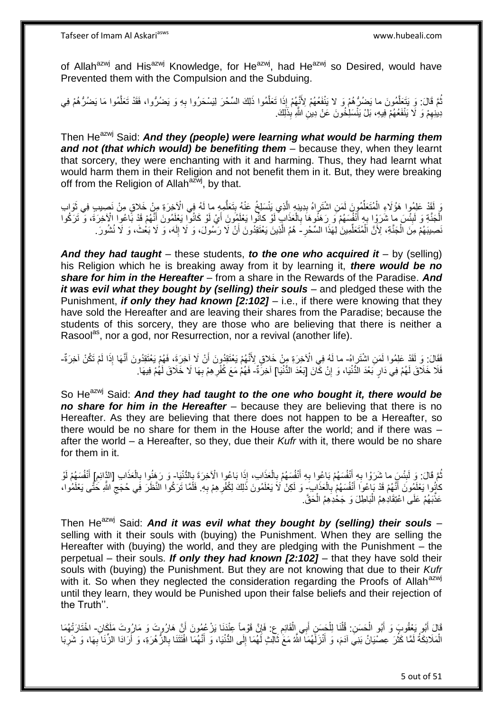of Allah<sup>azwj</sup> and His<sup>azwj</sup> Knowledge, for He<sup>azwj</sup>, had He<sup>azwj</sup> so Desired, would have Prevented them with the Compulsion and the Subduing.

نُمَّ قَالَ: وَ يَتَعَلَّمُونَ ما يَضُرُّهُمْ وَ لا يَنْفَعُهُمْ لِأَنَّهُمْ إِذَا تَعَلَّمُوا ذَلِكَ السِّحْرَ لِيَسْحَرُوا بِهِ وَ يَضُرُّوا، فَقَدْ تَعَلَّمُوا مَا يَضُرُّهُمْ فِي ه ه ِ ه دِينِهِمْ وَ لَا يَنْفَعُهُمْ فِيهِ، بَلْ يَنْسَلِٰخُونَ عَنْ دِينِ اللَّهِ بِذَلِكَ. ِ

Then He<sup>azwj</sup> Said: **And they (people) were learning what would be harming them** *and not (that which would) be benefiting them* – because they, when they learnt that sorcery, they were enchanting with it and harming. Thus, they had learnt what would harm them in their Religion and not benefit them in it. But, they were breaking off from the Religion of Allah $a^{2\bar{x}w}$ , by that.

رَ لَقَدْ عَلِمُوا هَؤُلَاءِ الْمُتَعَلِّمُونَ لَمَنِ اشْتَراهُ بِدِينِهِ الَّذِي يَنْسَلِخُ عَنْهُ بِتَعَلَّمِهِ ما لَهُ فِي الْآخِرَةِ مِنْ خَلاقٍ مِنْ نَصِيبِ فِي ثَوَابِ ِّ ْ **ِ** ُّ ! ه الْجَنَّةِ وَ لَبِئْسَ مِا شَرَوْا بِهِ أَنْفُسَهُمْ وَ رَهَنُوهَا بِالْعَذَابِ لَوْ كانُوا يَعْلَمُونَ أَيْ لَوْ كَانُوا يَعْلَمُونَ أَنَّهُمْ قَدْ بََاعُوا الْإَخِرَةَ، وَ تَرَكُوا **ِ ∶** ْ ِ َ َ ِ َضِيبَهُمْ مِنَ الْجَنَّةِ، لِأَنَّ اَلْمُتَعَلِّمِينَ ٰلِهَذَا السَّحْرِ –َ هُمُ الَّذِينَ يَعْتَقِدُونَ أَنْ لَا رَسُولَ، وَ لَا إِلَهَ، وَ لَا بَعْثَ، وَ لَا نُشُورَ ۖ ِّ ْ ْ َ ه لَ ∣∣<br>ِ

*And they had taught* – these students, *to the one who acquired it* – by (selling) his Religion which he is breaking away from it by learning it, *there would be no share for him in the Hereafter* – from a share in the Rewards of the Paradise. *And it was evil what they bought by (selling) their souls* – and pledged these with the Punishment, *if only they had known [2:102]* – i.e., if there were knowing that they have sold the Hereafter and are leaving their shares from the Paradise; because the students of this sorcery, they are those who are believing that there is neither a Rasool<sup>as</sup>, nor a god, nor Resurrection, nor a revival (another life).

فَقَالَ: وَ لَقَدْ عَلِمُوا لَمَنِ اشْتَرِاهُ- ما لَهُ فِي الْآخِرَةِ مِنْ خَلاقٍ لِأَنَّهُمْ يَعْتَقِدُونَ أَنْ لَا آخِرَةً، فَهُمْ يَعْتَقِدُونَ أَنَّهَا إِذَا لَمْ تَكُنْ آخِرَةٌ-َ اُ َ فَلَا خَلَاقَ لَهُمْ فِي دَارٍ بَعْدَ الدُّنْيَا، وَ إِنْ كَّانَ [بَعْدَ الدُّنْيَا] آخِرَّةٌ- فَهُمْ مَعَ كُفْرِهِمْ بِهَا لَا خَلَاقَ لَهُمْ فِيهَا. יֲ<br>י ِ ِ

So He<sup>azwj</sup> Said: And they had taught to the one who bought it, there would be *no share for him in the Hereafter* – because they are believing that there is no Hereafter. As they are believing that there does not happen to be a Hereafter, so there would be no share for them in the House after the world; and if there was – after the world – a Hereafter, so they, due their *Kufr* with it, there would be no share for them in it.

نُمَّ قَالَ: وَ لَبِئْسٍ ما شَرَوْا بِهِ أَنْفُسَهُمْ بَإِعُوا بِهِ أَنْفُسِهُمْ بِالْعَذَابِ، إِذَا بَاعُوا الْآخِرَةَ بِالْدُّنْيَا- وَ رَهَنُوا بِالْعَذَابِ [الدَّائِمِ] أَنْفُسَهُمْ لَوْ اً<br>ا ِ ِ ُ **∶** ْ ِ َ ِ ِ ْ **∶** لَ كانُوا يَعْلَمُونَ أَنَّهُمْ قَدْ بَاْعُوا أَنْفُسَهُمْ بِالْعَذَابِ وَ لَكِنْ لَاَ يَعْلَمُونَ ذَٰلِكَ لِكُفْرِهِمْ بِهِ ۖ فَلَمَّا تَرَكُوا النَّظَلَ فِي حُجَج اللَّهِ خَتَّى يَعْلَمُوا، ْ ِ َ **∶** ِ ِ عَذَّبَهُمْ عَلَى اعْتِقَادِهِمُ الْبَاطِلَ وَ جَحْدِهِمُ الْحَقَّ ه ْ :<br>ا

Then He<sup>azwj</sup> Said: And it was evil what they bought by (selling) their souls selling with it their souls with (buying) the Punishment. When they are selling the Hereafter with (buying) the world, and they are pledging with the Punishment – the perpetual – their souls. *If only they had known [2:102]* – that they have sold their souls with (buying) the Punishment. But they are not knowing that due to their *Kufr* with it. So when they neglected the consideration regarding the Proofs of Allah<sup>azwj</sup> until they learn, they would be Punished upon their false beliefs and their rejection of the Truth''.

قَالَ أَبُو يَعْقُوبَ وَ أَبُو الْحَسَنِ. قُلْنَا لِلْحَسَنِ أَبِي الْقَائِمِ عِ. فَإِنَّ قَوْماً عِنْدَنَا يَزْعُمُونَ أَنَّ هَارُوتَ وَ مَارُوتَ مَلَكَانِ- اخْتَارَتْهُمَا<br>نَارَيْنَ وَيُوتَوُبُونَ فَيُرِي وَ الْمَرْضِ ف ْ َ َ َ اِ ْ َ ْ ْ الْمَلَائِكَةُ لَمَّا كَثُرَ عِصْيَانُ بَنِيَ آدَمَ، وَ أَنْزَلَهُمَا الَّلَّهُ مَعَ ثَالِثٍ لَهُمَا إِلَى الدُّنْيَا، وَ أَنَّهُمَا افْتَتَنَا بِالزُّهُرَةِ، وَ أَرَادَا الزِّنَا بِهَا، وَ شَرِبَا َ ِ َ َ روبو<br>1 لَ ْ ِ ِ أ ِ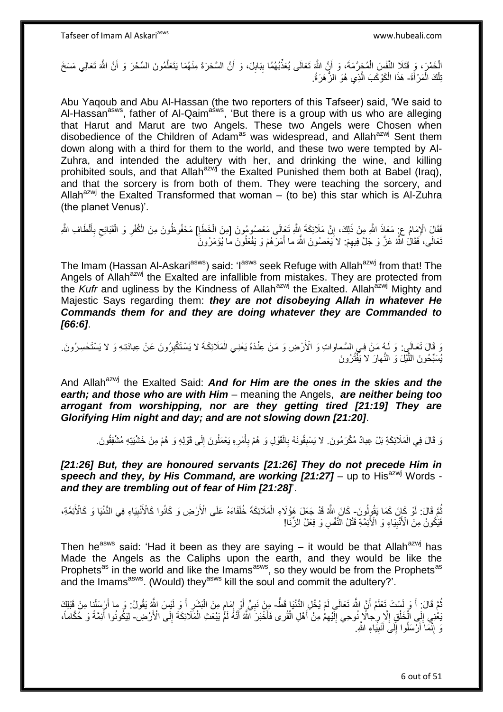الْخَمْرَ، وَ قَتَلَا النَّفْسَ الْمُجَرَّمَةَ، وَ أَنَّ اللَّهَ تَعَالَى يُعَذِّبُهُمُا بِبَابِلَ، وَ أَنَّ السَّحَرَةَ مِنْهُمَا يَتَعَلَّمُونَ السِّحْرَ وَ أَنَّ اللَّهَ تَعَالِي مَسَخَ َ ِ ِ َ ْ َ ه تِلْكَ الْمَرْأَةَ- هَذَا الْكَوْكَبَ الَّذِي هُوَ الزُّهَرَةُ. َ ْ ْ ه ْ

Abu Yaqoub and Abu Al-Hassan (the two reporters of this Tafseer) said, 'We said to Al-Hassan<sup>asws</sup>, father of Al-Qaim<sup>asws</sup>, 'But there is a group with us who are alleging that Harut and Marut are two Angels. These two Angels were Chosen when disobedience of the Children of Adam<sup>as</sup> was widespread, and Allah<sup>azwj</sup> Sent them down along with a third for them to the world, and these two were tempted by Al-Zuhra, and intended the adultery with her, and drinking the wine, and killing prohibited souls, and that Allah<sup>azwj</sup> the Exalted Punished them both at Babel (Iraq), and that the sorcery is from both of them. They were teaching the sorcery, and Allah<sup>azwj</sup> the Exalted Transformed that woman – (to be) this star which is Al-Zuhra (the planet Venus)'.

فَقَالَ الْإِمَامُ عِزْ مَعَاذَ اللَّهِ مِنْ ذَلِكَ، إِنَّ مَلَائِكَةَ إِلَّهِ تَعَالَى مَعْصُومُونَ [مِنَ الْخَطَإِ] مَحْفُوظُونَ مِنَ الْكُفْرِ وَ الْقَبَائِحِ بِأَلْطَافِ اللَّهِ اِ ْ ِ اً<br>أ ِ ِ ْ ِ نَعَالَى، فَقَالُ اللَّهُ عَزَّ وَ جَلَّ فِيهِمْ: لاَ يَعْصُونَ اللَّهَ ما أَمَرَهُمْ وَ يَفْعَلُونَ مَّا يُؤْمَرُونَ ِ ُ َ

The Imam (Hassan Al-Askari<sup>asws</sup>) said: 'I<sup>asws</sup> seek Refuge with Allah<sup>azwj</sup> from that! The Angels of Allah<sup>azwj</sup> the Exalted are infallible from mistakes. They are protected from the *Kufr* and ugliness by the Kindness of Allah<sup>azwj</sup> the Exalted. Allah<sup>azwj</sup> Mighty and Majestic Says regarding them: *they are not disobeying Allah in whatever He Commands them for and they are doing whatever they are Commanded to [66:6]*.

وَ قَالَ تَعَالَمِي: وَ لَـهِ مَنْ فِـي السَّماواتِ وَ الْأَرْضِ وَ مَنْ عِنْدَهُ يَعْنِي الْمَلَائِكَةَ لا يَسْتَكْبِرُونَ عَنْ عِبادَتِهِ وَ لا يَسْتَحْسِرُونَ. ِ ْ يُسَبِّحُونَ اللَّيْلَ وَ النَّهارَ لا يَفْتُرُونَ ه

And Allah<sup>azwj</sup> the Exalted Said: **And for Him are the ones in the skies and the** *earth; and those who are with Him* – meaning the Angels, *are neither being too arrogant from worshipping, nor are they getting tired [21:19] They are Glorifying Him night and day; and are not slowing down [21:20]*.

ْ رَ قَالَ فِي الْمَلَائِكَةِ بَلْ عِبادٌ مُكْرَمُونَ. لا يَسْبِقُونَهُ بِالْقَوْلِ وَ هُمْ بِأَمْرِهِ يَعْمَلُونَ إِلَى قَوْلِهِ وَ هُمْ مِنْ خَشْيَتِهِ مُشْفِقُونَ. ُ ِ َ ِ ْ ِ **∣** ِ

[21:26] But, they are honoured servants [21:26] They do not precede Him in speech and they, by His Command, are working [21:27] - up to His<sup>azwj</sup> Words *and they are trembling out of fear of Him [21:28]*'.

ثُمَّ قَالَ: لَوْ كَانَ كَمَا يَقُولُونَ- كَانَ اللَّهُ قَدْ جَعَلَ هَؤُلَاءِ الْمَلَائِكَةَ خُلَفَاءَهُ عَلَى الْأَرْضِ وَ كَانُوا كَالْأَنْبِيَاءِ فِي الدُّنْيَا وَ كَالْأَئِمَّةِ، ِ ْ فَيَكُونُ مِنَ الْأَنْبِيَاءِ وَ الْأَئِمَّةِ قَتْلُ النَّفْسِ وَ فِعْلُ الزِّنَا! **!** 

Then he<sup>asws</sup> said: 'Had it been as they are saying – it would be that Allah<sup>azwj</sup> has Made the Angels as the Caliphs upon the earth, and they would be like the Prophets<sup>as</sup> in the world and like the Imams<sup>asws</sup>, so they would be from the Prophets<sup>as</sup> and the Imams<sup>asws</sup>. (Would) they<sup>asws</sup> kill the soul and commit the adultery?'.

نُمَّ قَالَ: أَ وَ لَسْتَ تَعْلَمُ أَنَّ اللَّهَ تَعَالَى لَمْ يُخْلِ الدُّنْيَا قَطُّ- مِنْ نَبِيٍّ أَوْ إِمَامٍ مِنَ الْبَشَرِ أَ وَ لَيْسَ اللَّهُ يَقُولُ: وَ ما أَرْسَلْنِا مِنْ قَبْلِكَ َ ُ َ ِ ْ ֧֖֖֖֧֧֖֧֧֧֧֧ׅ֧֧֧֧֧֚֚֚֚֓֝֝֝֝֟֓֟֓֝֬֝֓֝֓֝֬֟֓֟֓֟֓֟֓֝֬֝֬֝֓֝֬֜֓֝֬֝֓֝֬֝֬֝  $\frac{1}{2}$ اُ ِ ْ َ يَعْنِي إِلَى الْخَلْقِ إِلَا رِجالًا زُوحِي إِلَيْهِمْ مِنْ أَهْلِ الْقُرى فَأَخْبَرَ اللَّهُ أَنَّهُ لَمَّ يَبْعَثِ الْمَلَائِكَةَ إِلَى الْأَرْضِ- لِيَكُونُوا أَئِمَّةً وَ حُكَّاماً، ْ ْ י<br>י ْ َ ِ لَ  $\frac{1}{2}$ ِ ْ َ ِ َ وَ إِنَّمَا َأَرْسَلُوا إِلَى أَنْبِيَاءِ اللَّهِ ِ اً<br>ا ֧֖֦֧ׅ֧ׅ֧ׅ֚֚֚֚֚֚֚֚֚֚֚֚֚֚֚֚֬֝֡֡֘֝֜֡֝֩֡֟֓֡֝֩ َ ֺ֧֖ׅ֧ׅ֧֧֚֚֚֚֚֚֚֚֚֚֚֚֚֚֝֝֬֓֡֡֓֡֟֡֡֡֡֡֡֬֓֡֟֓֡֟֓֡֟֓֡֡֡֬֩֓֓֩

6 out of 51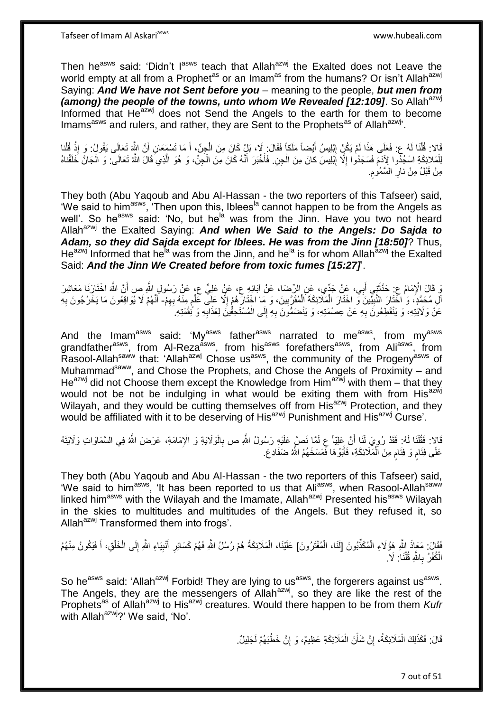Tafseer of Imam Al Askariasws www.hubeali.com

Then he<sup>asws</sup> said: 'Didn't I<sup>asws</sup> teach that Allah<sup>azwj</sup> the Exalted does not Leave the world empty at all from a Prophet<sup>as</sup> or an Imam<sup>as</sup> from the humans? Or isn't Allah<sup>azwj</sup> Saying: *And We have not Sent before you* – meaning to the people, *but men from (among) the people of the towns, unto whom We Revealed [12:109]*. So Allah<sup>azwj</sup> Informed that Heazwj does not Send the Angels to the earth for them to become Imams<sup>asws</sup> and rulers, and rather, they are Sent to the Prophets<sup>as</sup> of Allah<sup>azwj</sup>.

َمَا تَسْمَعَانِ أَنَّ الْمَ يَكُنُّ إِبْلِيسُ أَيْضاً مَلَكاً فَقَالَ: لَا، بَلْ كَانَ مِنَ الْجِنِّ، أَ مَا تَسْمَعَانِ أَنَّ اللَّهِ تَعَالَى يَقُولُ: وَ إِذْ قُلْنا<br>أَمَا تَسْمَعَانِ أَنَّ اللَّهِ تَعَلَى هَذَا لَمْ يَ َ ْ َ יִין<br>: ْ َ ْ **ٔ** لِلْمَلائِكَةِ اسْجُدُوا لِأَدَمَ فَسَجَدُوا إِلَّا إِبْلِيسَ كانَ مِنَ الْجِنِ. فَأَخْبَرَ أَنَّهُ كَانَ مِنَ الْجِنِّ، وَ هُوَ الَّذِي َقَالَ اللَّهُ تَعَالَى ۖ وَ الْجَانَّ خَلَقْناهُ ْ ِ ِ ْ ه ْ َ َ ْ **ُ** مِنْ قَبْلُ مِنْ نارِ السَّمُومِ ِ

They both (Abu Yaqoub and Abu Al-Hassan - the two reporters of this Tafseer) said, 'We said to him<sup>asws</sup>, 'Then upon this, Iblees<sup>la</sup> cannot happen to be from the Angels as well'. So he<sup>asws</sup> said: 'No, but he<sup>la</sup> was from the Jinn. Have you two not heard Allah<sup>azwj</sup> the Exalted Saying: **And when We Said to the Angels: Do Saida to** *Adam, so they did Sajda except for Iblees. He was from the Jinn [18:50]*? Thus, He<sup>azwj</sup> Informed that he<sup>la</sup> was from the Jinn, and he<sup>la</sup> is for whom Allah<sup>azwj</sup> the Exalted Said: *And the Jinn We Created before from toxic fumes [15:27]*'.

يَ قَالَ الْإِمَامُ عِ حَدَّثَنِي أَبِي، عَنْ جَدِّي، عَنِ الرِّضا، عَنْ آبَائِهِ عِ، عَنْ عَلِيٍّ عِ، عَنْ رَسُولِ اللَّهِ صِ أَنَّ اللَّهَ اخْتَارَنَا مَعَاشِرَ َ ٌٔ ب َ اْلِ مُحَمَّدٍ، وَ اخْتَارَ النَّبِيِّينَ وَ اخْتَارَ الْمَلَائِكَةَ اَلْمُقَرَّبِينَ، وَ مَا اخْتَارَهُمْ إِلَّا عَلِّي كَلْمٍ مِنْهُ بِهِمْ- أَنَّهُمْ لَا يُوَاقِعُونَ مَا يَخْرُجُونَ بِهِ ِ ْ ْ **!** ِ ֧֖֧֖֖֖֖֖֧֧֖֧֧֧֧ׅ֧֧֧֚֚֚֚֚֚֚֝֝֟֓֝֓֝֓֟֓֝֬֟֓֟֓֟֓֟֓֝֬֜֝֓֝֬֜֓֝֬֜֓֝֬ ْ ِ **∶** َ عَنْ وَلَايَتِهِ، وَ يَنْقَطِعُونَ بِهِ عَنْ عِصْمَتِهِ، وَ يَنْضَمُّونَ بِهِ إِلَى الْمُسْتَحِقُّينَ لِعَذَابِهِ وَ نُقْمَتِهِ ۚ ِ ِ ْ ِ **∶** 

And the Imam<sup>asws</sup> said: 'My<sup>asws</sup> father<sup>asws</sup> narrated to me<sup>asws</sup>, from my<sup>asws</sup> grandfather<sup>asws</sup>, from Al-Reza<sup>asws</sup>, from his<sup>asws</sup> forefathers<sup>asws</sup>, from Ali<sup>asws</sup>, from Rasool-Allah<sup>saww</sup> that: 'Allah<sup>azwj</sup> Chose us<sup>asws</sup>, the community of the Progeny<sup>asws</sup> of Muhammad<sup>saww</sup>, and Chose the Prophets, and Chose the Angels of Proximity – and He<sup>azwj</sup> did not Choose them except the Knowledge from Him<sup>azwj</sup> with them – that they would not be not be indulging in what would be exiting them with from His<sup>azwj</sup> Wilayah, and they would be cutting themselves off from His<sup>azwj</sup> Protection, and they would be affiliated with it to be deserving of His<sup>azwj</sup> Punishment and His<sup>azwj</sup> Curse'.

مَالا: فَقُلْنَا لَهُ: فَقَدْ رُوِيَ لَنَا أَنَّ عَلِيَّاً عِ لَمَّا نَصَّ عَلَيْهِ رَسُولُ اللَّهِ ص بِالْوَلايَةِ وَ الْإِمَامَةِ، عَرَضَ اللَّهُ فِي السَّمَاوَاتِ وَلَايَتَهُ<br>فَالا ْ ِ اً į. ْ ٍ عَلَى فِئَامٍ وَ فِئَامٍ مِنَ اَلْمَلَائِكَةِ، فَأَبَوْ هَا فَمَسَخَهُمُ اللَّهُ ضَفَادِعَ. ن<br>ا ْ ٍ

They both (Abu Yaqoub and Abu Al-Hassan - the two reporters of this Tafseer) said, 'We said to him<sup>asws</sup>, 'It has been reported to us that Ali<sup>asws</sup>, when Rasool-Allah<sup>saww</sup> linked him<sup>asws</sup> with the Wilayah and the Imamate, Allah<sup>azwj</sup> Presented his<sup>asws</sup> Wilayah in the skies to multitudes and multitudes of the Angels. But they refused it, so Allah $a^{z}$ <sup>y</sup> Transformed them into frogs'.

فَقَالَ: مَعَاذَ اللَّهِ هَؤُلَاءِ الْمُكَذِّبُونَ [لَذَا، الْمُفْتَرُونَ] عَلَيْنَا، الْمَلَائِكَةُ هُمْ رُسُلُ اللَّهِ فَهُمْ كَسَائِرِ أَنْبِيَاءِ اللَّهِ إِلَى الْخَلْقِ، أَ فَيَكُونُ مِنْهُمُ ْ ْ َ ْ ْ ِ ِ َ ِ ْ الْكُفْرُ بِاللَّهِ قُلْنَا: لَا. ْ ِ

So he<sup>asws</sup> said: 'Allah<sup>azwj</sup> Forbid! They are lying to us<sup>asws</sup>, the forgerers against us<sup>asws</sup>. The Angels, they are the messengers of Allah $a$ <sup>azwj</sup>, so they are like the rest of the Prophets<sup>as</sup> of Allah<sup>azwj</sup> to His<sup>azwj</sup> creatures. Would there happen to be from them *Kufr* with Allah<sup>azwj</sup>?' We said, 'No'.

> قَالَ: فَكَذَلِكَ الْمَلَائِكَةُ، إِنَّ شَأْنَ الْمَلَائِكَةِ عَظِيمٌ، وَ إِنَّ خَطْبَهُمْ لَجَلِيلٌ. ِ ْ ْ **֓**֧֢֢֢֦֓ ْ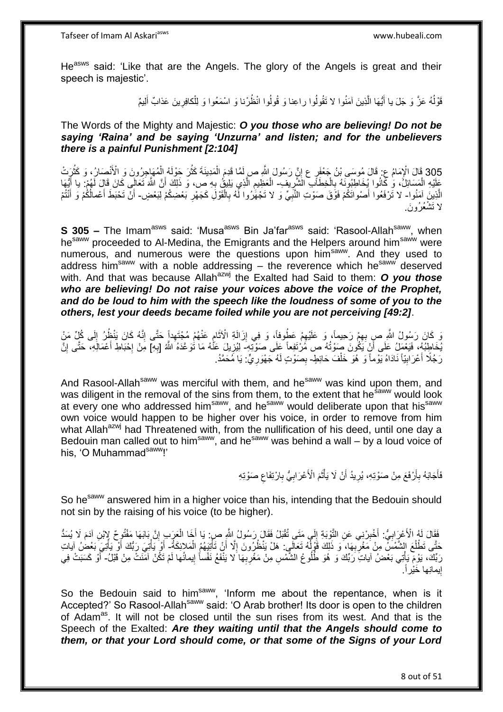He<sup>asws</sup> said: 'Like that are the Angels. The glory of the Angels is great and their speech is majestic'.

> قَوْلُهُ عَزَّ وَ جَلَ يا أَيُّهَا الَّذِينَ آمَنُوا لا تَقُولُوا راعِنا وَ قُولُوا انْظُرْنا وَ اسْمَعُوا وَ لِلْكافِرِينَ عَذابٌ أَلِيمٌ َ ِ ْ ه َ

#### The Words of the Mighty and Majestic: *O you those who are believing! Do not be saying 'Raina' and be saying 'Unzurna' and listen; and for the unbelievers there is a painful Punishment [2:104]*

305 قَالَ الْإِمَامُ عِ. قَالَ مُوسَى بْنُ جَعْفَرٍ ع إِنَّ رَسُولَ اللَّهِ صِ لَمَّا قَدِمَ الْمَدِينَةَ كَثُرَ حَوْلَهُ الْمُهَاجِرُونَ وَ الْأَنْصَارُ، وَ كَثُرَتْ<br>305 قَالَ الْإِمَامُ عِ. قَالَ مُوسَى بْنُ جَعْفَرٍ ع ْ ْ ْ ِ عَلَيْهِ الْمَسَائِلُ، وَ كَانُوا يُخَاطِبُونَهُ بِالْخِطَاَبِ الشَّرِيفِ- الْعَظِيمِ الَّذِي يَلِيثُ بِهِ ص، وَ ذَلِكَ أَنَّ اللَّهَ تَعَالَى كَانَ قَالَ لَهُمْ: يا أَيُّهَا ْ ِ ْ ِ َ **∶** ه ِ ْ اُ الَّذِينَ آمَنُوا- لا تَرْفَعُوا أَصْواتَكُمْ فَوَّقَ صَوْتِ النَّبِيِّ وَ لا تَجْهَّرُوا لَّهُ بِالْقَوْلَِ كَجَهْرِ بَعْضِكُمْ لِبَعْضٍ- أَنَّ تَحْبَطَ أَعْمالُكُمْ وَ أَنْتُمْ ِ ْ ِ ِ ْ َ َ َ لا تَشْعُرُونَ

**S 305 –** The Imam<sup>asws</sup> said: 'Musa<sup>asws</sup> Bin Ja'far<sup>asws</sup> said: 'Rasool-Allah<sup>saww</sup>, when he<sup>saww</sup> proceeded to Al-Medina, the Emigrants and the Helpers around him<sup>saww</sup> were numerous, and numerous were the questions upon him<sup>saww</sup>. And they used to address him<sup>saww</sup> with a noble addressing  $-$  the reverence which he<sup>saww</sup> deserved with. And that was because Allah<sup>azwj</sup> the Exalted had Said to them: **O you those** *who are believing! Do not raise your voices above the voice of the Prophet, and do be loud to him with the speech like the loudness of some of you to the others, lest your deeds became foiled while you are not perceiving [49:2]*.

َدَ كَانَ رَسُولُ اللَّهِ صِ بِهِمْ رَحِيماً، وَ عَلَيْهِمْ عَطُوفاً، وَ فِي إِزَالَةِ الْأَثَامِ عَنْهُمْ مُجْتَهِداً حَتَّى إِنَّهُ كَانَ يَنْظُرُ إِلَى كُلِّ مَنْ ِ ِ ِ ِ َ ِ  $\frac{1}{2}$ يُخَاطِبُهُ، فَيَعْمَلُ عَلَى أَنْ يَكُونَ صَوْتُهُ ص مُرْتَفِعاً عَلَى صَوْتَتِهِ- لِيُزِيلَ عَنْهُ مَا تُوَعَّدَهُ اللَّهُ [بِهِ] مَنْ إِحْبَاطِ أَعْمَالَهِ، حَتَّى إِنَّ َ **∶** ِ ا.<br>\* ِ َ رَجُلًا أَعْرَابِيّاً نَادَاهُ يَوْماً وَ هُوَ خَلْفَ حَائِطٍ- بِصَوْتٍ لَهُ جَهْوَرِيٍّ. يَا مُحَمَّدُ. ْ **!** َ **∶** ِ

And Rasool-Allah<sup>saww</sup> was merciful with them, and he<sup>saww</sup> was kind upon them, and was diligent in the removal of the sins from them, to the extent that he<sup>saww</sup> would look at every one who addressed him<sup>saww</sup>, and he<sup>saww</sup> would deliberate upon that his<sup>saww</sup> own voice would happen to be higher over his voice, in order to remove from him what Allah<sup>azwj</sup> had Threatened with, from the nullification of his deed, until one day a Bedouin man called out to him<sup>saww</sup>, and he<sup>saww</sup> was behind a wall – by a loud voice of his, 'O Muhammad<sup>saww</sup>!'

> **∶** فَأَجَابَهُ بِأَرْفَعَ مِنْ صَوْتِهِ، يُرِيدُ أَنْ لَا يَأْتُمَ الْأَعْرَابِيُّ بِارْتِفَاعِ صَوْتِهِ َ ِ َ ِ ِ ِ َ ْ

So he<sup>saww</sup> answered him in a higher voice than his, intending that the Bedouin should not sin by the raising of his voice (to be higher).

فَقَالَ لَهُ الْأَعْرَابِيُّ: أَخْبِرْنِي عَنِ التَّوْبَةِ إِلَى مَتَى تُقْبَلُ فَقَالَ رَسُولُ اللَّهِ صِ: يَا أَخَا الْعَرَبِ إِنَّ بَابَهَا مَفْتُوحٌ لإِبْنِ آدَمَ لَا يُسَدُّ **!** َ **∶** ِ ْ َ  $\frac{1}{2}$ حَتَّى تَطْلُعَ الشَّعْسُ مِنْ مَغْرِبِّهَا، ۖ وَ ذَلِكَ قَوْلُهُ تَعَالَى: هَلْ يَنْظُرُونَ إِلَّا أَنْ تَأْتِيَهُمُ الْمَلائِكَةُ- أَوْ يَأْتِيَ رَبُّكَ أَو يَأْتِيَ بَعْضُ آياتِ ان<br>ا ِ ِ ُ ْ د<br>أ َ ِ ْ َ ْ َ رَبِّكَ، يَوْمَ يَأْتِي بَعْضُ آياتِ رَبِّكَ وَ هُوَ طُلُوعُ الشَّمْسِ مِنْ مَغْرِبِهَا ۚ لا يَنْفَعُ نَفْساُ إِيمانُها لَمْ تَكُنْ آمَنَتْ مِنْ قَبْلُ- آَوْ كَسَبَتْ فِي ْ ׀ו<br>֞ ِ **∶** َ إيمانِها خَيْراً. <u>֖֚֚֚֚֚֚֓</u>

So the Bedouin said to him<sup>saww</sup>, 'Inform me about the repentance, when is it Accepted?' So Rasool-Allah<sup>saww</sup> said: 'O Arab brother! Its door is open to the children of Adam<sup>as</sup>. It will not be closed until the sun rises from its west. And that is the Speech of the Exalted: *Are they waiting until that the Angels should come to them, or that your Lord should come, or that some of the Signs of your Lord*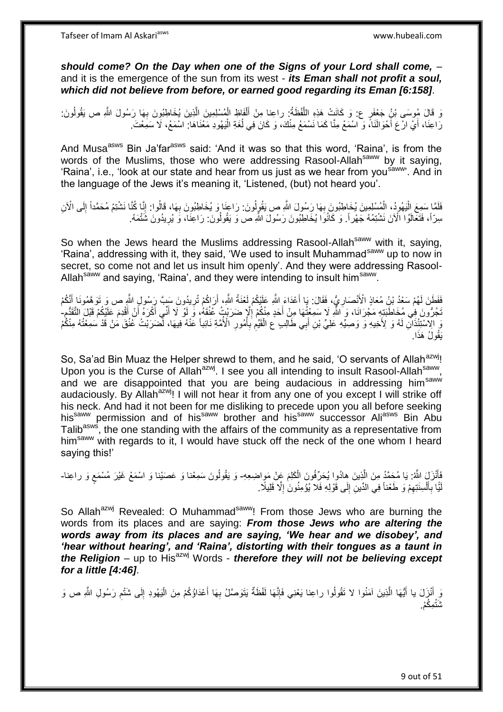*should come? On the Day when one of the Signs of your Lord shall come,* – and it is the emergence of the sun from its west - *its Eman shall not profit a soul, which did not believe from before, or earned good regarding its Eman [6:158]*.

ِ وَ قَالَ مُوسَى بْنُ جَعْفَرٍ ع: وَ كَانَتْ هَذِهِ اللَّفْظَةُ: راعِنا مِنْ أَلْفَاظِ الْمُسْلِمِينَ الَّذِينَ يُخَاطِبُونَ بِهَا رَسُولَ اللَّهِ ص يَقُولُونَ. ه ْ ْ َ ه ا<br>ا رَاعِنَا، أَيْ ارْعَ أَحْوَالَنَا، وَ اسْمَعْ مِنَّا كَمَا نَسْمَعُ مِنْكَ، وَ كَانَ فِي لُغَةِ الْيَهُودِ مَعْنَاهَا: اسْمَعْ، لَا سَمِعْتَ ا<br>ا ُ َ َ

And Musa<sup>asws</sup> Bin Ja'far<sup>asws</sup> said: 'And it was so that this word, 'Raina', is from the words of the Muslims, those who were addressing Rasool-Allahsaww by it saying, 'Raina', i.e., 'look at our state and hear from us just as we hear from you<sup>saww</sup>'. And in the language of the Jews it's meaning it, 'Listened, (but) not heard you'.

فَلَمَا سَمِعَ الْيَهُودُ، الْمُسْلِمِينَ يُخَاطِبُونَ بِهَا رَسُولَ اللَّهِ ص يَقُولُونَ. رَاعِنَا وَ يُخَاطِبُونَ بِهَا، قَالُوا: إِنَّا كُنَّا نَشْتِمُ مُحَمَّداً إِلَى الْآنِ :<br>ا ِ ِ **∶** ْ ِ سِرّاً، فَتَعَالَوُا الْآنَ نَشْتِمُهُ جَهْراً. وَ كَانُوَا يُخَاطِبُونَ رَسُولَ اللَّهِ ص وَ يَقُولُونَ: رَاعِنَا، وَ يُرِيدُونَ شَتْمَهُ. **ٍ** 

So when the Jews heard the Muslims addressing Rasool-Allah<sup>saww</sup> with it, saying, 'Raina', addressing with it, they said, 'We used to insult Muhammad<sup>saww</sup> up to now in secret, so come not and let us insult him openly'. And they were addressing Rasool-Allah<sup>saww</sup> and saying, 'Raina', and they were intending to insult him<sup>saww</sup>.

فَفَطَنَ لَهُمْ سَعْدُ بْنِ مُعَاذٍ الْأَنْصَارِ يُّ، فَقَالَ: بَا أَعْدَاءَ اللَّهِ عَلَيْكُمْ لَعْنَةُ اللَّهِ، أَرَاكُمْ تُرِيدُونَ سَبِّ رَِسُولِ اللَّهِ ص وَ تَوَهَّمُونَا أَنَّكُمْ **∶** َ َ ِ َ َّجُرُّونَ فِي مُخَاطَبَتِهِ مَجْرَانَا، وَ اللَّهِ لَا سَمِعْتُهَا مِنْ أَحَدٍ مِنْكُمْ إِلَّإِ ضَرَبْتٍ عُثُقَهُمْ وََ لَوْ لَا أَنِّي أَكْرَهُ أَنْ أَقْدِمَ عَلَيْكُمْ قَبْلَ التَّقَدُّمِ ِ َ ِ َ َ َ َ َو اِلْإِسْتَثِذَانِ لَهُ وَ لِأَخِيهِ وَ وَصِيِّهِ عَلِيٍّ بْنِ أَبِي طَالِبٍ عَ الْقَيِّعِ بِأُمُورِ الْأُمَّةِ نَائِباً عَنْهُ فِيهَا، لَصَرَبْتُ عَنُقَ مَنْ قَدْ سَمِعْتُهُ مِنْكُمْ **∶** ُ **∶** ِ ْ َ َ ا. َيقُو ُل َهذَ

So, Sa'ad Bin Muaz the Helper shrewd to them, and he said, 'O servants of Allah<sup>azwj</sup>! Upon you is the Curse of Allah<sup>azwj</sup>. I see you all intending to insult Rasool-Allah<sup>saww</sup>, and we are disappointed that you are being audacious in addressing him<sup>saww</sup> audaciously. By Allah<sup>azwj</sup>! I will not hear it from any one of you except I will strike off his neck. And had it not been for me disliking to precede upon you all before seeking his<sup>saww</sup> permission and of his<sup>saww</sup> brother and his<sup>saww</sup> successor Ali<sup>asws</sup> Bin Abu Talib<sup>asws</sup>, the one standing with the affairs of the community as a representative from him<sup>saww</sup> with regards to it, I would have stuck off the neck of the one whom I heard saying this!'

فَأَنْزَلَ اللَّهُ: يَا مُحَمَّدُ مِنَ الَّذِينَ هِادُوا يُحَرِّفُونَ الْكَلِمَ عَنْ مَوِاضِعِهِ- وَ يَقُولُونَ سَمِعْنا وَ عَصَيْنا وَ اسْمَعْ غَيْرَ مُسْمَعٍ وَ راعِنا-ْ ه َ ٍ لَيَّا بِأَنْسِنَتِهِمْ وَ طَعْناً فِي الدِّينِ إِلَى قَوْلِهِ فَلا يُؤْمِنُونَ إِلَّا قَلِيلًا ۚ. ِ ْ َ **∶** لَ ِ ِ

So Allah<sup>azwj</sup> Revealed: O Muhammad<sup>saww</sup>! From those Jews who are burning the words from its places and are saying: *From those Jews who are altering the words away from its places and are saying, 'We hear and we disobey', and 'hear without hearing', and 'Raina', distorting with their tongues as a taunt in the Religion* – up to His<sup>azwj</sup> Words - *therefore they will not be believing except for a little [4:46]*.

وَ أُنْزَلَ يا أَيُّهَا الَّذِينَ آمَنُوا لا تَقُولُوا راعِنا يَعْنِي فَإِنَّهَا لَفْظَةٌ يَتَوَصَّلُ بِهَا أَعْدَاؤُكُمْ مِنَ الْيَهُودِ إِلَى شَتْمِ رَسُولِ اللَّهِ ص وَ َ ِ ه َ ِ ِ ِ ْ َ شَتْمِكُمْ.<sub>.</sub>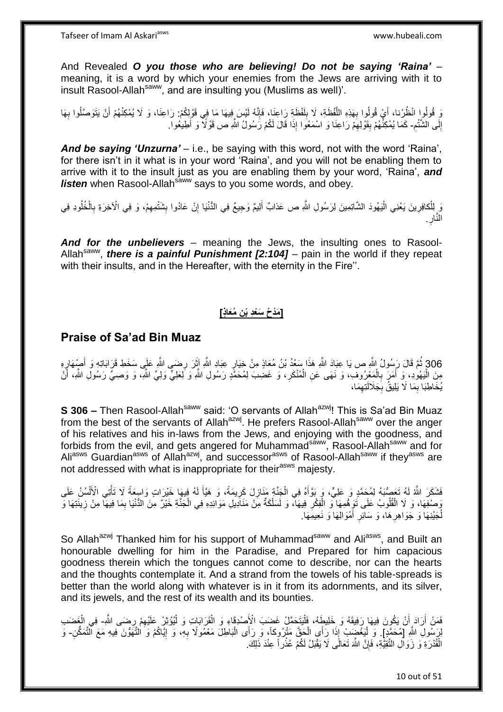And Revealed *O you those who are believing! Do not be saying 'Raina'* – meaning, it is a word by which your enemies from the Jews are arriving with it to insult Rasool-Allah<sup>saww</sup>, and are insulting you (Muslims as well)'.

نَ قُولُوا انْظُرْنا، أَيْ قُولُوا بِهَذِهِ اللَّفْظَةِ، لَا بِلَفْظَةِ رَاعِنَا، فَإِنَّهُ لَيْسَ فِيهَا مَا فِي قَوْلِكُمْ: رَاعِنَا، وَ لَا يُمْكِنُهُمْ أَنْ يَتَوَصَّلُوا بِهَا ∣اٍ لَ ِ ه **∶** َ ِ َ لَ ِ إِلَى الشَّنْعِ- كَمَا يُمْكِنُّهُمْ بِقَوْلِهِمْ رَاعِنَا وَ اسْمَعُوا إِذَا قَالَ لَكُمْ رَسُولُ اللَّهِ ص قَوْلًا وَ أَطِيعُوا. יִי<br>; َ ِ **!** 

*And be saying 'Unzurna'* – i.e., be saying with this word, not with the word 'Raina', for there isn't in it what is in your word 'Raina', and you will not be enabling them to arrive with it to the insult just as you are enabling them by your word, 'Raina', *and listen* when Rasool-Allah<sup>saww</sup> says to you some words, and obey.

وَ لِلْكافِرِينَ يَعْنِي الْيَهُودَ الشَّاتِمِينَ لِرَسُولِ اللَّهِ ص عَذابٌ أَلِيمٌ وَجِيعٌ فِي الدُّنْيَا إِنْ عَادُوا بِشَتْمِهِمْ، وَ فِي الْأَخِرَةِ بِالْخُلُودِ فِي ِ اُ ِ ِ ِ ِ النَّار ِ **∶** 

*And for the unbelievers* – meaning the Jews, the insulting ones to Rasool-Allah<sup>saww</sup>, *there is a painful Punishment [2:104]* – pain in the world if they repeat with their insults, and in the Hereafter, with the eternity in the Fire".

# **ِن ُمَعاٍذ[ ] َمْد ُح َسْعِد ْب**

## **Praise of Sa'ad Bin Muaz**

306 ثُمَّ قَالَ رَسُولُ الثَّهِ ص يَا عِبَادَ اللَّهِ هَذَا سَعْدُ بْنُ مُعَاذٍ مِنْ خِيَارٍ عِبَادِ اللَّهِ آثِرَ رِضَـي اللَّهِ عَلَى سَخَطِ قَرَابَاتِهِ وَ أَصِهْهَارٍهِ َ َ مِنَ الْمِهُوٰدِ، وَ أَمَرَ بِالْمَعْرُوفِ، وَ نَهَى عَنِ الْمُنْكَرِ، وَ غَضِبَ لِمُحَمَّدٍ رَسُولِ اللَّهِ وَ لِعلِيٍّ وَلِيٍّ اللَّهِ، وَ وَصِـيٍّ رَسُولِ اللَّهِ، أَنْ **ٍ** ْ ْ **∶** َ َ يُخَاطِبَا بِمَا لَا يَلِيقُ بِجَلَالَتِهِمَا، ِ **∶** ِ

**S 306 –** Then Rasool-Allah<sup>saww</sup> said: 'O servants of Allah<sup>azwj</sup>! This is Sa'ad Bin Muaz from the best of the servants of Allah<sup>azwj</sup>. He prefers Rasool-Allah<sup>saww</sup> over the anger of his relatives and his in-laws from the Jews, and enjoying with the goodness, and forbids from the evil, and gets angered for Muhammad<sup>saww</sup>, Rasool-Allah<sup>saww</sup> and for Ali<sup>asws</sup> Guardian<sup>asws</sup> of Allah<sup>azwj</sup>, and successor<sup>asws</sup> of Rasool-Allah<sup>saww</sup> if they<sup>asws</sup> are not addressed with what is inappropriate for their<sup>asws</sup> majesty.

فَشَكَرَ اللَّهُ لَهُ تَعَصُّبَهُ لِمُحَمَّدٍ وَ عَلِيٍّ، وَ بَوَّأَهُ فِي الْجَنَّةِ مَنَازِلَ كَرِيمَةً، وَ هَيَّأَ لَهُ فِيهَا خَيْرَاتٍ وَاسِعَةً لَا تَأْتِي الْأَلْسُنُ عَلَى لَ َ ِ **∶** ْ ْ ة<br>أا وَصَفِهَا، وَ لَا الْقُلُوبُ عَلَى تَوَمِّهُمِهَا ۖوَ الْفِكْرِ فِيهَآ، وَ لَسَلْكَةٌ مِنْ مَنَادِيلِ مَوَائِدِهِ فِي الْجَنَّةِ خَيْرٌ مِنَ الدُّنْيَا بِمَا فِيهَآ مِنْ زِينَتِهَا وَ ْ ِ ْ ْ ِ ِ ْ لُجَيْنِهَا وَ جَوَاهِرِ هَا، وَ سَائِرِ أَمْوَالِهَا وَ نَعِيمِهَا. ِ َ **∶** 

So Allah<sup>azwj</sup> Thanked him for his support of Muhammad<sup>saww</sup> and Ali<sup>asws</sup>, and Built an honourable dwelling for him in the Paradise, and Prepared for him capacious goodness therein which the tongues cannot come to describe, nor can the hearts and the thoughts contemplate it. And a strand from the towels of his table-spreads is better than the world along with whatever is in it from its adornments, and its silver, and its jewels, and the rest of its wealth and its bounties.

فَمَنْ أَرَادَ أَنْ يَكُونَ فِيهَا رَفِيقَهُ وَ خَلِيطَهُ، فَلْيَتَحَمَّلْ غَضِبَ الْأَصْدِقَاءِ وَ الْقَرَابَاتِ وَ لْيُؤْثِرْ عَلَيْهِمْ رِضَى اللَّهِ- فِي الْغَضَب :<br>ا َ اً ِ ِ ْ ْ ْ ِنَ اللَّهِ [مُحَمَّدٍ] ۚ وَ لْيَغْضَبِبْ إِذَا رَأَى الْجَقَّ مَتْرُوكاً، وَ رَأَى الْبَاطِلَ مَعْمُولًا بِهِ، وَ إِيَّاكُمْ وَ التَّهَوُّنَ فِيهِ مَعَ التَّمَكُّنِ۔ وَ ِ ِ ْ ْ :<br>ا الْقُدْرَةِ وَ زَوَالِ التَّقِيُّةِ، فَإِنَّ اللَّهَ تَعَالَى لَا يَقْبَلُ لَكُمْ عُذْرٍ أَ عِنْدَ ذَلِكَ. ِ **ٔ** 

10 out of 51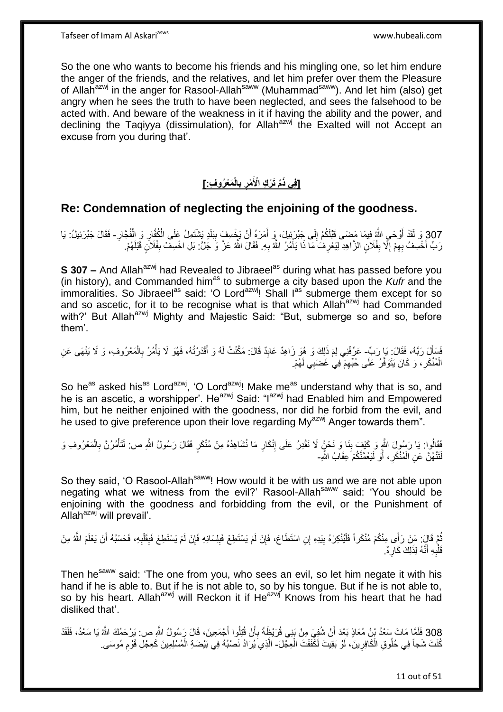So the one who wants to become his friends and his mingling one, so let him endure the anger of the friends, and the relatives, and let him prefer over them the Pleasure of Allah<sup>azwj</sup> in the anger for Rasool-Allah<sup>saww</sup> (Muhammad<sup>saww</sup>). And let him (also) get angry when he sees the truth to have been neglected, and sees the falsehood to be acted with. And beware of the weakness in it if having the ability and the power, and declining the Taqiyya (dissimulation), for Allah $a^{2xy}$  the Exalted will not Accept an excuse from you during that'.

#### **َم ْعُرو ِف:[ الْ ب ْمر ِّم َت ْر ِك اْْلَ ]فِي ذَ ِ ِ**

# **Re: Condemnation of neglecting the enjoining of the goodness.**

307 وَ لَقَدْ أَوْحَىِ اللَّهُ فِيمَا مَضَى قَبْلَكُمْ إِلَى جَبْرَتِيلَ، وَ أَمَرَهُ أَنْ يَخْسِفَ بِبَلَدٍ يَشْتَمِلُ عَلَى الْكُفَّارِ وَ الْفُجَّارِ - فَقَالَ جَبْرَئِيلُ: يَا ْ ْ **∣** َ َ ∣∣<br>ِ َ رَبِّ أَخْسِفُ بِهِمْ إِلَّا بِفُلَانٍ الزَّاهِدِ لِيَعْرِفُ مَا ذَا يَأْمُرُ اللَّهُ بِهِ. فَقَالَ اللَّهُ عَزَّ وَ جَلَّ: بَلِ اخْسِفْ بِفُلَانٍ قَبْلَهُمْ. ِ ْ **∶ ∣** ِ ِ َ 

**S 307 –** And Allah<sup>azwj</sup> had Revealed to Jibraeel<sup>as</sup> during what has passed before you (in history), and Commanded him<sup>as</sup> to submerge a city based upon the *Kufr* and the  $\mu$  immoralities. So Jibraeel<sup>as</sup> said: 'O Lord<sup>azwj</sup>! Shall I<sup>as</sup> submerge them except for so and so ascetic, for it to be recognise what is that which Allah<sup>azwj</sup> had Commanded with?' But Allah<sup>azwj</sup> Mighty and Majestic Said: "But, submerge so and so, before them'.

َل َرهب ُه، َفَقا َل: َيا َر ِّب لِ َف - َسأ َم ذَ ِني لِ َهى َع ِن َع ِّرفْ َمْع ُرو ِف، َو َال َينْ ال ُم ُر ب ُه، َف ُهَو َال َيأ َد ْرتُ قْ ُه َو أ ٌد َقا َل: َمهكنْ ُت لَ َك َو ُهَو َزا ِهٌد َعاب َ ْ ِ ْ َ **∣** الْمُنْكَرِ ، وَ كَانَ يَتَوَفَّرُ عَلَى حُبِّهِمْ فِي غَضَبِي لَهُمْ. ِ ِ ْ

So he<sup>as</sup> asked his<sup>as</sup> Lord<sup>azwj</sup>, 'O Lord<sup>azwj</sup>! Make me<sup>as</sup> understand why that is so, and he is an ascetic, a worshipper'. He<sup>azwj</sup> Said: "I<sup>azwj</sup> had Enabled him and Empowered him, but he neither enjoined with the goodness, nor did he forbid from the evil, and he used to give preference upon their love regarding My<sup>azwj</sup> Anger towards them".

فَقَالُوا: يَا رَسُولَ اللَّهِ وَ كَيْفَ بِنَا وَ نَحْنُ لَا نَقْدِرُ عَلَى إِنْكَارِ مَا نُشَاهِدُهُ مِنْ مُنْكَرٍ فَقَالَ رَسُولُ اللَّهِ ص: لَتَأْمُرُنَّ بِالْمَعْرُوفِ وَ<br>تَمْعَلُمْ اللَّهُ عَلَيْهِ مَنْ يَسَمُّهُ مَن ِ ِ **∣** ْ ِ ا<br>أ لَتَنْهُنَّ عَنِ الْمُنْكَرِ ، أَوْ لَيَعُمَّنَّكُمْ َعِقَابُ الثَّهِ-َ ِ ْ

So they said, 'O Rasool-Allah<sup>saww</sup>! How would it be with us and we are not able upon negating what we witness from the evil?' Rasool-Allah<sup>saww</sup> said: 'You should be enjoining with the goodness and forbidding from the evil, or the Punishment of Allah<sup>azwj</sup> will prevail'.

ِ ِّمَّ قَالَ: مَنْ رَأَى مِنْكُمْ مُنْكَراً فَلْيُنْكِرْهُ بِيَدِهِ إِنِ اسْتَطَاعَ، فَإِنْ لَمْ يَسْتَطِعْ فَبِلِسَانِهِ فَإِنْ لَمْ يَسْتَطِعْ فَبِقَلْبِهِ، فَحَسْبُهُ أَنْ يَعْلَمَ اللَّهُ مِنْ ِ ِ ِ ْ َ ِ ْ ِ قَلْْبِهِ أَنَّهُ لِذَلِكَ كَارِ هٌ. **∶** َ **∶** ْ

Then he<sup>saww</sup> said: 'The one from you, who sees an evil, so let him negate it with his hand if he is able to. But if he is not able to, so by his tongue. But if he is not able to, so by his heart. Allah<sup>azwj</sup> will Reckon it if He<sup>azwj</sup> Knows from his heart that he had disliked that'.

308 فَلَمَّا مَاتَ سَعْدُ بْنُ مُعَاذٍ بَعْدَ أَنْ شُفِيَ مِنْ بَنِي قُرَيْظٍةَ بِأَنْ قُتِلُوا أَجْمَعِينَ، قَالَ رَسُولُ اللَّهِ ص: يَرْحَمُكَ اللَّهُ يَا سَعْدُ، فَلَقَدْ َ َ **∶** اُ كُنْتَ شَجاً فِي حُلُوقِ الْكَافِرِينَ، لَوْ بَقِيتَ لَكَّفَفْتَ الْعِجْلَ- الَّذِي يُرَادُ نَصْبُهُ فِي بَيْضَةِ الْمُسْلِمِينَ كَعِجْلِ قَوْمِ مُوسَى ِ ْ ْ **∶** ْ ِ

11 out of 51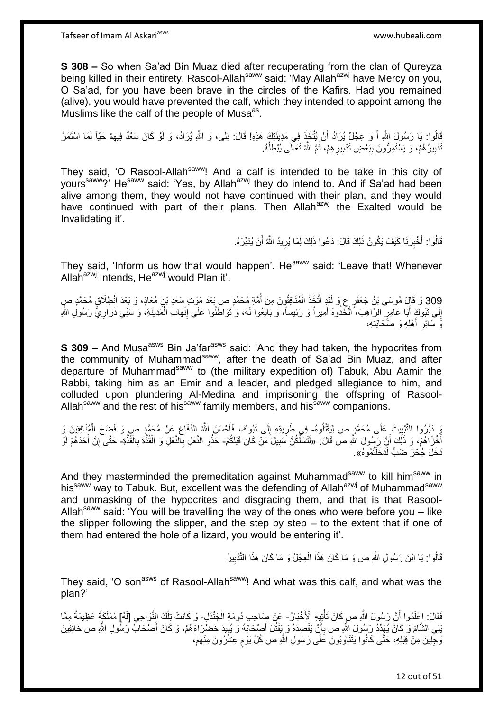**S 308 –** So when Sa'ad Bin Muaz died after recuperating from the clan of Qureyza being killed in their entirety, Rasool-Allah<sup>saww</sup> said: 'May Allah<sup>azwj</sup> have Mercy on you, O Sa'ad, for you have been brave in the circles of the Kafirs. Had you remained (alive), you would have prevented the calf, which they intended to appoint among the Muslims like the calf of the people of Musa<sup>as</sup>.

قَالُوا: يَا رَسُولَ اللَّهِ أَ وَ عِجْلٌ يُرَادُ أَنْ يُتَّخَذَ فِي مَدِينَتِكَ هَذِهِ! قَالَ: بَلَى، وَ اللَّهِ يُرَادُ، وَ لَوْ كَانَ سَعْدٌ فِيهِمْ حَيّاً لَمَا اسْتَمَرَّ َ َ لَ ِ نْدْبِيرُ هُمْ، وَ يَسْتَمِرُّونَ بِبَعْضِ تَدْبِيرِ هِمْ، ثُمَّ اللَّهُ تَعَالَى يُبْطِلُهُ. ان<br>المقام المقام المقام المقام المقام المقام المقام المقام المقام المقام المقام المقام المقام المقام المقام المقا **∶ ! ∣ !** ا<br>ا

They said, 'O Rasool-Allah<sup>saww</sup>! And a calf is intended to be take in this city of vours<sup>saww</sup>?' He<sup>saww</sup> said: 'Yes, by Allah<sup>azwj</sup> they do intend to. And if Sa'ad had been alive among them, they would not have continued with their plan, and they would have continued with part of their plans. Then Allah<sup>azwj</sup> the Exalted would be Invalidating it'.

> قَالُوا: أَخْبِرْنَا كَيْفَ يَكُونُ ذَلِكَ قَالَ: دَعُوا ذَلِكَ لِمَا يُرِيدُ اللَّهُ أَنْ يُدَبِّرَهُ. اُ ِ ِ َ

They said, 'Inform us how that would happen'. He<sup>saww</sup> said: 'Leave that! Whenever Allah $a^{z}$ <sup>wj</sup> Intends, He $a^{z}$ <sup>wj</sup> would Plan it'.

309 وَ قَالٍَ مُوسَى بْنُ جَعْفَرٍ عِ وَ لَقَدٍ اتَّخَذَ الْمُنَافِقُونَ مِنْ أُمَّةٍ مُحَمَّدٍ ص بَعْدَ مَوْتِ سَعْدِ بْنِ مُعَاذٍ، وَ بَعْدَ انْطِلَاقٍ مُحَمَّدٍ صٍ <u>ٔ</u> ∫<br>∫ ْ إِلَى تَبُوكَ أَبَا عَامِرٍ الزَّاهِبَ، ۗ اتَّخَذُوهُ أَمِيراً وَ رَئِيساً، وَ بَايَعُوا لَهُ، وَ تَوَاطَّئُوا عَلَى إِنْهَابِ الْمَدِينَةِ، وَ سَبْيِ ذَرَارِيٌّ رَسُولِ الثَّهِ َ יִי<br>; ْ ِ َ ِ ِ رَ سَائِرِ أَهْلِهِ وَ صَحَابَتِهِ، ا<br>ا **∶** 

**S 309 –** And Musa<sup>asws</sup> Bin Ja'far<sup>asws</sup> said: 'And they had taken, the hypocrites from the community of Muhammad<sup>saww</sup>, after the death of Sa'ad Bin Muaz, and after departure of Muhammad<sup>saww</sup> to (the military expedition of) Tabuk, Abu Aamir the Rabbi, taking him as an Emir and a leader, and pledged allegiance to him, and colluded upon plundering Al-Medina and imprisoning the offspring of Rasool-Allah<sup>saww</sup> and the rest of his<sup>saww</sup> family members, and his<sup>saww</sup> companions.

يَ دَبَّرُوا التَّبْيِيتَ عَلَى مُحَمَّدٍ ص لِيَقْتُلُوهُ- فِي طَرِيقِهِ إِلَى تَبُوكَ، فَأَحْسَنَ اللَّهُ الدِّفَاعَ عَنْ مُحَمَّدٍ صٍ وَ فَضِحَ الْمُنَافِقِينَ وَ **!** ِ **∶** ْ َ أَخْزَاهُمْ، وَ ذَلِكَ أَنَّ رَسُولَ اللَّهِ ص قَالَ: «لَتَسْلَّكُنَّ سَبِيلَ مَنْ كَانَ قَبْلَكُمْ- حَذْوَ النَّعْلِ بِالنَّعْلِ وَ الْقُذَّةَ بِالْقُذَّةِ- حَتَّى إِنَّ أَحَدَهُمْ لَو اً **!** ْ ِ ْ ِ َ ِ َنَخَلَ جُحْرَ ضَبٍّ لَدَخَلْتُمُوهُ». ْ

And they masterminded the premeditation against Muhammad<sup>saww</sup> to kill him<sup>saww</sup> in his<sup>saww</sup> way to Tabuk. But, excellent was the defending of Allah<sup>azwj</sup> of Muhammad<sup>saww</sup> and unmasking of the hypocrites and disgracing them, and that is that Rasool-Allah<sup>saww</sup> said: 'You will be travelling the way of the ones who were before you – like the slipper following the slipper, and the step by step – to the extent that if one of them had entered the hole of a lizard, you would be entering it'.

> قَالُوا: يَا ابْنَ رَسُولِ اللَّهِ ص وَ مَا كَانَ هَذَا الْعِجْلُ وَ مَا كَانَ هَذَا النَّذْبِيرُ ِ ْ

They said, 'O son<sup>asws</sup> of Rasool-Allah<sup>saww</sup>! And what was this calf, and what was the plan?'

فَقَالَ: اعْلَمُوا أَنَّ رَسُولَ اللَّهِ صِ كَانَ تَأْتِيهِ الْأَخْبَالُ- عَنْ صِلحِب دُومَةِ الْجَنْدَلِ- وَ كَانَتْ تِلْكَ النَّوَاحِي [لَهُ] مَمْلَكَةً عَظِيمَةً مِمَّا ْ ْ َلِي الشَّامَ وَ كَانَ يُهَدِّدُ رَسُولَ اللَّهِ ص بِأَنْ يَقْصِدَهُ وَ يَقْتُلَ أَصْحَابَهُ وَ يُبِيدَ خَضْرِاءَهُمْ، وَ كَانَ أَصْحَابٌ رَسُولِ اللَّهِ ص خَائِفِينَ َ اً ِ َ ِ وَجِّلِينَ مِنْ قِبَلِهِ، حَتَّى كَانُوا يَتَنَاوَبُونَ عَلَى رَسُولِ اللَّهِ ص كُلَّ يَوْمٍ عِشْرُونَ مِنْهُمْ، ֧֖֖֖֖֧֧֧ׅ֧֧ׅ֧֚֚֚֚֚֚֚֚֚֓֝֝֬֝֟֓֝֓֝֓֝֓֜֟֓֟֓֟֓֝֬֜֝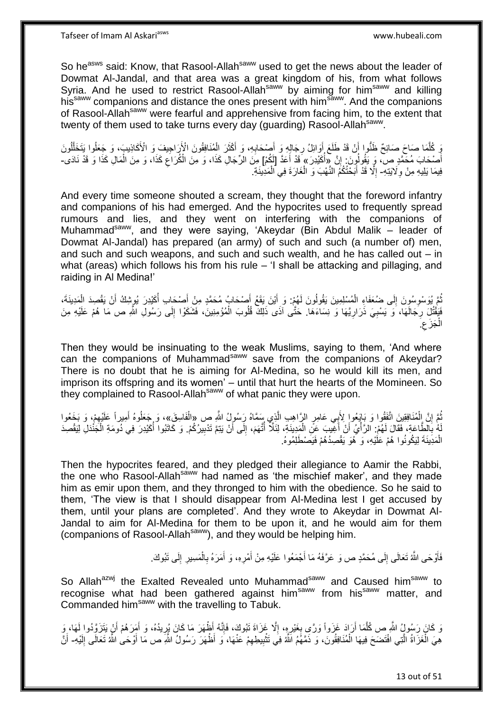So he<sup>asws</sup> said: Know, that Rasool-Allah<sup>saww</sup> used to get the news about the leader of Dowmat Al-Jandal, and that area was a great kingdom of his, from what follows Syria. And he used to restrict Rasool-Allah<sup>saww</sup> by aiming for him<sup>saww</sup> and killing his<sup>saww</sup> companions and distance the ones present with him<sup>saww</sup>. And the companions of Rasool-Allah<sup>saww</sup> were fearful and apprehensive from facing him, to the extent that twenty of them used to take turns every day (guarding) Rasool-Allah<sup>saww</sup>.

يَ كُلَّمَا صَاحَ صَائِحٌ ظَنُّوا أَنْ قَدْ طَلَعَ أَوَائِلُ رِجَالِهِ وَ أَصْحَابِهِ، وَ أَكْثَرَ الْمُنَافِقُونَ الْإَرَاجِيفَ وَ الْأَكَاذِيبَ، وَ جَعَلُوا يَتَخَلَّلُونَ ِ َ ِ اُ َ ه ْ  $\ddot{\phantom{0}}$ ُ ه أَصْحَابَ مُحَمَّدٍ ص، وَ يَقُولُونَ: إِنَّ «أُكَيْدِرَ » قَدْ أَعَدَّ [لَكُمْ] مِنَ الرِّجَالِ كَذَا، وَ مِنَ الْكُرَاعَ كَذَا، وَ مِنَ الْمَالِ كَذَا وَ قَدْ نَادَى-֝׀֛<br>ׇ֧֢֢֝֜֝ المُبْسَدِينَ بِمَا يَسْتَدِينَ بِمَا يَسْتَدِينَ بِمَا يَسْتَدِينَ بِمَا يَسْتَدِينَ بِمَا يَسْتَدِينَ بِمَا َ ِ ْ فِيمَا يَلِيهِ مِنْ وِلَايَتِهِ- إِلَّا قَدْ أَبَحْتُكُمُ النَّهْبَ وَ الْغَارَةَ فِي الْمَدِينَةِ. **∶** ْ ْ َ ِ

And every time someone shouted a scream, they thought that the foreword infantry and companions of his had emerged. And the hypocrites used to frequently spread rumours and lies, and they went on interfering with the companions of Muhammad<sup>saww</sup>, and they were saying, 'Akeydar (Bin Abdul Malik – leader of Dowmat Al-Jandal) has prepared (an army) of such and such (a number of) men, and such and such weapons, and such and such wealth, and he has called out – in what (areas) which follows his from his rule – 'I shall be attacking and pillaging, and raiding in Al Medina!'

ُمَّ يُوسْوِسُونَ إِلَى ضُعَفَاءِ الْمُسْلِمِينَ يَقُولُونَ لَهُمْ: وَ أَيْنَ يَقَعُ أَصْحَابُ مُحَمَّدٍ مِنْ أَصْحَابِ أُكَيْدِرَ يُوشِكُ أَنْ يَقْصِدَ الْمَدِينَةَ، َ َ ْ  $\frac{1}{2}$ ِ ُ ْ َ ُ َ فَيَقْتُلَ رِجَالَهَا، وَ يَسْبِيَ ذَرَارِيَّهَا وَ نِسَاءَهَا. حَتَّى آذَى ذَلِكَ قُلُوبَ الْمُؤْمِنِينَ، فَشَكَوْا إِلَى رَسُولِ اللَّهِ ص مَا هُمْ عَلَيْهِ مِنَ ِ ْ ِ **∶** ِ ِ جَزَع ْ الجَزُع.

Then they would be insinuating to the weak Muslims, saying to them, 'And where can the companions of Muhammad<sup>saww</sup> save from the companions of Akeydar? There is no doubt that he is aiming for Al-Medina, so he would kill its men, and imprison its offspring and its women' – until that hurt the hearts of the Momineen. So they complained to Rasool-Allah<sup>saww</sup> of what panic they were upon.

ثُمَّ إِنَّ الْمُنَافِقِينَ اتَّفَقُوا وَ بَايَعُوا لِأَبِي عَامِرٍ الرَّاهِبِ الَّذِي سَمَّاهُ رَِسُولُ اللَّهِ ص «الْفَاسِقَ»، وَ جَعَلُوهُ أَمِيراً عَلَيْهِمْ، وَ بَخَعُوا ه ْ ا ْ ِ َ لَمُ بِالطَّاعَةِ، فَقَالَ لَهُمْ: الرَّأْيُ أَنْ أَغِيبَ عَنِّ الْمَدِينَةِ، لِئَلَّا أَتَّهَمَ، إِلَى أَنْ يَتِمَّ تَدْبِيرُكُمْ. وَ كَاتَبُوا أَكُيْدِرَ فِي دُومَةِ الْجَنْدَلِ لِيَقْصِدَ ِ َ ِ ا:<br>ا ْ َ َ ال<br>أ **∶** ْ الْمَدِينَةَ لِيَكُونُوا هُمْ عَلَيْهِ، وَ هُوَ يَقْصِدُهُمْ فَيَصْطَلِمُوهُ. ْ

Then the hypocrites feared, and they pledged their allegiance to Aamir the Rabbi, the one who Rasool-Allah<sup>saww</sup> had named as 'the mischief maker', and they made him as emir upon them, and they thronged to him with the obedience. So he said to them, 'The view is that I should disappear from Al-Medina lest I get accused by them, until your plans are completed'. And they wrote to Akeydar in Dowmat Al-Jandal to aim for Al-Medina for them to be upon it, and he would aim for them (companions of Rasool-Allah<sup>saww</sup>), and they would be helping him.

> فَأَوْحَى اللَّهُ تَعَالَى إِلَى مُحَمَّدٍ ص وَ عَرَّفَهُ مَا أَجْمَعُوا عَلَيْهِ مِنْ أَمْرِهِ، وَ أَمَرَهُ بِالْمَسِيرِ إِلَى تَبُوكَ َ  $\frac{1}{2}$ َ ِ **∶** ْ ِ َ **∶** َ

So Allah<sup>azwj</sup> the Exalted Revealed unto Muhammad<sup>saww</sup> and Caused him<sup>saww</sup> to recognise what had been gathered against him<sup>saww</sup> from his<sup>saww</sup> matter, and Commanded him<sup>saww</sup> with the travelling to Tabuk.

وَ كَانَ رَسُولٍُ اللَّهِ ص كُلَّمَا أَرَادَ غَزَواً وَرًىِ بِغَيْرِهِِ، إِلَّا غَزَاةَ تَبُوكَ، فَإِنَّهُ أَظْهَرَ مَا كَانَ بُرِيدُهُ، وَ أَمَِرَهُمْ أَنْ يَتَزَوَّدُوا لَهَا، وَ ِ ِ **∶ ∶** ه َ َ ِ هِيَ الْغَزَاةُ الَّتِي افْتَضَحَ فِيهَا الْمُنَافِقُونَ، وَ ذَمَّهُمُ الَّثَهُ فِي تَثْبِيطِهِمْ عَنْهَا، وَ أَظْهَرَ رَسُولُ اللَّهِ ص مَا أَوْحَىٰ اللَّهُ تَعَالَى إِلَيْهِ- أَنَّ ْ ه ِ **!** لَ ِ َ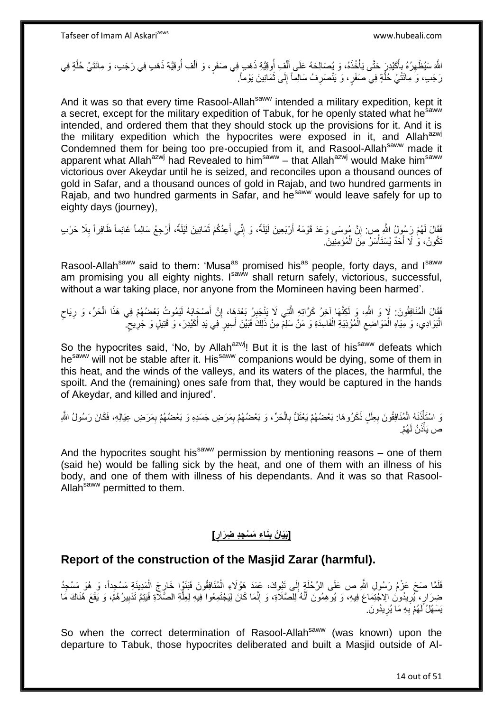اللَّهَ سَيُظْهِرُهُ بِأُكَيْدِرٍ حَتَّى يَأْخُذَهُ، وَ يُصَالِحَهُ عَلَى أَلْفِ أُوقِيَّةِ ذَهَبٍ فِي صَفَرٍ، وَ أَلْفِ أُوقِيَّةِ ذَهَبِ فِي رَجَبِ، وَ مِائَتَيْ حُلَّةٍ فِي ِ ُ ْ َ ُ ْ َ ة<br>المسابق ا<br>ا **∶** ه رَجَبٍ، وَ مِائَتَٰيْ خُلٌّةٍ فِي صَفَرٍ ، وَ يَنْصَرِفُ سَالِماً إِلَى ثَمَانِينَ يَوْماً. َ ∣∣<br>∶ ِ ه

And it was so that every time Rasool-Allah<sup>saww</sup> intended a military expedition, kept it a secret, except for the military expedition of Tabuk, for he openly stated what he<sup>saww</sup> intended, and ordered them that they should stock up the provisions for it. And it is the military expedition which the hypocrites were exposed in it, and Allah $a$ <sup>zwj</sup> Condemned them for being too pre-occupied from it, and Rasool-Allah<sup>saww</sup> made it apparent what Allah<sup>azwj</sup> had Revealed to him<sup>saww</sup> – that Allah<sup>azwj</sup> would Make him<sup>saww</sup> victorious over Akeydar until he is seized, and reconciles upon a thousand ounces of gold in Safar, and a thousand ounces of gold in Rajab, and two hundred garments in Rajab, and two hundred garments in Safar, and he<sup>saww</sup> would leave safely for up to eighty days (journey),

فَقَالَ لَهُمْ رَسُوِلُ اللَّهِ صِ. إِنَّ مُوسَى وَعَدَ قَوْمَهُ أَرْبَعِينَ لَيْلَةً، وَ إِنِّي أَعِدُكُمْ ثَمَانِينَ لَيْلَةً، أَرْجِعُ سَالِماً غَانِماً ظَافِراً بِلَا حَرْبِ َ יִי, ِ َ َ َ ِ لَ تَكُونُ، وَ لَا أَحَدٌ يُسْتَأْسَرُ مِنَ الْمُؤْمِنِينَ ْ َ

Rasool-Allah<sup>saww</sup> said to them: 'Musa<sup>as</sup> promised his<sup>as</sup> people, forty days, and I<sup>saww</sup> am promising you all eighty nights. I<sup>saww</sup> shall return safely, victorious, successful, without a war taking place, nor anyone from the Momineen having been harmed'.

فَقَالَ الْمُنَافِقُونَ: لَإ وَ اللَّهِ، وَ لَكِنَّهَا آخِرُ كَرَّاتِهِ الَّتِي لَا يَنْجَبِرُ بَعْدَهِا، إِنَّ أَصْجَابَهُ لَيَمُوتُ بَعْضُهُمْ فِي هَذَا الْحَرِّ، وَ رِيَاح ْ ِ ه ِ ِ ْ َ ِ الْبَوَادِي، وَ مِيَاهِ الْمَوَاضِعِ الْمُؤْذِيَةِ الْفَاسِدَةِ وَ مَنْ سَلِمَ مِنْ ذَلِكَ فَبَيْنَ أُسِيرٍ فِي يَدِ أُكَيْدِرَ، وَ قَتِيلٍ وَ جَرِيحٍ ۖ ُ َ ْ ْ  $\zeta$ ْ ْ ٍ ِ

So the hypocrites said, 'No, by Allah<sup>azwj</sup>! But it is the last of his<sup>saww</sup> defeats which hesaww will not be stable after it. His<sup>saww</sup> companions would be dying, some of them in this heat, and the winds of the valleys, and its waters of the places, the harmful, the spoilt. And the (remaining) ones safe from that, they would be captured in the hands of Akeydar, and killed and injured'.

وَ اسْتَأْذَنَهُ الْمُنَافِقُونَ بِعِلَلٍ ذَكَرُوهَا: بَعْضُهُمْ يَعْنَلُّ بِالْحَرِّ، وَ بَعْضُهُمْ بِمَرَضِ جَسَدِهِ وَ بَعْضُهُمْ بِمَرَضِ عِيَالِهِ، فَكَانَ رَسُولُ اللَّهِ ِ ْ ِ ِ ْ ْ ِ ص يَأْذَنُ لَهُمْ. ْ

And the hypocrites sought his<sup>saww</sup> permission by mentioning reasons – one of them (said he) would be falling sick by the heat, and one of them with an illness of his body, and one of them with illness of his dependants. And it was so that Rasool-Allah<sup>saww</sup> permitted to them.

#### **[بَيَانُ بِنَـٰاءِ مَسْجِدِ ضِرَارٍ] ِ**

# **Report of the construction of the Masjid Zarar (harmful).**

فَلَمَّا صَحَ عَزْمُ رَسُولِ اللَّهِ ص عَلَى الرِّحْلَةِ إِلَى تَبُوكَ، عَمَدَ هَؤُلَاءِ الْمُنَافِقُونَ فَبَنَوٍْا خَارِجَ الْمَدِينَةِ مَسْجِداً، وَ هُوَ مَسْجِدُ ِ ْ ِ ْ ضِرَارٍ، بُرِيدُونَ الِاجْتِمَاعَ فِيهِ، وَ يُوهِمُونَ أَنَّهُ لِلصَّلَاةِ، وَ إِنَّمَا كَانَ لِيَجْتَمِعُوا فِيهِ لِعِلَّةِ الصَّلَاةِ فَيَتِمَّ تَدْبِيرُهُمْ، وَ يَقَعَ هُذَاكَ مَا ه ِ َ ِ ِ يَسْهُلُ لَهُمْ بِهِ مَا يُرِيدُونَ ِ **∶** ِ

So when the correct determination of Rasool-Allah<sup>saww</sup> (was known) upon the departure to Tabuk, those hypocrites deliberated and built a Masjid outside of Al-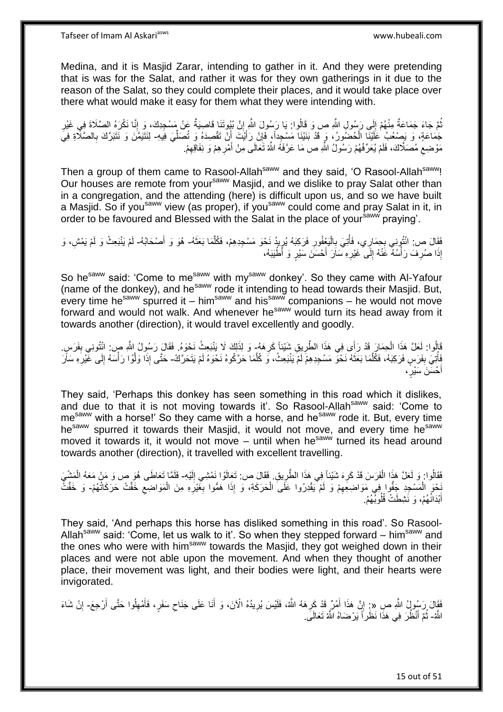Medina, and it is Masjid Zarar, intending to gather in it. And they were pretending that is was for the Salat, and rather it was for they own gatherings in it due to the reason of the Salat, so they could complete their places, and it would take place over there what would make it easy for them what they were intending with.

نْمَ جَاءَ جَمَاعَةٌ مِنْهُمْ إِلَى رَسُولِ اللَّهِ ص وَ قَالُوا: يَا رَسُولَ اللَّهِ إِنَّ بُيُوتَنَا قَاصِيَةٌ عَنْ مَسْجِدِكَ، وَ إِنَّا نَكْرَهُ الصَّلَاةَ فِي غَيْرِ ِ  $\frac{1}{2}$ ُ ِ ِ جَمَاعَةٍ، وَ يَصْعُبُ عَلَيْنَا الْحُضُورُ، وَ قَدْ بَنَيْنَا مَسْجِداً، فَإِنْ رَأَيْتَ أَنْ تَقْصِدَهُ وَ تُصَلِّيَ فِيهِ لِنَتَيَمَّنَ وَ نَتَبَرَّكَ بِالصَّلَاةِ فِيَ ْ ِّ اُ َ ِ ِ  $\zeta$ مَوْضِعِ مُصَلَّاكَ، فَلَمْ يُعَرِّفْهُمْ رَسُولُ اللَّهِ ص مَا عَرَّفَهُ اللَّهُ تَعَالَى مِنْ أَمْرِ هِمْ وَ نِفَاقِهِمْ. ِ ِ َ

Then a group of them came to Rasool-Allah<sup>saww</sup> and they said, 'O Rasool-Allah<sup>saww</sup>! Our houses are remote from your<sup>saww</sup> Masjid, and we dislike to pray Salat other than in a congregation, and the attending (here) is difficult upon us, and so we have built a Masjid. So if you<sup>saww</sup> view (as proper), if you<sup>saww</sup> could come and pray Salat in it, in order to be favoured and Blessed with the Salat in the place of yoursally praying'.

فَقَالَ ص: ائْتُونِي بِحِمَارِي، فَأُتِيَ بِالْيَعْفُورِ فَرَكِبَهُ يُرِيدُ نَحْوَ مَسْجِدِهِمْ، فَكُلَّمَا بَعَثَهُ- هُوَ وَ أَصْحَابُهُ- لَمْ يَنْبَعِثْ وَ لَمْ يَمْشِ، وَ<br>يَذِي مَسْ النُّونِي بِحِمَارٍي، فَأُتِيَ بِالْ َ ه ِ **∶** ْ **∶** ُ ِ لَ إِذَا صُرِفَ رَأْسُهٌ عََنْهُ إِلَى ۚغَيْرِهِ سَاَرَ أَحْسَنَ سَيْرٍ وَ أَطْيَنَهُ، َ **∶** ∣∣<br>∶ ا<br>ا ِ

So he<sup>saww</sup> said: 'Come to me<sup>saww</sup> with my<sup>saww</sup> donkey'. So they came with Al-Yafour (name of the donkey), and he<sup>saww</sup> rode it intending to head towards their Masjid. But, every time he<sup>saww</sup> spurred it – him<sup>saww</sup> and his<sup>saww</sup> companions – he would not move forward and would not walk. And whenever he<sup>saww</sup> would turn its head away from it towards another (direction), it would travel excellently and goodly.

قَالُوا: لَعَلَّ هَذَا الْحِمَارَ قَدْ رَأَى فِي هَذَا الطَّرِيقِ شَيْئاً كَرِهَهُ- وَ لِذَلِكَ لَا يَنْبَعِثُ نَحْوَهُ. فَقَالَ رَسُولُ اللَّهِ ص: ائْتُونِي بِفَرَسٍ. ِ **∶** ْ ِ فَأْتِيَ بِفَرَسٍ فَرَكِبَهُ، فَكُلَّمَا بَعَثَهُ نَحْوَ مَسْجِدِهِمْ لَمْ يَنْبَعِثْ، وَ كُلَّمَا حَرَكُوهُ نَحْوَهُ لَمْ يَتَحَرَّكْ- حَتَّى إِذَا وَلَوْا رَأْسَهُ إِلَى خَيْرِهِ مَأَر  $\ddot{\cdot}$ اً **ِ** ه ِ ِ **ہ میں** ه أَحْسَنَ سَيْرٍَ، َ

They said, 'Perhaps this donkey has seen something in this road which it dislikes, and due to that it is not moving towards it'. So Rasool-Allah<sup>saww</sup> said: 'Come to me<sup>saww</sup> with a horse!' So they came with a horse, and he<sup>saww</sup> rode it. But, every time he<sup>saww</sup> spurred it towards their Masjid, it would not move, and every time he<sup>saww</sup> moved it towards it, it would not move – until when he<sup>saww</sup> turned its head around towards another (direction), it travelled with excellent travelling.

فَقَالُوا. وَ لَعَلَّ هَذَا الْفَرَسَ قَدْ كَرِهَ شَيْئاً فِي هَذَا الطَّرِيقِ. فَقَالَ ص: تَعَالَوْا نَمْشِي إِلَيْهِ- فَلَمَّا تَعَاطَى هُوَ صٍ وَ مَنْ مَعَهُ الْمَشْيَ ِ ِ لَ ِ ْ َخْوَ الْمَسْجِدِ جَفُّوا فِي مَوَاضِعَهِمْ وَ لَمْ يَقْدِرُوا عَلَىَ الْحَرَكَةِ، وَ إِذَا هَمُّوا بِغَيْرِهِ مِنَ الْمَوَاضِعِ خَفَّتْ حَرَكَاتُهُمْ- وَ خَفَّتْ ِ **∶** ْ ِ ْ ِ أَبْدَانُهُمْ، وَ نََشِطَتْ قُلُوبُهُمْ. َ

They said, 'And perhaps this horse has disliked something in this road'. So Rasool-Allah<sup>saww</sup> said: 'Come, let us walk to it'. So when they stepped forward – him<sup>saww</sup> and the ones who were with him<sup>saww</sup> towards the Masjid, they got weighed down in their places and were not able upon the movement. And when they thought of another place, their movement was light, and their bodies were light, and their hearts were invigorated.

فَقَالَ رَسُولُ الثَّهِ صِ «: إِنَّ هَذَا أَمْرٌ قَدْ كَرِهَهُ الثَّهُ، فَلَيْسَ يُرِيدُهُ الْآنَ، وَ أَنَا عَلَى جَنَاحِ سَفَرٍ، فَأَمْهِلُوا حَتَّى أَرْجِعَ- إِنْ شَاءَ َ ِ َ ِ َ **∶** ِ َ **ี** ِ اللَّهُ- ثُمَّ أَنْظُرَ فِي هَذَا نَظَراً يَرْضَاهُ اللَّهُ تَعَالَى ۖ. َ ان<br>سال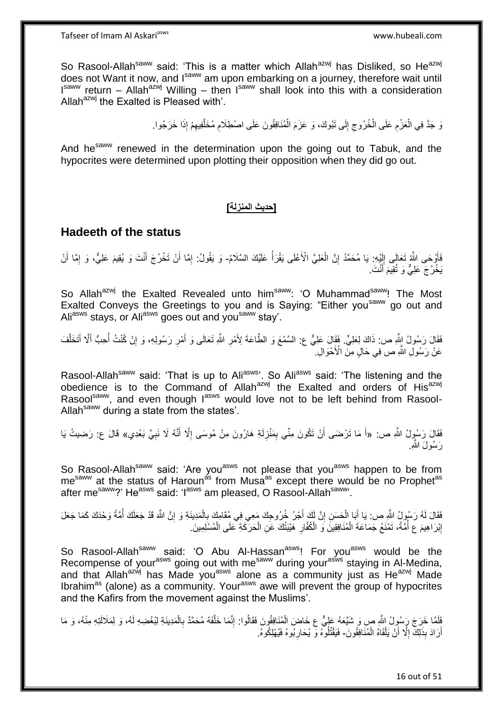Tafseer of Imam Al Askariasws www.hubeali.com

So Rasool-Allah<sup>saww</sup> said: 'This is a matter which Allah<sup>azwj</sup> has Disliked, so He<sup>azwj</sup> does not Want it now, and I<sup>saww</sup> am upon embarking on a journey, therefore wait until  $I<sup>saww</sup>$  return – Allah<sup>azwj</sup> Willing – then  $I<sup>saww</sup>$  shall look into this with a consideration Allah $^{azwj}$  the Exalted is Pleased with'.

> وَ جَدَّ فِي الْعَزْمِ عَلَى الْخُرُوجِ إِلَى نَبُوكَ، وَ عَزَمَ الْمُنَافِقُونَ عَلَى اصْطِلَامِ مُخَلَّفِيهِمْ إِذَا خَرَجُوا. ِ ه ِ ْ ∣∣<br>∶ ِ ِ ْ

And he<sup>saww</sup> renewed in the determination upon the going out to Tabuk, and the hypocrites were determined upon plotting their opposition when they did go out.

## **]حديث المنزلة[**

## **Hadeeth of the status**

فَأَوْحَى اللَّهُ تَعَالَى إِلَيْهِ: يَا مُحَمَّدُ إِنَّ الْعَلِيَّ الْأَعْلَى يَقْرَأُ عَلَيْكَ السَّلَامُ- وَ يَقُولُ: إِمَّا أَنْ تَخْرُجَ أَنْتَ وَ يُقِيمَ عَلِيٌّ، وَ إِمَّا أَنْ ْ ِ لَ  $\sum_{i=1}^{n}$ َ َ ِ َ َ ِ يَخْرُجَ عَلِيٌّ وَ تُقِيمَ أَنْتَ.

So Allah<sup>azwj</sup> the Exalted Revealed unto him<sup>saww</sup>: 'O Muhammad<sup>saww</sup>! The Most Exalted Conveys the Greetings to you and is Saying: "Either you<sup>saww</sup> go out and Aliasws stays, or Aliasws goes out and yousaww stay'.

فَقَالَ رَسُولُ ابِثَّهِ ص: ذَاكَ لِعَلِيٍّ. فَقَالَ عَلِيٌّ ع: السَّمْعَ وَ الطَّاعَةَ لِأَمْرِ اللَّهِ تَعَالَى وَ أَمْرِ رَسُولِهِ، وَ إِنْ كُنْتُ أُحِبُّ أَلَّا أَتَخَلَّفَ ِ َ **∶** ا<br>ا ِ ه َ عَنْ رَسُولِ اللَّهِ ص فِي حَالٍ مِنَ الْأَحْوَالِ أَ

Rasool-Allah<sup>saww</sup> said: 'That is up to Ali<sup>asws</sup>'. So Ali<sup>asws</sup> said: 'The listening and the obedience is to the Command of Allah<sup>azwj</sup> the Exalted and orders of His<sup>azwj</sup> Rasool<sup>saww</sup>, and even though lasws would love not to be left behind from Rasool-Allah<sup>saww</sup> during a state from the states'.

فَقَالَ رَسُولُ اللَّهِ ص: «أَ مَا تَرْضَى أَنْ تَكُونَ مِنِّي بِمَنْزِلَةِ هَارُونَ مِنْ مُوسَى إِلَّا أَنَّهُ لَا نَبِيَّ بَعْدِي» قَالَ ع: رَضِيتُ يَا ِ َ ِ لَ ِ ِ َ َ رَ سُولَ اللَّه

So Rasool-Allah<sup>saww</sup> said: 'Are you<sup>asws</sup> not please that you<sup>asws</sup> happen to be from me<sup>saww</sup> at the status of Haroun<sup>as</sup> from Musa<sup>as</sup> except there would be no Prophet<sup>as</sup> after me<sup>saww</sup>?' He<sup>asws</sup> said: 'I<sup>asws</sup> am pleased, O Rasool-Allah<sup>saww</sup>'.

فَقَالَ لَهُ رَسُولُ النَّهِ ص: يَا أَبَا الْحَسَنِ إِنَّ لَكَ أَجْرُ خُرُوجِكَ مَعِي فِي مُقَامِكَ بِالْمَدِينَةِ وَ إِنَّ اللَّهَ قَدْ جَعَلَكَ أُمَّةً وَحْدَكَ كَمَا جَعَلَ ِ ْ ِ ِ ْ َ ُ إِبْرَ اهِيمَ ع أُمَّةً، تَمْنَعُ جَمَاعَةَ الْمُنَافِقِينَ وَ الْكُفَّارِ هَيْيَتُكَ عَنِ الْحَرَّكَةِ عَلَى الْمُسْلِمِينَ ـ ِ ْ ا<br>ا <u>֖֚֚֚</u> ْ ْ

So Rasool-Allah<sup>saww</sup> said: 'O Abu Al-Hassan<sup>asws</sup>! For you<sup>asws</sup> would be the Recompense of your<sup>asws</sup> going out with me<sup>saww</sup> during your<sup>asws</sup> staying in Al-Medina, and that Allah<sup>azwj</sup> has Made you<sup>asws</sup> alone as a community just as He<sup>azwj</sup> Made Ibrahim<sup>as</sup> (alone) as a community. Your<sup>asws</sup> awe will prevent the group of hypocrites and the Kafirs from the movement against the Muslims'.

فَلَمَّا خَرَجَ رَسُولُ اللَّهِ صِ وَ شَيَّعَهُ عَلِيٌّ ع خَاضَ الْمُنَافِقُونَ فَقَالُوا: إِنَّمَا خَلَّفَهُ مُحَمَّدٌ بِالْمَدِينَةِ لِبُغْضِهِ لَهُ، وَ لِمَلَالَتِهِ مِنْهُ، وَ مَا ْ ْ **∶** ه ِ أَرَادَ بِذَلِكَ إِلَّا أَنْ يَلْقَاهُ الْمُنَافِقُونَ- فَيَقْتُلُوهُ وَ يُحَارِبُوهُ فَيُهْلِكُوهُ. ْ ا<br>ا ِ ْ **∶**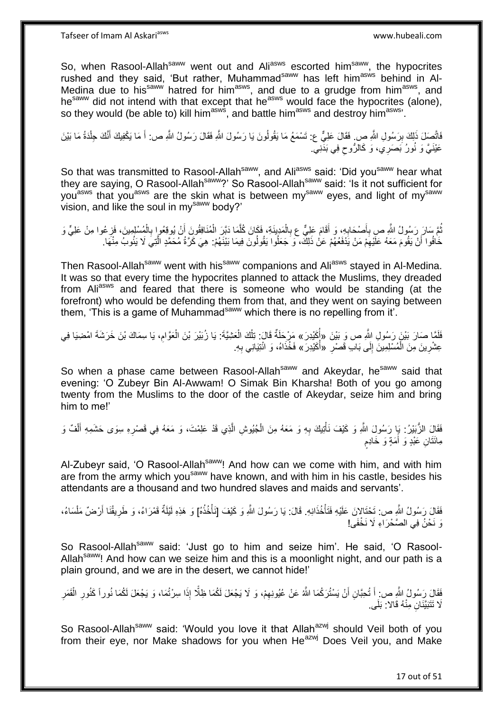Tafseer of Imam Al Askariasws www.hubeali.com

So, when Rasool-Allah<sup>saww</sup> went out and Ali<sup>asws</sup> escorted him<sup>saww</sup>, the hypocrites rushed and they said, 'But rather, Muhammad<sup>saww</sup> has left him<sup>asws</sup> behind in Al-Medina due to his<sup>saww</sup> hatred for him<sup>asws</sup>, and due to a grudge from him<sup>asws</sup>, and he<sup>saww</sup> did not intend with that except that he<sup>asws</sup> would face the hypocrites (alone), so they would (be able to) kill him<sup>asws</sup>, and battle him<sup>asws</sup> and destroy him<sup>asws</sup>.

فَاتَّصِلَ ذَلِكَ بِرَسُولِ اللَّهِ صِ فَقَالَ عَلِيٌّ ع: تَسْمَعُ مَا يَقُولُونَ يَا رَسُولَ اللَّهِ فَقَالَ رَسُولُ اللَّهِ ص: أَ مَا يَكْفِيكَ أَنَّكَ جِلْدَةُ مَا بَيْنَ ِ َ َ ْ عَيْنَيَّ وَ نُورُ بَصَرِي، وَ كَالرُّوحِ فِي بَدَّنِيؖ. ِ

So that was transmitted to Rasool-Allah<sup>saww</sup>, and Ali<sup>asws</sup> said: 'Did you<sup>saww</sup> hear what they are saying, O Rasool-Allah<sup>saww</sup>?' So Rasool-Allah<sup>saww</sup> said: 'Is it not sufficient for you<sup>asws</sup> that you<sup>asws</sup> are the skin what is between my<sup>saww</sup> eyes, and light of my<sup>saww</sup> vision, and like the soul in my<sup>saww</sup> body?'

ُمَّ سَارَ رَسُولُ اللَّهِ صِ بِأَصْحَابِهِ، وَ أَقَامَ عَلِيٌّ ع بِالْمَدِينَةِ، فَكَانَ كُلَّمَا دَبَّرَ الْمُنَافِقُونَ أَنْ يُوقِعُوا بِالْمُسْلِمِينَ، فَزِعُوا مِنْ عَلِيٍّ وَ ه ْ ِ **∶** َ ِ ِ ْ **∶** َ ْ خَافُوا أَنْ يَقُومَ مَعَهُ عَلَيْهِمْ مَنْ يَذَفَعُهُمْ عَنْ ذَلِكَ، وَ جَعَلُوا يَقُولُونَ فِيمَا بَيْنَهُمْ: هِيَ كَرَّةُ مُحَمَّدٍ الَّتِيَ لَا يَئُوبُ مِنْهَا. ِ

Then Rasool-Allah<sup>saww</sup> went with his<sup>saww</sup> companions and Ali<sup>asws</sup> stayed in Al-Medina. It was so that every time the hypocrites planned to attack the Muslims, they dreaded from Aliasws and feared that there is someone who would be standing (at the forefront) who would be defending them from that, and they went on saying between them, 'This is a game of Muhammad<sup>saww</sup> which there is no repelling from it'.

فَلَمَّا صَارَ بَيْنَ رَسُولِ اللَّهِ ص وَ بَيْنَ «أُكَيْدِرَ» مَرْحَلَةٌ قَالَ: تِلْكَ الْعَشِيَّةَ: يَا زُبَيْرَ بْنَ الْعَوَّامِ، يَا سِمَاكَ بْنَ خَرَشَةَ امْضِيَا فِي ِ ْ ْ ْ ُ عِشْرِينَ مِنَ الْمُسْلِمِينَ إِلَى بَابِ قَصْرِ ۚ «أُكَيْدِرَ » فَخُذَاهُ، وَ ائْتِيَانِي بِهِ. ِ **∶** ِ ا<br>ا ِ

So when a phase came between Rasool-Allah<sup>saww</sup> and Akeydar, he<sup>saww</sup> said that evening: 'O Zubeyr Bin Al-Awwam! O Simak Bin Kharsha! Both of you go among twenty from the Muslims to the door of the castle of Akeydar, seize him and bring him to me!'

فَقَالَِ الزُّبَيْرُ: يَإِ رَسُولَِ اللَّهِ وَ كَيْفَ نَأْتِيكَ بِهِ وَ مَعَهُ مِنَ الْجُيُوشِ الَّذِي قَدْ عَلِمْتَ، وَ مَعَهُ فِي قَصْرِهِ سِوَى حَشَمِهِ أَلْفٌ وَ ْ َ ِ ه ْ ِ **ٔ** ٍ مِانَٰثَانِ عَبْدٍ وَ أُمَةٍ وَ خَادِمٍ َ

Al-Zubeyr said, 'O Rasool-Allah<sup>saww</sup>! And how can we come with him, and with him are from the army which you<sup>saww</sup> have known, and with him in his castle, besides his attendants are a thousand and two hundred slaves and maids and servants'.

فَقَالَ رَسُولُ اللَّهِ ص: تَحْتَالانَ عَلَيْهِ فَتَأْخُذَاذِهِ. قَالَ: يَا رَسُولَ اللَّهِ وَ كَيْفَ [نَأْخُذُهُ] وَ هَذِهِ لَيْلَةٌ قَفْرَاءُ، وَ طَرِيقُنَا أَرْضٌ مَلْسَاءُ، ْ ْ ْ َ ِ وَ نَحْنُ فِي الصَّحْرَ اءِ لَا نَخْفَى!

So Rasool-Allah<sup>saww</sup> said: 'Just go to him and seize him'. He said, 'O Rasool-Allah<sup>saww</sup>! And how can we seize him and this is a moonlight night, and our path is a plain ground, and we are in the desert, we cannot hide!'

فَقَالِ رَسُولُ اللَّهِ ص: أَ تُحِبَّانِ أَنْ يَسْتُرَكُمَا اللَّهُ عَنْ عُيُونِهِمْ، وَ لَا يَجْعَلَ لَكُمَا فِلَّذ<br>فَقَالِ رَسُولُ اللَّهِ ص: أَ تُحِبَّانِ أَنْ يَسْتُرَكُمَا اللَّهُ عَنْ عُيُونِهِمْ، وَ لَا يَجْعَلَ لَ ِ َ ْ ِ ِ َلَا تَتَبَيَّنَانِ مِنْهُ قَالاً: بَلَى.

So Rasool-Allah<sup>saww</sup> said: 'Would you love it that Allah<sup>azwj</sup> should Veil both of you from their eye, nor Make shadows for you when He<sup>azwj</sup> Does Veil you, and Make

17 out of 51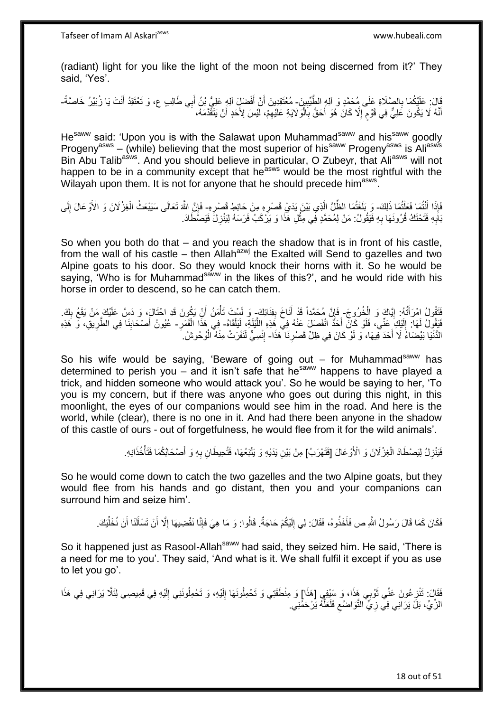(radiant) light for you like the light of the moon not being discerned from it?' They said, 'Yes'.

قَالَ: عَلَيْكُمَا بِالصَّلَاةِ عَلَى مُحَمَّدٍ وَ آلِهِ الطَّيِّبِينَ- مُعْتَقِدِينَ أَنَّ أَفْضَلٍّ آلِهٍ عَلِيُّ بْنُ أَبِي طَالِبٍ ع، وَ تَعْتَقِدُ أَنْتَ يَا زُبَيْرُ خَاصَّةً-**!** ِ َ َ َ أَنَّهُ لَا يَكُونَ عَلِيٌّ فِي قَوْمٍ إِلَّا كَانَ هُوَ أَحَقَّ بِالْوَلَايَةِ عَلَيْهِمْ، لَّيْسَ لِأَحَدٍ أَنْ يَتَقَّدَّمَهُ، ֺ֪֪֪֪֪֦֪֪֪֦֪֪֦֪֪֦֪֪֦֝֘֝֘֝֟֓֟֘֝֟֓֟֘֝֟֓֡֟֓֟֓֡֟֓֟֓֡֟֓֟֓֟֡֟֓֞֟֓֡֟֓֡֟֓֟֡֡֡֬֞֓֞֓֞֞֟֞֟֞֓֞֞֟֞֟֞֟֞֟֟ اُ ِ ا<br>ا **∶** َ ِ ٍ

He<sup>saww</sup> said: 'Upon you is with the Salawat upon Muhammad<sup>saww</sup> and his<sup>saww</sup> goodly Progeny<sup>asws</sup> – (while) believing that the most superior of his<sup>saww</sup> Progeny<sup>asws</sup> is Ali<sup>asws</sup> Bin Abu Talib<sup>asws</sup>. And you should believe in particular, O Zubeyr, that Ali<sup>asws</sup> will not happen to be in a community except that he<sup>asws</sup> would be the most rightful with the Wilayah upon them. It is not for anyone that he should precede him<sup>asws</sup>.

فَإِذَا أَنْثُمَا فَعَلْتُمَا ذَلِكَ- وَ بَلَغْتُمَا الظِّلِّ الَّذِي بَيْنَ يَدَيْ قَصْرِهِ مِنْ حَائِطٍ قَصْرِهِ- فَإِنَّ اللَّهَ تَعَالَى سَيَبْعَثُ الْغِزْ لَانَ وَ الْأَوْعَالَ إِلَى ْ َ ِ ِ ه ْ ا ِ بَابِهِ فَتَحْتَكُ قُرُونَهَا بِهِ فَيَقُولُ: مَنْ لِمُحَمَّدٍ فِي مِثْلِ هَذَا وَ يَرْكَبُ فَرَسَهُ لِيَنْزِلَ فَيَصَطَادَ. ِ ِ **ٍ ٔ** 

So when you both do that – and you reach the shadow that is in front of his castle, from the wall of his castle – then Allah<sup>azwj</sup> the Exalted will Send to gazelles and two Alpine goats to his door. So they would knock their horns with it. So he would be saying. 'Who is for Muhammad<sup>saww</sup> in the likes of this?', and he would ride with his horse in order to descend, so he can catch them.

فَتَقُولُ امْرَأَتُهُ: إِيَّاكَ وَ الْخُرُوجَ- فَإِنَّ مُحَمَّداً قَدْ أَنَاخَ بِفِنَائِكَ- وَ لَسْتَ تَأْمَنُ أَنْ يَكُونَ قَدِ احْتَالَ، وَ دَسَّ عَلَيْكَ مَنْ يَقَعُ بِكَ. <u>֖֖֚֚֚֓</u>ׇ֛֚ َ ارا<br>مُحَمَّةٌ **∣** َ ِ َ ْ َفَيَقُولُ لَهَا: إِلَيْكِ عَنِّي، فَلَوْ كَانَ أَحَدٌ انْفَصَلَ عَنْهُ فِي هَذِهِ اللَّيْلَةِ، لَيَلْقَاهُ- فِي هَذَا الْقَمَرِ- عُيُونُ أَصْحَابِنَا فِي الطَّرِيقِ، وَ هَذِهِ لَ ِ ْ ه **∶** ْ ِ **!** َ الدُّنْيَا بَيْضَاءُ لَا أَحَدَ قِيهَا، وَ لَوْ كَانَ فِي ظِلِّ قَصْرِنَا ۚ هَذَا- إِنْسِيٌّ لَنَفَرَتْ مِنْهُ الْوُحُوشُ. **∶** َ ْ ِ

So his wife would be saying, 'Beware of going out  $-$  for Muhammad<sup>saww</sup> has determined to perish you – and it isn't safe that he<sup>saww</sup> happens to have played a trick, and hidden someone who would attack you'. So he would be saying to her, 'To you is my concern, but if there was anyone who goes out during this night, in this moonlight, the eyes of our companions would see him in the road. And here is the world, while (clear), there is no one in it. And had there been anyone in the shadow of this castle of ours - out of forgetfulness, he would flee from it for the wild animals'.

> ْ فَيَنْزِلُ لِيَصْطَادَ الْغِزْلَانَ وَ الْأَوْعَالَ [فَتَهْرَبُ] مِنْ بَيْنِ يَدَيْهِ وَ يَتْبَعُهَا، فَتُعِيطَانِ بِهِ وَ أَصْحَابُكُمَا فَتَأْخُذَانِهِ. ِ ْ َ **∶**

So he would come down to catch the two gazelles and the two Alpine goats, but they would flee from his hands and go distant, then you and your companions can surround him and seize him'.

فَكَانَ كَمَا قَالَ رَسُولُ اللَّهِ ص فَأَخَذُوهُ، فَقَالَ: لِي إِلَيْكُمْ حَاجَةٌ. قَالُوا: وَ مَا هِيَ فَإِنَّا نَقْضِيهَا إِلَّا أَنْ نَسْأَلَنَا أَنْ نُخَلِّيَكَ. لَ ِ َ ِ ∣اٍ ِّ َ Í َ

So it happened just as Rasool-Allah<sup>saww</sup> had said, they seized him. He said, 'There is a need for me to you'. They said, 'And what is it. We shall fulfil it except if you as use to let you go'.

فَقَالَ: تَنْزِعُونَ عَنِّي ثَوْبِي هَذَا، وَ سَيْفِي [هَذَا] وَ مِنْطَقَتِي وَ تَحْمِلُونَهَا إِلَيْهِ، وَ تَحْمِلُونَنِي إِلَيْهِ فِي قَمِيصِمِي لِئَلَّا يَرَانِي فِي هَذَا ِ لَ ِ لَ  $\frac{1}{2}$ ة<br>أ الزِّيِّ، بَلُّ يَرَانِي فِي زِيٍّ النَّوَاضُعِ فَلَعَلَّهُ يَرْحَمِّنِي ه ِ **∶**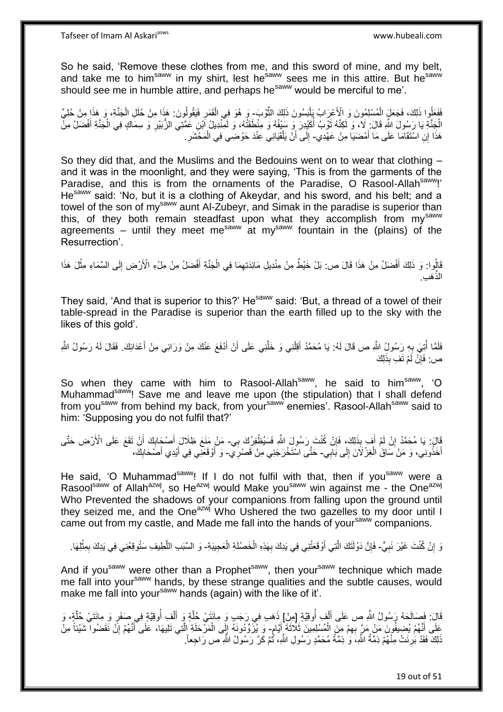Tafseer of Imam Al Askariasws www.hubeali.com

So he said, 'Remove these clothes from me, and this sword of mine, and my belt, and take me to him<sup>saww</sup> in my shirt, lest he<sup>saww</sup> sees me in this attire. But he<sup>saww</sup> should see me in humble attire, and perhaps he<sup>saww</sup> would be merciful to me'.

فَعَلُوا ذَلِكَ، فَجَعَلَ الْمُسْلِمُونَ وَ الْأَعْرَابُ بَلْنَسُونَ ذَلِكَ النُّوْبَ- وَ هُوَ فِي الْقَمَرِ فَيَقُولُونَ: هَذَا مِنْ حُلَل الْجَذَّةِ، وَ هَذَا مِنْ حُلِيِّ ْ ه ْ ْ ِ ْ الْجَنَّةِ يَا رَسُولَ اللَّهِ قَالَ: لَا، وَ لَكِنَّهُ ثَوْبُ أُكَيْدِرَ وَ سَيْفُهُ وَ مِنْطَقَتُهُ، وَ لَمِنْدِيلُ إَبْنِ عَمَّتِي الزُّبَيْرِ وَ سِمَاكٍ فِي الْجَنَّةِ أَفْضَلُ مِنْ ا<br>ا ة<br>أ َ ْ ِ هَذَا إِنِ اسْتَقَامَا عَلَى مَا أَمْضَنَيا مِنْ عَهْدِي- إِلَى أَنْ يَلْقَيَانِي عِنْدَ حَوْضِي فِي الْمَخْشَرِ َ ْ ∣∣<br>∶ ِ ْ

So they did that, and the Muslims and the Bedouins went on to wear that clothing – and it was in the moonlight, and they were saying, 'This is from the garments of the Paradise, and this is from the ornaments of the Paradise, O Rasool-Allah<sup>saww</sup>!' He<sup>saww</sup> said: 'No, but it is a clothing of Akeydar, and his sword, and his belt; and a towel of the son of my<sup>saww</sup> aunt Al-Zubeyr, and Simak in the paradise is superior than this, of they both remain steadfast upon what they accomplish from mysaww agreements – until they meet me<sup>saww</sup> at my<sup>saww</sup> fountain in the (plains) of the Resurrection'.

قَالُوا: وَ ذَلِكَ أَفْضَلُ مِنْ هَذَا قَالَ ص: بَلْ خَيْطٌ مِنْ مِنْدِيلِ مَائِدَتِهِمَا فِي الْجَنَّةِ أَفْضَلُ مِنْ مِلْءِ الْأَرْضِ إِلَى السَّمَاءِ مِثْلَ هَذَا َ ْ ِ َ :<br>نا ْ ِ َه ِب. الذه

They said, 'And that is superior to this?' He<sup>saww</sup> said: 'But, a thread of a towel of their table-spread in the Paradise is superior than the earth filled up to the sky with the likes of this gold'.

فَلَمَّا أُتِيَ بِهِ رَسُولُ اللَّهِ ص قَالَ لَهُ: يَا مُحَمَّدُ أَقِلْنِي وَ خَلِّنِي عَلَى أَنْ أَذْفَعَ عَنْكَ مِنْ وَرَائِي مِنْ أَعْدَائِكَ. فَقَالَ لَهُ رَسُولُ اللَّهِ َ اُ ِّ ْ َ ِ ر<br>ا َ ص: فَإِنْ لَمْ تَفِ بِذَلِكَ ِ

So when they came with him to Rasool-Allah<sup>saww</sup>, he said to him<sup>saww</sup>, 'O Muhammad<sup>saww</sup>! Save me and leave me upon (the stipulation) that I shall defend from you<sup>saww</sup> from behind my back, from your<sup>saww</sup> enemies'. Rasool-Allah<sup>saww</sup> said to him: 'Supposing you do not fulfil that?'

َالَ: يَا مُحَمَّدُ إِنْ لَمْ أَفٍ بِذَلِكَ، فَإِنْ كُنْتَ رَسُولَ اللَّهِ فَسَيُطْفِرُكَ بِي- مَنْ مَنَعَ ظِلَالَ أَصْحَابِكَ أَنْ تَقَعَ عَلَى الْأَرْضِ حَتَّى ِ َ ِ َ **∶** َ أَخَذُونِي، وَ مَنْ َسَاقَ الْغِزْ لَاَنَ إِلَى بَابِي- حَتَّى اسْتَخْرَجَنِي مِنْ قَصْرِيِّ- وَ أَوْقَعَنِي فِي أَيْدِي أَصَحَابِكَ،  $\frac{1}{2}$ ْ ِ َ ِ َ َ

He said, 'O Muhammad<sup>saww</sup>! If I do not fulfil with that, then if you<sup>saww</sup> were a Rasool<sup>saww</sup> of Allah<sup>azwj</sup>, so He<sup>azwj</sup> would Make you<sup>saww</sup> win against me - the One<sup>azwj</sup> Who Prevented the shadows of your companions from falling upon the ground until they seized me, and the One $a^2$ <sup>wj</sup> Who Ushered the two gazelles to my door until I came out from my castle, and Made me fall into the hands of your<sup>saww</sup> companions.

رَ إِنْ كُنْتَ غَيْرَ نَبِيٍّ- فَإِنَّ دَوْلَتَكَ الَّتِي أَوْقَعَتْنِي فِي يَدِكَ بِهَذِهِ الْخَصْلَةِ الْعَجِيبَةِ- وَ السَّبَبِ اللَّطِيفِ سَتُوقِعُنِي فِي يَدِكَ بِمِثْلِهَا. **∶**  ِ ِ َ ْ ْ ِ ِ ه

And if you<sup>saww</sup> were other than a Prophet<sup>saww</sup>, then your<sup>saww</sup> technique which made me fall into yoursaww hands, by these strange qualities and the subtle causes, would make me fall into your<sup>saww</sup> hands (again) with the like of it'.

قَالَ: فَصَالَحَهُ رَسُولُ اللَّهِ ص عَلَى أَلْفٍ أُوقِيَّةٍ إِمِنِْ] ذَهَبٍ فِي رَجَبٍ وَ مِائَتَيْ جُلَّةٍ وَ<br>قَالَ: فَصَالَحَهُ رَسُولُ اللَّهِ ص عَلَى أَلْفٍ أُوقِيَّةٍ إِمِنِْ] ذَهَبٍ فِي رَجَبٍ وَ مِائَتَيْ مَائَةٍ و ُ ْ َ ه ا<br>ا ْ َ ه عَلَى أَنَّهُمْ يُضِيفُونَ مَنْ مَرَّ بِهِمْ مِنِّ الْمُسْلِمِينَ ثَلَاثَةً إِنَّامٍ- وَ يُزَرَّوُدُونَهُ إِلَى الْمَرْحَلَةِ الَّتِي تَلِيهَا، عَلَى أَنَّهُمْ إِنَّ نَقَضُوا تَشَيْئاً مِنْ ٍ َ ْ ِ ِ َ ه ْ ِ َذَلِكَ فَقَدْ بُرِئَتْ مِنْهُمْ ذِمَّةُ اللَّهِ، َوَ ٰذِمَّةُ مُحَمَّدٍ رَسُولِ اللَّهِ، ثُمَّ كَرَّ رَسُولُ اللَّهِ ص رَاجِعاً. **∶** :<br>-<br>-

19 out of 51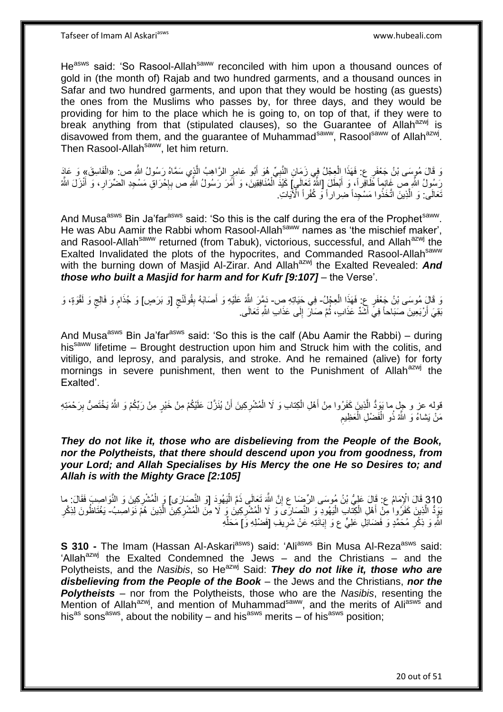He<sup>asws</sup> said: 'So Rasool-Allah<sup>saww</sup> reconciled with him upon a thousand ounces of gold in (the month of) Rajab and two hundred garments, and a thousand ounces in Safar and two hundred garments, and upon that they would be hosting (as guests) the ones from the Muslims who passes by, for three days, and they would be providing for him to the place which he is going to, on top of that, if they were to break anything from that (stipulated clauses), so the Guarantee of Allah<sup>azwj</sup> is disavowed from them, and the guarantee of Muhammad<sup>saww</sup>, Rasool<sup>saww</sup> of Allah<sup>azwj</sup>. Then Rasool-Allah<sup>saww</sup>, let him return.

وَ قَالَ مُوسَى بْنُ جَعْفَرٍ عِ فَهَذَا الْعِجْلُ فِي زَمَانِ النَّبِيِّ هُوَ أَبُو عَامِرٍ الرَّاهِبُ الَّذِي سَمَّاهُ رَسُولُ اللَّهِ ص: «الْفَاسِقَ» وَ عَادَ ه َ **∶** ْ رَسُولُ اللَّهِ صَ غَانِماً ظَافِراً، وَ أَبْطَلَ [اللَّهُ تَعَالَمِ] كَلِنَةَ ٱلْمُنَافِقِينَ، وَ أَمَرَ رَسُولُ اللَّهِ ص بِإِحْرَاقِ مَسْجِدِ الضّرَارِ، وَ أَنْزَلَ اللَّهُ َ َ ِ ا.<br>ب ِ َ ْ تَعَالَى: وَ الَّذِينَ اتَّخَذُوا مَسْجِداً ضِراراً وَ كُفْراً الْأَيَاتِ. ه

And Musa<sup>asws</sup> Bin Ja'far<sup>asws</sup> said: 'So this is the calf during the era of the Prophet<sup>saww</sup>. He was Abu Aamir the Rabbi whom Rasool-Allah<sup>saww</sup> names as 'the mischief maker', and Rasool-Allah<sup>saww</sup> returned (from Tabuk), victorious, successful, and Allah<sup>azwj</sup> the Exalted Invalidated the plots of the hypocrites, and Commanded Rasool-Allah<sup>saww</sup> with the burning down of Masjid Al-Zirar. And Allah<sup>azwj</sup> the Exalted Revealed: **And** *those who built a Masjid for harm and for Kufr [9:107]* – the Verse'.

زَ قَالٍَ مُوسَى بْنُ جَعْفَرٍ عِ فَهَذِا الْعِجْلُ- فِي حَيَاتِهِ صِ- دَمَّرَ اللَّهُ عَلَيْهِ وَ أَصَابَهُ بِقُولَنْجِ [وَ بَرَصٍ] وَ جُذَامٍ وَ فَالِجٍ وَ لَقْوَةٍ، وَ ْ ٍ َ ٍ ٍ بَقِيَ أَرْبَعِينَ صَبَاحاً فِيَ أَشَدٌ عَذَابٍ، ثُمَّ صَالَ إِلَى عَذَابِ اللَّهِ تَعَالَى ِ َ َ ِ ُ

And Musa<sup>asws</sup> Bin Ja'far<sup>asws</sup> said: 'So this is the calf (Abu Aamir the Rabbi) – during his<sup>saww</sup> lifetime – Brought destruction upon him and Struck him with the colitis, and vitiligo, and leprosy, and paralysis, and stroke. And he remained (alive) for forty mornings in severe punishment, then went to the Punishment of Allah<sup>azwj</sup> the Exalted'.

قوله عز و جِل ما يَوَدُّ الَّذِينَ كَفَرُوا مِنْ أَهْلِ الْكِتابِ وَ لَا الْمُشْرِكِينَ أَنْ يُنَزَّلَ عَلَيْكُمْ مِنْ خَيْرٍ مِنْ رَبِّكُمْ وَ اللَّهُ يَخْتَصُّ بِرَحْمَتِهِ اُ **∶** ْ ْ َ ِ مَنْ يَشاءُ وَ اللَّهُ ذُو الْفَضْلِ الْعَظِيمِ ْ ْ

*They do not like it, those who are disbelieving from the People of the Book, nor the Polytheists, that there should descend upon you from goodness, from your Lord; and Allah Specialises by His Mercy the one He so Desires to; and Allah is with the Mighty Grace [2:105]*

310 قَالَ الْإِمَامُ ع: قَالَ عَلِيُّ بْنُ مُوسَى الرِّضَا عِ إِنَّ اللَّهَ تَعَالَى ذَمَّ الْيَهُودَ [وَ النَّصَارَى] وَ الْمُشْرِكِينَ وَ النَّوَاصِبَ فَقَالَ: ما<br>وَأَمْرَتُ وَ النَّوَاتِ الْإِمَامُ عَنْ أَيْنِ مِنْ أَو ْ ا<br>ا ِ يَوِدُّ الَّذِينَ كَفَرُوا مِنْ أَهْلِ الْكِتَابِ الْيَهُودِ وَ النَّصَارَىَ وَ لَا الْمُتْشْرِكِينَ وَ لَا مِنَ الْمُتْشْرِكِينَ الَّذِينَ هُمَّ نَوَاصِبُ- يَغْتَاظُونَ لِذِكْرِ ْ َ ِ ْ ه **∶** ْ ِ اللَّهِ وَ ذِكْرِ مُحَمَّدٍ وَ فَضَائِلِ عَلِيٍّ ع وَ إِبَانَتِهِ عَنْ شَرِيفِ [فَضْلِهِ وَ] مَحَلِّهِ ِ ِّ ِ ِ

**S 310 -** The Imam (Hassan Al-Askari<sup>asws</sup>) said: 'Ali<sup>asws</sup> Bin Musa Al-Reza<sup>asws</sup> said: 'Allah<sup>azwj</sup> the Exalted Condemned the Jews – and the Christians – and the Polytheists, and the *Nasibis*, so He<sup>azwj</sup> Said: **They do not like it, those who are** *disbelieving from the People of the Book* – the Jews and the Christians, *nor the Polytheists* – nor from the Polytheists, those who are the *Nasibis*, resenting the Mention of Allah<sup>azwj</sup>, and mention of Muhammad<sup>saww</sup>, and the merits of Ali<sup>asws</sup> and his<sup>as</sup> sons<sup>asws</sup>, about the nobility – and his<sup>asws</sup> merits – of his<sup>asws</sup> position;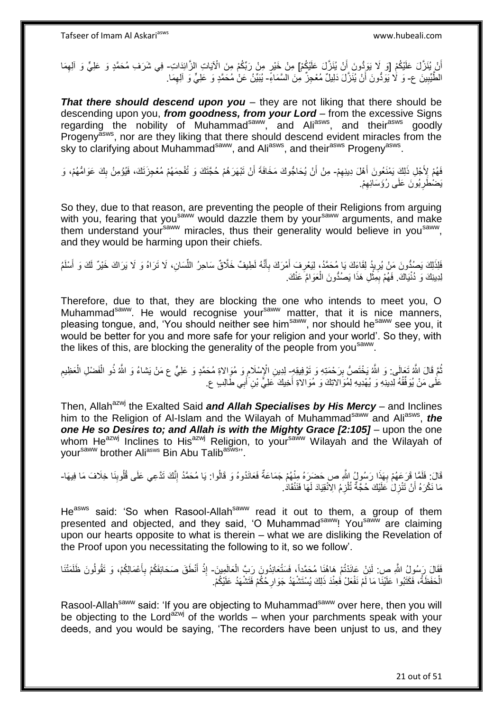أَنْ يُنَزَّلَ عَلَيْكُمْ [وَ لَا يَوَدُّونَ أَنْ يُنَزَّلَ عَلَيْكُمْ] مِنْ خَيْرٍ مِنْ رَبِّكُمْ مِنَ الْآياتِ الزَّائِدَاتِ- فِي شَرَف مُحَمَّدٍ وَ عَلِيٍّ وَ الْعِمَا َ ِ الطَّيِّبِينَ ع- وَ لَا يُوَدُّونَ أَنْ يُنَزَّلَ دَلِيلٌ مُعْجِزٌ. مِنَ السَّمَاءِّ- يُبَيِّنُ عَنْ مُحَمَّدٍ وَ عَلِيٍّ وَ الْعِمَا. ِ اً ِ

*That there should descend upon you* – they are not liking that there should be descending upon you, *from goodness, from your Lord* – from the excessive Signs regarding the nobility of Muhammad<sup>saww</sup>, and Ali<sup>asws</sup>, and their<sup>asws</sup> goodly Progenyasws, nor are they liking that there should descend evident miracles from the sky to clarifying about Muhammad<sup>saww</sup>, and Ali<sup>asws</sup>, and their<sup>asws</sup> Progeny<sup>asws</sup>.

فَهُمْ لِأَجْلِ ذَلِكَ يَمْنَعُونَ أَهْلَ دِينِهِمْ- مِنْ أَنْ يُحَاجُوكَ مَخَافَةَ أَنْ تَبْهَرَهُمْ حُجَّتَكَ وَ تُفْحِمَهُمْ مُعْجِزَتَكَ، فَيُؤمِنُ بِكَ عَوَامُّهُمْ، وَ ِ َ ِ َ اُ يَضْطَرِبُورَ عَلَى رُؤَسَائِهِمْ. ِ **∶** 

So they, due to that reason, are preventing the people of their Religions from arguing with you, fearing that you<sup>saww</sup> would dazzle them by your<sup>saww</sup> arguments, and make them understand your<sup>saww</sup> miracles, thus their generality would believe in you<sup>saww</sup>, and they would be harming upon their chiefs.

َفَلِذَلِكَ يَصُدُّونَ مَنْ يُرِيدُ لِقَاءَكَ يَا مُحَمَّدُ، لِيَعْرِفَ أَمْرَكَ بِأَنَّهُ لَطِيفٌ خَلَّاقٌ سَاحِرُ اللَّسَانِ، لَا تَرَاهُ وَ لَا يَرَاكَ خَيْرٌ لَكَ وَ أَسْلَمُ َ ِ َ ِ ِ َ ِّ لِدِينِكَ وَ دُنْيَاكَ. فَهُمْ بِمِثْلِ هَذَا يَصُدُّونَ الْعَوَامَّ عَنْكَ. ْ ِ ْ

Therefore, due to that, they are blocking the one who intends to meet you, O Muhammad<sup>saww</sup>. He would recognise your<sup>saww</sup> matter, that it is nice manners, pleasing tongue, and, 'You should neither see him<sup>saww</sup>, nor should he<sup>saww</sup> see you, it would be better for you and more safe for your religion and your world'. So they, with the likes of this, are blocking the generality of the people from you<sup>saww</sup>.

نُّمَّ قَالَ اللَّهُ تَعَالَى: وَ اللَّهُ يَخْتَصُّ بِرَحْمَتِهِ وَ تَوْفِيقِهِ لِدِينِ الْإِسْلَامِ وَ مُوَالاةِ مُحَمَّدٍ وَ عَلِيٍّ ع مَنْ يَشاءُ وَ اللَّهُ نُو الْفَضْلِ الْعَظِيمِ ِ ِ ِ ْ ْ عَلَى مَنْ يُوَفِّقُهُ لِدِينِهِ وَ يُهْدِيهِ لِمُوَالاتِكَ وَ مُوَالاةِ أَخِيكَ عَلِيٍّ بْنِ َأَبِي طَالِبٍ ع َ َ

Then, Allah<sup>azwj</sup> the Exalted Said *and Allah Specialises by His Mercy* – and Inclines him to the Religion of Al-Islam and the Wilayah of Muhammad<sup>saww</sup> and Ali<sup>asws</sup>, the *one He so Desires to; and Allah is with the Mighty Grace [2:105]* – upon the one whom He<sup>azwj</sup> Inclines to His<sup>azwj</sup> Religion, to your<sup>saww</sup> Wilayah and the Wilayah of your<sup>saww</sup> brother Ali<sup>asws</sup> Bin Abu Talib<sup>asws</sup>''.

قَالَ: فَلَمَّا قَرَعَهُمْ بِهَذَا رَسُولُ اللَّهِ ص حَضَرَهُ مِنْهُمْ جَمَاعَةٌ فَعَانَدُوهُ وَ قَالُوا: يَا مُحَمَّدُ إِنَّكَ تَدَّعِي عَلَى قُلُوبِنَا خِلَافَ مَا فِيهَا-ُ **∶** ِ ِ مَا نَكْرَهُ أَنْ تَنْزِلَٰ عَلَيْكَ حُجَّةٌ تُلْزِمُ الِانْقِيَادَ لَهَا فَنَنْقَادَ ـِ ِ **∶** 

He<sup>asws</sup> said: 'So when Rasool-Allah<sup>saww</sup> read it out to them, a group of them presented and objected, and they said, 'O Muhammad<sup>saww</sup>! You<sup>saww</sup> are claiming upon our hearts opposite to what is therein – what we are disliking the Revelation of the Proof upon you necessitating the following to it, so we follow'.

فَقَالَ رَسُولُ اللَّهِ ص: لَئِنْ عَانَدْتُمْ هَاهُنَا مُحَمَّداً، فَسَتُعَانِدُونَ رَبَّ الْعَالَمِينَ- إِذْ أَنْطَقَ صَحَائِفَكُمْ بِأَعْمَالِكُمْ، وَ تَقُولُونَ ظَلَمَتْنَا ْ َ ِ َ **ٔ** الْحَفَظَةُ، فَكَتَبُوا عَلَيْنَا مَا لَمْ نَفْعَلْ فَعِنْدَ ذَلِكَ يُسْتَشْهَدُ جَوَارِحُكُمْ فَتَشْهَدُ عَلَيْكُمْ. ْ ِ

Rasool-Allah<sup>saww</sup> said: 'If you are objecting to Muhammad<sup>saww</sup> over here, then you will be objecting to the Lord<sup>azwj</sup> of the worlds – when your parchments speak with your deeds, and you would be saying, 'The recorders have been unjust to us, and they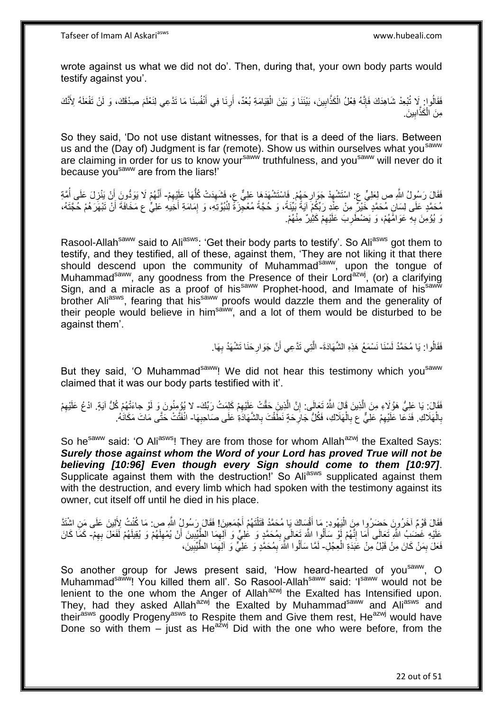wrote against us what we did not do'. Then, during that, your own body parts would testify against you'.

فَقَالُوا: لَا تُبْعِدْ شَاهِدَكَ فَإِنَّهُ فِعْلُ الْكَذَّابِينَ، بَيْنَنَا وَ بَيْنَ الْقِيَامَةِ بُعْدٌ، أَرِنَا فِي أَنْفُسِنَا مَا تَدَّعِي لِنَعْلَمَ صِدْقَكَ، وَ لَنْ تَفْعَلَهُ لِأَنَّكَ **∶** اً ْ **!** ْ ِ َ مِنَ الْكَذَّابِينَ. ْ ِ

So they said, 'Do not use distant witnesses, for that is a deed of the liars. Between us and the (Day of) Judgment is far (remote). Show us within ourselves what you<sup>saww</sup> are claiming in order for us to know your<sup>saww</sup> truthfulness, and you<sup>saww</sup> will never do it because you<sup>saww</sup> are from the liars!'

فَقَالَ رَسُولُ اللَّهِ ص لِعَلِيٍّ ع: اسْتَشْهِدْ جَوَارِحَهُمْ. فَاسْتَشْهَدَهَا عَلِيٌّ ع، فَشَهِدَتْ كُلُّهَا عَلِيْهِمْ- أَنَّهُمْ لَا يَوَدُّونَ أَنْ يَنْزِلَ عَلَى أُمَّةِ ِ ُّ ِ ِ ِ ُ ِ َ َ مُحَمَّدٍ عَلَى لِسَانٍ مُحَمَّدٍ خَيْرٌ مِنْ عِنْدٍ رَبِّكُمْ آيَةً بُيِّنَةً، وَ حُجَّةً مُعْجِزَةً لِنُبُوَّتِهِ، وَ إِمَامَةِ أَخِيهِ عَلِيٌّ ع مَخَافَةَ أَنْ تَبْهَرَهُمْ حُجَّتَهُ، َ ِ َ َوَ يُؤْمِنَ بِهِ عَوَاهًَهُمْ، وَ يَضْطَرِبَ عَلَيْهِمْ كَثِيْرٌ مِنْهُمْ. ِ ِ ِ

Rasool-Allah<sup>saww</sup> said to Ali<sup>asws</sup>: 'Get their body parts to testify'. So Ali<sup>asws</sup> got them to testify, and they testified, all of these, against them, 'They are not liking it that there should descend upon the community of Muhammad<sup>saww</sup>, upon the tongue of Muhammad<sup>saww</sup>, any goodness from the Presence of their Lord<sup>azwj</sup>, (or) a clarifying Sign, and a miracle as a proof of his<sup>saww</sup> Prophet-hood, and Imamate of his<sup>saww</sup> brother Aliasws, fearing that his<sup>saww</sup> proofs would dazzle them and the generality of their people would believe in himsaww, and a lot of them would be disturbed to be against them'.

> فَقَالُوا: يَا مُحَمَّدُ لَسْنَا نَسْمَعُ هَذِهِ الشَّهَادَةَ- الَّتِي تَدَّعِي أَنَّ جَوَارِحَنَا تَشْهَدُ بِهَا. ِ **ٍ** َ ه

But they said, 'O Muhammad<sup>saww</sup>! We did not hear this testimony which you<sup>saww</sup> claimed that it was our body parts testified with it'.

فَقَالَ: يَا عَلِيُّ هَؤُلَاءِ مِنَ الَّذِينَ قَالَ اللَّهُ تَعَالَى: إِنَّ الَّذِينَ حَقَّتْ عَلَيْهِمْ كَلِمَتُ رَبِّكَ- لا يُؤْمِنُونَ وَ لَوْ جاءَتْهُمْ كُلُّ آيَةٍ. ادْعُ عَلَيْهِمْ ه ِ ه ِ بِالْهَلَاكِ. فَدَعَا عَلَيْهِمْ عَلِيٌّ ع بِالْهَلَاكِ، فَكُلُّ جَارِ حَةٍ نَطَقْتَ بِالشَّهَادَةِ عَلَى صَاحِبِهَا- انْفَتَّتْ حَتَّى مَاتَ مَكَانَهُ. ْ ِ ِ ِ **∶** ْ ِ ِ

So he<sup>saww</sup> said: 'O Ali<sup>asws</sup>! They are from those for whom Allah<sup>azwj</sup> the Exalted Says: *Surely those against whom the Word of your Lord has proved True will not be believing [10:96] Even though every Sign should come to them [10:97]*. Supplicate against them with the destruction!' So Aliasws supplicated against them with the destruction, and every limb which had spoken with the testimony against its owner, cut itself off until he died in his place.

فَقَالَ قَوْمٌ آخَرُونَ حَضِرُوا مِنَ الْيَهُودِ ۚ مَا أَقْسَاكَ يَا مُحَمَّدُ قَتَلْتَهُمْ أَجْمَعِينَ! فَقَالَ رَسُولُ اللَّهِ ص: مَا كُنْتُ لِأَلِينَ عَلَى مَنِ اشْتَذَّ َ ْ َ ا<br>ا ِ عَلَيْهِ غَضْبَ اللَّهِ تَعَالَى أَمَا إِنَّهُمْ أَوْ سَأَلُوا اللَّهَ تَعَالَى بِمُحَمَّدٍ وَ عَلِيٍّ وَ آلِهِمَا الطَّيِّيِينَ أَنْ يُمْهِلَهُمْ وَ يُقِلِلَهُمْ لَفَعَلَ بِهِمْ- كَمَا كَانَ ِ ِ َ ِ َ ِ لَ ِ فَعَلَ بِمَنْ كَانَ مِنْ قَبْلُ مِنْ عَبَدَةِ الْعِجْلِ- لَمَّا سَأَلُوا اللَّهَ بِمُحَمَّدٍ وَ عَلِيٍّ وَ الْعِمَا الطَّيِّبِينَ، ْ ِ ِ ِ ِ ֖֖֦֧֪֪֪֦֪֪֦֡֞֟֓֕֓֞֓֞֓֬֓֓֬֓֓֓֓֓֬֓֓֓֓֓֓֓֓֓֞֓֡֟֓֡֟֓֡֟֓֡֟֓֡֟֡֬֓֓֞֓֡֬֓֓֞֓֡֬֓֓֞֓֬֓֞֓֞֓֬֓֞֓֞֓֬֓֞֓֟֬֟֞֟֟֬֓

So another group for Jews present said, 'How heard-hearted of you<sup>saww</sup>, O Muhammad<sup>saww</sup>! You killed them all'. So Rasool-Allah<sup>saww</sup> said: 'Isaww would not be lenient to the one whom the Anger of Allah<sup>azwj</sup> the Exalted has Intensified upon. They, had they asked Allah<sup>azwj</sup> the Exalted by Muhammad<sup>saww</sup> and Ali<sup>asws</sup> and theirasws goodly Progeny<sup>asws</sup> to Respite them and Give them rest, He<sup>azwj</sup> would have Done so with them – just as He<sup>azwj</sup> Did with the one who were before, from the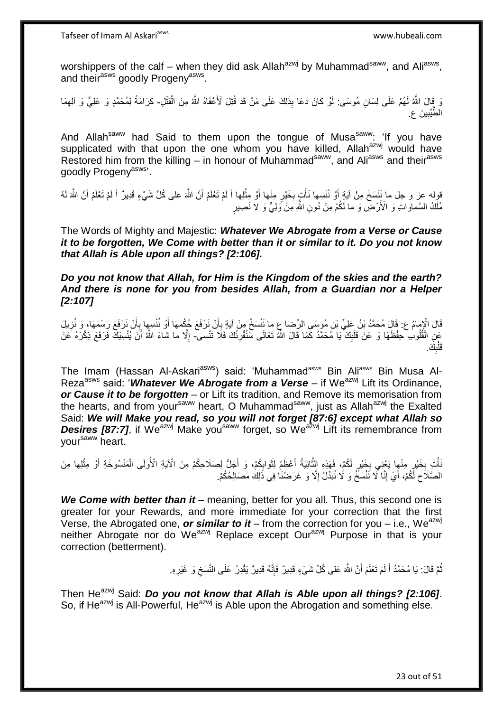worshippers of the calf – when they did ask Allah<sup>azwj</sup> by Muhammad<sup>saww</sup>, and Ali<sup>asws</sup>, and their<sup>asws</sup> goodly Progeny<sup>asws</sup>.

ِ قَالَ اللَّهُ لَهُمْ عَلَى لِسَانِ مُوسَى: لَوْ كَانَ دَعَا بِذَلِكَ عَلَى مَنْ قَدْ قُتِلَ لَأَعْفَاهُ اللَّهُ مِنَ الْقَتْلِ- كَرَامَةً لِمُحَمَّدٍ وَ عَلِيٍّ وَ الْعِمَا ْ ِ الطُّيِّبِينَ ع. ِ

And Allah<sup>saww</sup> had Said to them upon the tongue of Musa<sup>saww</sup>: 'If you have supplicated with that upon the one whom you have killed, Allah<sup>azwj</sup> would have Restored him from the killing – in honour of Muhammad<sup>saww</sup>, and Ali<sup>asws</sup> and their<sup>asws</sup> goodly Progenyasws'.

قوله عز و جل ما نَنْسَخْ مِنْ آيَةٍ أَوْ نُنْسِها نَأْتٍ بِخَيْرٍ مِنْها أَوْ مِثْلِها أَ لَمْ تَعْلَمْ أَنَّ اللَّهَ عَلَى كُلِّ شَيْءٍ قَدِيرٌ أَ لَمْ تَعْلَمْ أَنَّ اللَّهَ لَهُ<br>وَبِينَ مَّا اللَّهُ تَعْلَمْ أَنَّ اللَ َ لَ َ ْ َ ِ ْ َ َ لَ َ مُلْكُ السَّماواتِ وَ الْأَرْضِ وَ ما لَكُمْ مِنْ دُونِ اللَّهِ مِنْ وَلِيٍّ وَ لاَ نَصِبيرٍ ْ

The Words of Mighty and Majestic: *Whatever We Abrogate from a Verse or Cause it to be forgotten, We Come with better than it or similar to it. Do you not know that Allah is Able upon all things? [2:106].*

*Do you not know that Allah, for Him is the Kingdom of the skies and the earth? And there is none for you from besides Allah, from a Guardian nor a Helper [2:107]*

قَالَ الْإِمَامُ ع: قَالَ مُحَمَّدُ بْنُ عَلِيِّ بْنِ مُوسَىِ الرِّضا عِ ما نَنْسَخْ مِنْ آيَةٍ بِأَنْ نَرْفَعَ حُكْمَهَا أَوْ نُنْسِها بِأَنْ نَرْفَعَ رَسْمَهَا، وَ نُزِيلَ<br>وَأَيْضُلُ الْمُؤْمَنَ مَنْ الْمَسْئَمَّةِ وَالْ ِ أ ِ َ َ ِ عَنِ الْقُلُوبِ حِفْظَهَا وَ عَنْ قَلْبِكَ ۖ يَا مُحَمَّدُ كَمَا قَالَ اللَّهُ تَعَالَى سَنُقُورُنُكَ فَلَا تَنْسى- إِلَّا ما شاءَ اللَّهُ أَنْ يُنْسِيَكَ فَرَفَعَ ذِكْرَهُ عَنْ ِ ْ ْ **ٍ**  ِ َ َك. ب َقل  $\frac{1}{2}$ ْ

The Imam (Hassan Al-Askari<sup>asws</sup>) said: 'Muhammad<sup>asws</sup> Bin Ali<sup>asws</sup> Bin Musa Al-Reza<sup>asws</sup> said: '*Whatever We Abrogate from a Verse* – if We<sup>azwj</sup> Lift its Ordinance, *or Cause it to be forgotten* – or Lift its tradition, and Remove its memorisation from the hearts, and from your<sup>saww</sup> heart, O Muhammad<sup>saww</sup>, just as Allah<sup>azwj</sup> the Exalted Said: *We will Make you read, so you will not forget [87:6] except what Allah so*  **Desires [87:7]**, if We<sup>azwj</sup> Make you<sup>saww</sup> forget, so We<sup>azwj</sup> Lift its remembrance from yoursaww heart.

نَأْتِ بِخَيْرٍ مِنْهِا يَعْنِي بِخَيْرٍ لَكُمْ، فَهَذِهِ الثَّانِيَةُ أَعْظَمُ لِثَوَابِكُمْ، وَ أَجَلُّ لِصَلَاحِكُمْ مِنَ الْآيَةِ الْأُولَى الْمَنْسُوخَةِ أَوْ مِثْلِها مِنَ ِ **∶** َ ِ َ َ ْ َ ْ الصَّلَاحِ لَّكُمْ، أَيْ إِنَّا لَا نَنْسَخُ وَ لَا نُبَدِّلُ إِلَّا وَ غَرَضُنَا فِي ذَلِكَ مَصَالِحُكُمْ. ِ ِ َ  $\zeta$ 

We Come with better than it – meaning, better for you all. Thus, this second one is greater for your Rewards, and more immediate for your correction that the first Verse, the Abrogated one, **or similar to it** – from the correction for you – i.e., We<sup>azwj</sup> neither Abrogate nor do We<sup>azwj</sup> Replace except Our<sup>azwj</sup> Purpose in that is your correction (betterment).

> ثُمَّ قَالَ: يَا مُحَمَّدُ أَ لَمْ تَعْلَمْ أَنَّ اللَّهَ عَلى كُلِّ شَيْءٍ قَدِيرٌ فَإِنَّهُ قَدِيرٌ يَقْدِرُ عَلَى النَّسْخِ وَ غَيْرِهِ. اُ لَ ِ ِ ِ

Then He<sup>azwj</sup> Said: *Do you not know that Allah is Able upon all things? [2:106]*. So, if He<sup>azwj</sup> is All-Powerful, He<sup>azwj</sup> is Able upon the Abrogation and something else.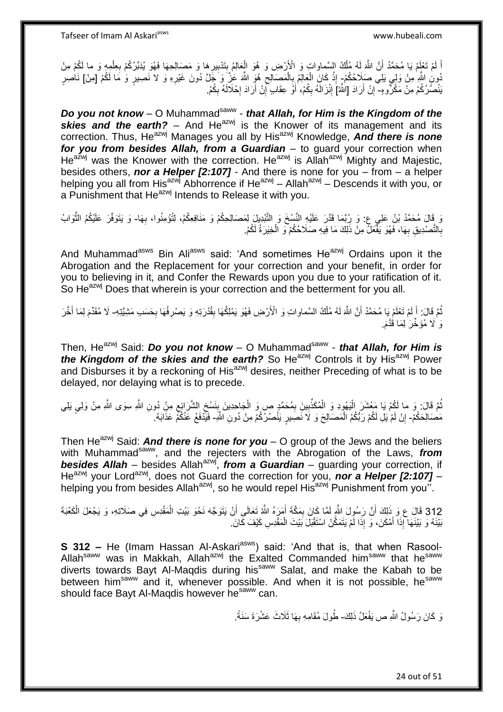اً لَمْ تَعْلِمْ يَا مُحَمَّدُ أَنَّ اللَّهَ لَهُ مُلْكُ السَّماواتِ وَ الْأَرْضِ وَ هُوَ الْعَالِمُ بِتَدْبِيرِهَا وَ مَصَـالِحِهَا فَهُوَ يُدَبِّرُكُمْ بِعِلْمِهِ وَ ما لَكُمْ مِنْ لَ ْ لَ ْ **∶ ∶** ِ ِ ُدُونِ اللَّهِ مِنْ وَلِي يَلِي صَلَاحُكُمْ- إِذْ كَانَ الْعَالِمُ بِالْمَصَالِحِ هُوَ اللَّهَ عَٰزَ وَ جَلَّ دُونَ غَيْرِهِ وَ لا نَصِيرٍ وَ مَا لَكُمْ [مِنْ] نَاصِرٍ<br>. ِ ِ ْ ِ ْ **ٔ** يَنْصُرُكُمْ مِنْ مَكْرُوهِ- إِنْ أَرَادَ [اللَّهْ] إِنْزَالَهُ بِكُمْ، أَوْ عِقَابٍ إِنْ أَرَادَ إِحْلَالَهُ بِكُمْ. **֓**֧֢֢֢֦֓ ِ **∶** َ יֲ<br>י َ ِ ِ

**Do you not know** - O Muhammad<sup>saww</sup> - that Allah, for Him is the Kingdom of the *skies and the earth?* – And He<sup>azwj</sup> is the Knower of its management and its correction. Thus, He<sup>azwj</sup> Manages you all by His<sup>azwj</sup> Knowledge, And there is none *for you from besides Allah, from a Guardian* – to guard your correction when  $He^{a\bar{z}wj}$  was the Knower with the correction. He<sup>azwj</sup> is Allah<sup>azwj</sup> Mighty and Majestic, besides others, *nor a Helper [2:107]* - And there is none for you – from – a helper helping you all from His<sup>azwj</sup> Abhorrence if He<sup>azwj</sup> – Allah<sup>azwj</sup> – Descends it with you, or a Punishment that He<sup>azwj</sup> Intends to Release it with you.

رَ قَالَ مُحَمَّدُ بْنُ عَلِي ع: وَ رُبَّمَا قَدَّرَ عَلَيْهِ النَّسْخَ وَ النَّبْدِيلَ لِمَصَالِحِكُمْ وَ مَذَافِعِكُمْ، لِنُوْمِنُوا، بِهَا- وَ يَتَوَفَّرَ عَلَيْكُمُ الثَّوَابُ<br>وَ قَالَ مُحَمَّدُ بِنُ عَلَيْكُمُ الثَّو ه **∶** ان<br>ا بِالتَّصْدِيقِ بِهَا، فَهُوَ يَفْعَلُ مِنْ ذَلِكَ مَا فِيهِ صَلَاحُكُمْ ۖ وَ الْخِيَرَةُ لَكُمْ. ْ **∶ ∶** 

And Muhammad<sup>asws</sup> Bin Ali<sup>asws</sup> said: 'And sometimes He<sup>azwj</sup> Ordains upon it the Abrogation and the Replacement for your correction and your benefit, in order for you to believing in it, and Confer the Rewards upon you due to your ratification of it. So He<sup>azwj</sup> Does that wherein is your correction and the betterment for you all.

نُمَّ فَالَ: أَ لَمْ تَعْلَمْ يَا مُحَمَّدُ أَنَّ اللَّهَ لَهُ مُلْكُ السَّماواتِ وَ الْأَرْضِ فَهُوَ يَمْلِكُهَا بِقُدْرَتِهِ وَ يَصْرِفُهَا بِحَسَبِ مَثِبِيَّتِهِ- لَا مُقَدِّمَ لِمَا أَخَّرَ لَ َ ْ لَ ِ ِ **!** َ وَ لَا مُؤَخِّرَ ٰلِمَا قَدَّمَ.

Then, He<sup>azwj</sup> Said: **Do you not know** – O Muhammad<sup>saww</sup> - *that Allah, for Him is the Kingdom of the skies and the earth?* So He<sup>azwj</sup> Controls it by His<sup>azwj</sup> Power and Disburses it by a reckoning of His<sup>azwj</sup> desires, neither Preceding of what is to be delayed, nor delaying what is to precede.

تُمَّ قَالَ: وَ ما لَكُمْ يَا مَعْشَرَ الْيَهُودِ وَ الْمُكَذِّبِينَ بِمُحَمَّدٍ ص وَ الْجَاحِدِينَ بِنَسْخِ الشَّرَائِعِ مِنْ دُونِ اللَّهِ سِوَى اللَّهِ مِنْ وَلِي يَلِي<br>فَمَّا قَالَ: وَ ما لَكُمْ يَا مَعْسَلاً الْيَهُو ُ ِ ِ ِ ْ ِ ِ ْ ْ مَصَالِحَكُمْ- إِنْ لَمْ يَلِ لَكُمْ رَبُّكُمُ الْمَصَالِحَ وَ لَا نَصَبِيرٍ يَنْصُرُكُمْ مِنْ دُونِ اللَّهِ- فَيَّذْفَعُ عَنْكُمْ عَذَابَهُ. יֲ<br>י ْ

Then He<sup>azwj</sup> Said: *And there is none for you* – O group of the Jews and the beliers with Muhammad<sup>saww</sup>, and the rejecters with the Abrogation of the Laws, *from* **besides Allah** – besides Allah<sup>azwj</sup>, *from a Guardian* – guarding your correction, if He<sup>azwj</sup> your Lord<sup>azwj</sup>, does not Guard the correction for you, **nor a Helper [2:107]** – helping you from besides Allah<sup>azwj</sup>, so he would repel His<sup>azwj</sup> Punishment from you".

312 قَالَ ع وَ ذَلِكَ أَنَّ رَسُولَ اللَّهِ لَمَّا كَانَ بِمَكَّةَ أَمَرَهُ اللَّهُ تَعَالَى أَنْ يَتَوَجَّهَ نَحْوَ بَيْتِ الْمَقْدِسِ فِي صَلَاتِهِ، وَ يَجْعَلَ الْكَعْبَةَ ْ ْ َ ِ َ بَيْنَهُ وَ بَيْنَهَا ۖ إِذَا أَمْكَنَ، وَ إِذَا لَمْ يَتَمَكَّنْ اسْتَقْبَلَ بَيْتَ الْمَقْدِسِ كَيْفَ كَانَ َ ْ

**S 312 -** He (Imam Hassan Al-Askari<sup>asws</sup>) said: 'And that is, that when Rasool-Allah<sup>saww</sup> was in Makkah, Allah<sup>azwj</sup> the Exalted Commanded him<sup>saww</sup> that he<sup>saww</sup> diverts towards Bayt Al-Maqdis during hissaww Salat, and make the Kabah to be between him<sup>saww</sup> and it, whenever possible. And when it is not possible, he<sup>saww</sup> should face Bayt Al-Magdis however he<sup>saww</sup> can.

> وَ كَانَ رَسُولُ اللَّهِ ص يَفْعَلُ ذَلِكَ- طُولَ مُقَامِهِ بِهَا ثَلَاثَ عَشْرَةَ سَنَةً ـ **∶**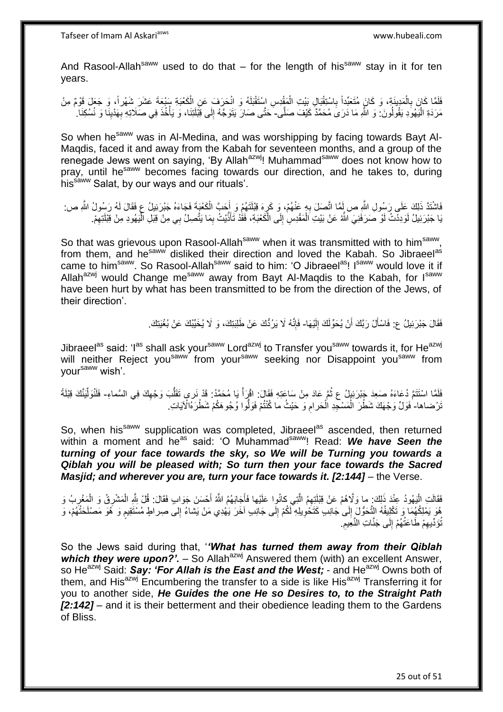And Rasool-Allah<sup>saww</sup> used to do that – for the length of his<sup>saww</sup> stay in it for ten years.

فَلَمَّا كَانَ بِالْمَدِيَةِ، وَ كَانَ مُتَعَبِّداً بِاسْتِقْبَالِ بَيْتِ الْمَقْدِسِ اسْتَقْبَلَهُ وَ انْحَرَفَ عَنِ الْكَعْبَةِ سَبْعَةَ عَشَرَ شَهْراً، وَ جَعَلَ قَوْمٌ مِنْ ْ ْ ِ ْ ِ مَرَدَةِ الْيَهُوَدِ يَقُولُونَ: وَ اللَّهِ مَا دَرَىَ مُحَمَّدٌ كَيْفَ صَلَّى- َحَتَّى صَارَ يَتَوَجَّهُ إِلَى قِبْلَتِنَا، وَ يَأْخُذَ فِي صَلَاتِهِ بِهَنْيِنَا وَ نُسُكِنَا. ا.<br>إ ِ ِ ْ ِ

So when he<sup>saww</sup> was in Al-Medina, and was worshipping by facing towards Bayt Al-Maqdis, faced it and away from the Kabah for seventeen months, and a group of the renegade Jews went on saying, 'By Allahazwi! Muhammadsaww does not know how to pray, until he<sup>saww</sup> becomes facing towards our direction, and he takes to, during his<sup>saww</sup> Salat, by our ways and our rituals'.

فَاشْتَذَ ذَلِكَ عَلَى رَسُولِ اللَّهِ ص لَمَّا اتَّصَلَ بِهِ عَنْهُمْ، وَ كَرٍهَ قِبْلَتَهُمْ وَ إُِحَبَّ الْكَعْيَةَ فَجَاءَهُ جَبْرَئِيلُ عِ فَقَالَ لَهُ رَسُولُ اللَّهِ ص: ْ َ ِ ِ يَا جَبْرَئِيلُ لَوَدِدْتُ لَوْ صَرَفَنِيَ اللَّهُ عَنْ بَيْتِ اَلْمَقْدِسِ إِلَى الْكَعْبَةِ، فَقَدْ تَأَذَّيْتُ بِمَا يَتَّصِلُ بِي مِنْ قِبْلِ الْمَيُهودِ مِنْ قِبْلَتِهِمْ. ِ َ ا<br>ا ∣∣<br>∶ ْ ِ ׅ֪֦֦֪ׅ֧֦֪ׅ֪ׅ֪ׅ֪ׅ֧֚֚֚֚֚֚֚֡֡֝֟֓֡֡֡֟֟֓֡֟֓֟֓֡֟֓֡֟֓֡֟֡֡֟֟֡֡֡֬֓֞֓֞֓֞֞֞֞֟֓֡֡֬֓֞֓֞֞֟֡֡֬֞֝֬֞֝֞֞֟֓֞֟֝

So that was grievous upon Rasool-Allah<sup>saww</sup> when it was transmitted with to him<sup>saww</sup>, from them, and he<sup>saww</sup> disliked their direction and loved the Kabah. So Jibraeel<sup>as</sup> came to him<sup>saww</sup>. So Rasool-Allah<sup>saww</sup> said to him: 'O Jibraeel<sup>as</sup>! Isaww would love it if Allah<sup>azwj</sup> would Change me<sup>saww</sup> away from Bayt Al-Magdis to the Kabah, for  $I<sup>saww</sup>$ have been hurt by what has been transmitted to be from the direction of the Jews, of their direction'.

> فَقَالَ جَبْرَئِيلُ ع: فَاسْأَلْ رَبَّكَ أَنْ يُحَوِّلَكَ إِلَيْهَا- فَإِنَّهُ لَا يَرُدُّكَ عَنْ طَلِبَتِكَ، وَ لَا يُخَيِّبُكَ عَنْ بُغْيَتِكَ. َ لَ ِ ِ

Jibraeel<sup>as</sup> said: 'I<sup>as</sup> shall ask your<sup>saww</sup> Lord<sup>azwj</sup> to Transfer you<sup>saww</sup> towards it, for He<sup>azwj</sup> will neither Reject you<sup>saww</sup> from your<sup>saww</sup> seeking nor Disappoint you<sup>saww</sup> from your<sup>saww</sup> wish'.

فَلَمَا اسْتَتَمَّ دُعَاءَهُ صَعِدَ جَبْرَئِيلُ ع ثُمَّ عَادَ مِنْ سَاعَتِهِ فَقَالَ: اقْرَأْ يَا مُحَمَّدُ: قَدْ نَري تَقَلُّبَ وَجْهِكَ فِي السَّماءِ- فَلَنُوَلِّيَنَّكَ قِبْلَةً ُ  $\frac{1}{2}$ ِ ِّ تَرْضاها- ٰفَوَلٌ وَجْهَكَ شَطْرَ الْمَسْجِدِ الْحَرامِ وَ حَيْثُ ما كُنْتُمْ فَوَلُّوا وُجُوهَكُمْ شَطْرَهُالْآيَاتِ ِ ْ ْ

So, when his<sup>saww</sup> supplication was completed, Jibraeel<sup>as</sup> ascended, then returned within a moment and he<sup>as</sup> said: 'O Muhammad<sup>saww</sup>! Read: We have Seen the *turning of your face towards the sky, so We will be Turning you towards a Qiblah you will be pleased with; So turn then your face towards the Sacred Masjid; and wherever you are, turn your face towards it. [2:144]* – the Verse.

فَقَالَتِ الْيَهُودُ عِنْدَ ذَلِكَ: ما وَلَّاهُمْ عَنْ قِبْلَتِهِمُ الَّتِي كانُوا عَلَيْها فَأَجَابَهُمُ اللّهُ أَحْسَنَ جَوَابٍ فَقَالَ: قُلْ بِلّهِ الْمَشْرِقُ وَ الْمَغْرِبُ وَ َ َ ه :<br>ا ِ ِ ْ ¦ ِهُوَ يَمْلِكُهُمَا وَ تَكْلِيفُهُ التَّحَوُّلَ إِلَى جَانِبٍ كَتَخْوِيلِهِ لَكُمْ إِلَى جَانِبِ آخَرَ يَهْدِي مَنْ يَشاءُ إِلى صِراطٍ مُسْتَقِيمٍ وَ هُوَ مَصْلَحَتُهُمْ، وَ ِ ِ ِ ∣∣<br>∶ م<br>وا تُؤَدِّيهِمْ طَاعَتُهُمْ إِلَى جَنَّاتِ النَّعِيمِ. ِ ِ ِ

So the Jews said during that, '*'What has turned them away from their Qiblah which they were upon?'.* – So Allah<sup>azwj</sup> Answered them (with) an excellent Answer, so He<sup>azwj</sup> Said: **Say: 'For Allah is the East and the West**; - and He<sup>azwj</sup> Owns both of them, and  $His^{azmj}$  Encumbering the transfer to a side is like His<sup>azwj</sup> Transferring it for you to another side, *He Guides the one He so Desires to, to the Straight Path [2:142]* – and it is their betterment and their obedience leading them to the Gardens of Bliss.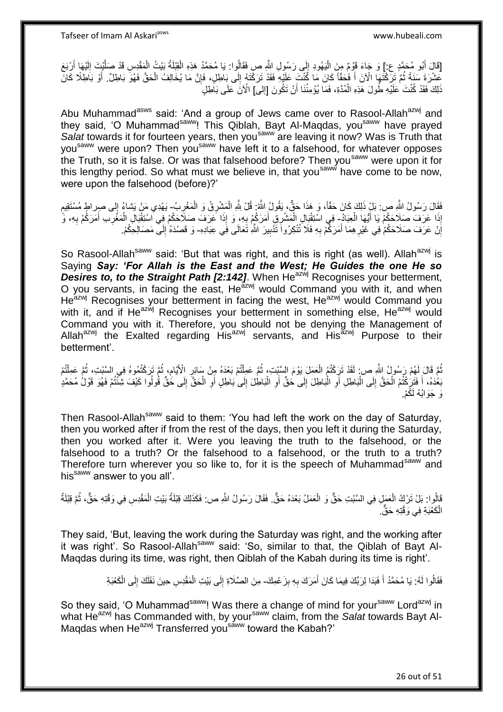[قَالَ أَبُو مُحَمَّدٍ ع:] وَ جَاءَ قَوْمٌ مِنَ الْيَهُودِ إِلَى رَسُولِ الثَّهِ صِ فَقَالُوا: يَا مُحَمَّدُ هَذِهِ الْقِيْلَةُ بَيْتُ الْمَقْدِسِ قَدْ صَلَّيْتَ إِلَيْهَا أَرْبَعَ ِ :<br>ا َ لَ ِ ه ْ ْ عَشْرَةَ سَنَةً ثُمَّ تَرَكْتُهَا الْآنَ أَ فَحَقّاً كَانَ مَا كُنْتَ عَلَيْهِ فَقَدْ تَرَكْتَهُ إِلَى بَاطِلٍ، فَإِنَّ مَا يُخَالِفُ الْحَقَّ فَهُوَ بَاطِلٌ. أَوْ بَاطِلًا كَانَ اً<br>ا ُ َ ْ ∣ٍ إا ∣ا<br>∶ ذَلِكَ فَقَدْ كُنْتَ عَلَيْهِ طُولَ هَذِهِ الْمُدَّةِ، فَمَا يُؤْمِنُنَا أَنْ تَكُونَ [إلى] الْآنَ عَلَى بَأَطِلٍ اُ ْ

Abu Muhammad<sup>asws</sup> said: 'And a group of Jews came over to Rasool-Allah<sup>azwj</sup> and they said, 'O Muhammad<sup>saww</sup>! This Qiblah, Bayt Al-Magdas, you<sup>saww</sup> have prayed *Salat* towards it for fourteen years, then yousaww are leaving it now? Was is Truth that you<sup>saww</sup> were upon? Then you<sup>saww</sup> have left it to a falsehood, for whatever opposes the Truth, so it is false. Or was that falsehood before? Then you<sup>saww</sup> were upon it for this lengthy period. So what must we believe in, that you<sup>saww</sup> have come to be now, were upon the falsehood (before)?'

فَقَالَ رَسُولُ الثَّهِ ص: بَلْ ذَلِكَ كَانَ حَقَّاً، وَ هَذَا حَقٌّ، يَقُولُ الثَّهُ: قُلْ لِثَّهِ الْمَشْرِقُ وَ الْمَغْرِبُ- يَهْدِي مَنْ يَشاءُ إِلَى صِرِ الْمُسْتَقِيمِ<br>يَدِينَ مَنْ يَسْمَعُ مِنْ يَمْسُونُ مِنْ مِنْ ֧֖֧֦֖֖֖֧֧֧֧֧֧֧֧֧֧֧֧֧֧֚֚֚֝֝֝֓֟֓֝֓֝֓֝֓֟֓֝֬֝֬֝֬֝֓֬֝֬֝֓֟֓֟֓֬֓֝֓֝֬֝֬֝֓֝֬֝֬֓֝֬֝֓֝֬֝֬  $\frac{1}{2}$ ْ ْ ه ِّذَا عَرَفَ صَلَاحَكُمْ يَا أَيُّهَا الْعِبَادُ- فِي اسْتِقْنِالِ الْمَشْرِقِي أَمَرَكُمْ بِهِ، وَ إِذَا عَرَفَ صَلَاحَكُمْ فِي اسْتِقْبَالِ الْمَغْرِبِ أَمَرَكُمْ بِهِ، وَّ ْ َ ِ َ ْ **∶** َ ِ ْ َانْ عَرَفَ صَلَاحَكُمْ فِي غَيْرِ هِمَا أَمَرَكُمْ بِهِ فَلَا تُنْكِرُواَ تَذْبِيرَ اللَّهِ تَعَالَى فَِي عِبَادِهِ- وَ قَصْدَهُ إِلَى مَصَالِحِكُمْ. ِ **∶** َ **∶** اٍ ِ

So Rasool-Allah<sup>saww</sup> said: 'But that was right, and this is right (as well). Allah<sup>azwj</sup> is Saying *Say: 'For Allah is the East and the West; He Guides the one He so*  **Desires to, to the Straight Path [2:142].** When He<sup>azwj</sup> Recognises your betterment, O you servants, in facing the east, Heazwj would Command you with it, and when Heazwj Recognises your betterment in facing the west, Heazwj would Command you with it, and if He $a^2$ <sup>wj</sup> Recognises your betterment in something else, He $a^2$ <sup>wj</sup> would Command you with it. Therefore, you should not be denying the Management of Allah<sup>azwj</sup> the Exalted regarding His<sup>azwj</sup> servants, and His<sup>azwj</sup> Purpose to their betterment'.

ُمَّ قَالَ لَهُمْ رَسُولُ اللَّهِ ص: لَقَدْ تَرَكْتُمُ الْعَمَلَ يَوْمَ السَّبْتِ؛ ثُمَّ عَمِلْتُمْ بَعْدَهُ مِنْ سَائِرِ الْأَيَّامِ، ثُمَّ تَرَكْتُمُوهُ فِي السَّبْتِ، ثُمَّ عَمِلْتُمْ **ٍ** ْ ان<br>المقامات ْ ُ ِ ْ ا<br>المقام ا<br>المقام بَعْدَهُ، أَ فَتَنْكُثُمُ الْحَقَّ إِلَى الْبَاطِلِ أَوِ الْبَاطِلَ إِلَى حَقٌّ أَوِ الْبَاطِلَ إِلَى بَاطِلٍ أَوِ الْحَقُّ إِلَى حَقٌّ قُولُوا كَيْفَ شِئْتُمْ فَهُوَ قَوْلُ مُحَمَّدٍ ْ ِ ْ ِ ْ ِ اً ِ ْ **∶** َ ِ د.<br>ا **∶** َ وَ حَوَ انُهُ لَكُمْ.

Then Rasool-Allah<sup>saww</sup> said to them: 'You had left the work on the day of Saturday, then you worked after if from the rest of the days, then you left it during the Saturday, then you worked after it. Were you leaving the truth to the falsehood, or the falsehood to a truth? Or the falsehood to a falsehood, or the truth to a truth? Therefore turn wherever you so like to, for it is the speech of Muhammad<sup>saww</sup> and his<sup>saww</sup> answer to you all'.

قَالُوا: بَلْ تَرْكُ الْعَمَلِ فِي السَّبْتِ حَقٌّ وَ الْعَمَلُ بَعْدَهُ حَقٌّ. فَقَالَ رَسُولُ اللَّهِ ص: فَكَذَلِكَ قِبْلَةُ بَيْتِ الْمَقْدِسِ فِي وَقْتِهِ حَقٌّ، ثُمَّ قِبْلَةُ ْ ْ ُ ْ الْكَعْبَةِ فِي وَقْتِهِ حَقٌّ. ْ

They said, 'But, leaving the work during the Saturday was right, and the working after it was right'. So Rasool-Allah<sup>saww</sup> said: 'So, similar to that, the Qiblah of Bayt Al-Maqdas during its time, was right, then Qiblah of the Kabah during its time is right'.

> فَقَالُوا لَهُ: يَا مُحَمَّدُ أَ فَبَدَا لِرَبِّكَ فِيمَا كَانَ أَمَرَكَ بِهِ بِزَعْمِكَ- مِنَ الصَّلَاةِ إِلَى بَيْتِ الْمَقْدِسِ حِينَ نَقَلَكَ إِلَى الْكَعْبَةِ **ِ** ِ َ َ ْ ِ ْ ِ

So they said, 'O Muhammad<sup>saww</sup>! Was there a change of mind for your<sup>saww</sup> Lord<sup>azwj</sup> in what He<sup>azwj</sup> has Commanded with, by your<sup>saww</sup> claim, from the *Salat* towards Bayt Al-Maqdas when He<sup>azwj</sup> Transferred you<sup>saww</sup> toward the Kabah?'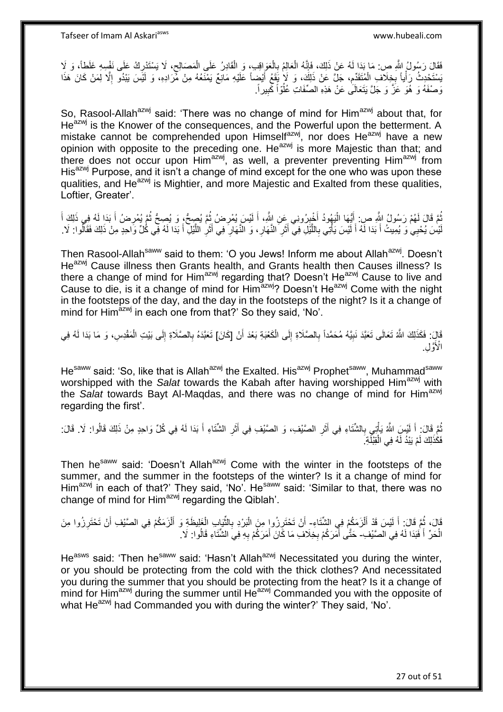فَقَالَ رَسُولُ اللَّهِ ص: مَا بَدَا لَهُ عَنْ ذَلِكَ، فَإِنَّهُ الْعَالِمُ بِالْعَوَاقِبِ، وَ الْقَادِرُ عَلَى الْمَصَالِحِ، لَا يَسْتَدْرِكُ عَلَى نَفْسِهِ غَلَطاً، وَ لَا ِ ْ ْ ْ **∶** ْ  $\frac{1}{2}$ ِ َ يَسْتَحْدِثُ رَأْياً بِخِلَافِ الْمُتَقَدِّمِ، جَلَّ عَنْ ذَلِكَ، وَ لَإِ يَقَعُ أَيْضِاً عَلَيْهِ مَانِعٌ يَمْنَعُهُ مِنْ مَّرَادِهِ، وَ لَيْسَ يَبْدُو إِلَّا لِمَنْ كَانَ هَذَا ِ ْ ¦ ِ وَصْفَهُ وَ هُوَ عَزَّ وَ جَلَّ يَتَعَالَى عَنْ هَذِهِ الصِّفَاتِ عُلُوّاً كَبِيراً. ِ ُ

So, Rasool-Allah<sup>azwj</sup> said: 'There was no change of mind for Him<sup>azwj</sup> about that, for He<sup>azwj</sup> is the Knower of the consequences, and the Powerful upon the betterment. A mistake cannot be comprehended upon Himselfazwj, nor does Heazwj have a new opinion with opposite to the preceding one. He<sup>azwj</sup> is more Majestic than that; and there does not occur upon Him<sup>azwj</sup>, as well, a preventer preventing Him<sup>azwj</sup> from His<sup>azwj</sup> Purpose, and it isn't a change of mind except for the one who was upon these qualities, and He<sup>azwj</sup> is Mightier, and more Majestic and Exalted from these qualities, Loftier, Greater'.

ثُمَّ قَالَ لَهُمْ رَسُولُ اللَّهِ صِ. أَيُّهَا الْيَهُودُ أَخْيِرُونِي عَنِ اللَّهِ، أَ لَيْسَ يُمْرِضُ ثُمَّ يُصِحُّ وَ يُصِحُّ ثُمَّ يُمْرِضُ أَ بَدَا لَهُ فِي ذَلِكَ أَ ا پایا<br>ا **∶** لَ َ ِ َ :<br>ا َ ُ َ َ ِ ا پایا<br>سال لَيْسَ يُحْيِي وَ يُمِيتُ أَ بَدَا لَهُ أَ لَيْسَ يَأْتِي بِاللَّيْلِ فِي أَثَرِ النَّهَارِ ، وَ النَّهَارِ فِي أَثَرِ اللَّيْلِ أَ بَدَا لَهُ فِي كُلِّ وَاحِدٍ مِنْ ذَلِكَ فَقَالُوا: لَا َ َ ه ِ َ **∶** ِ **∶** َ ه **∶** د<br>أ لَ َ

Then Rasool-Allah<sup>saww</sup> said to them: 'O you Jews! Inform me about Allah<sup>azwj</sup>. Doesn't He<sup>azwj</sup> Cause illness then Grants health, and Grants health then Causes illness? Is there a change of mind for Him<sup>azwj</sup> regarding that? Doesn't He<sup>azwj</sup> Cause to live and Cause to die, is it a change of mind for Him<sup>azwj</sup>? Doesn't He<sup>azwj</sup> Come with the night in the footsteps of the day, and the day in the footsteps of the night? Is it a change of mind for Him<sup>azwj</sup> in each one from that?' So they said, 'No'.

َّالٍ: فَكَذَلِكَ اللَّهُ تَعَالَى تَعَبَّدَ نَبِيَّهُ مُحَمَّداً بِالصَّلَاةِ إِلَى الْكَعْبَةِ بَعْدَ أَنْ [كَانَ] تَعَبَّدَهُ بِالصَّلَاةِ إِلَى بَيْتِ الْمَقْدِسِ، وَ مَا بَدَا لَهُ فِي<br>\*\*\* َ ْ ِ ِ **!** ْ ِ ِ الْأَوَّلِ.

He<sup>saww</sup> said: 'So, like that is Allah<sup>azwj</sup> the Exalted. His<sup>azwj</sup> Prophet<sup>saww</sup>, Muhammad<sup>saww</sup> worshipped with the *Salat* towards the Kabah after having worshipped Him<sup>azwj</sup> with the *Salat* towards Bayt Al-Magdas, and there was no change of mind for Him<sup>azwj</sup> regarding the first'.

#### نُمَّ قَالَ: أَ لَيْسِ اللَّهُ يَأْتِي بِالشَّنَاءِ فِي أَثَرِ الصَّيْفِ، وَ الصَّيْفِ فِي أَثَرِ الشَّنَاءِ أَ بَدَا لَهُ فِي كُلِّ وَاحِدٍ مِنْ ذَلِكَ قَالُوا: لَا. قَالَ: َ ِ َ ِ َ ِ ْ لَ َ ُ فَكَٰذَلِكَ لَمْ يَبْدُ لَهُ فِي الْقِبْلَةِ َ ْ

Then he<sup>saww</sup> said: 'Doesn't Allah<sup>azwj</sup> Come with the winter in the footsteps of the summer, and the summer in the footsteps of the winter? Is it a change of mind for Him<sup>azwj</sup> in each of that?' They said, 'No'. He<sup>saww</sup> said: 'Similar to that, there was no change of mind for Him<sup>azwj</sup> regarding the Qiblah'.

قَالَ، ثُمَّ قَالَ: أَ لَيْسَ قَدْ أَلْزَمَكُمْ فِي الشِّتَاءِ- أَنْ تَحْتَرِزُوا مِنَ الْبَرْدِ بِالثَّيَابِ الْغَلِيظَةِ وَ أَلْزَمَكُمْ فِي الصَّيْفِ أَنْ تَحْتَرِزُوا مِنَ ْ َ لَ َ ٔ<br>ـ ْ ِّ ِ ْ ِ ِ َ ْ َ الْحَرِّ أَ فَبَدَا لَهُ فِي الصَّيْفِ- حَتَّى أَمَرَكُمْ بِخِلَافِ مَا كَانَ أَمَرَكُمْ بِهِ فِي الشِّنَاءِ قَالُوا: لَا َ ْ ِ َ **∶** َ

He<sup>asws</sup> said: 'Then he<sup>saww</sup> said: 'Hasn't Allah<sup>azwj</sup> Necessitated you during the winter, or you should be protecting from the cold with the thick clothes? And necessitated you during the summer that you should be protecting from the heat? Is it a change of mind for  $\overrightarrow{H}$  mind for  $\overrightarrow{H}$  during the summer until  $\overrightarrow{He}^{azwj}$  Commanded you with the opposite of what He<sup>azwj</sup> had Commanded you with during the winter?' They said, 'No'.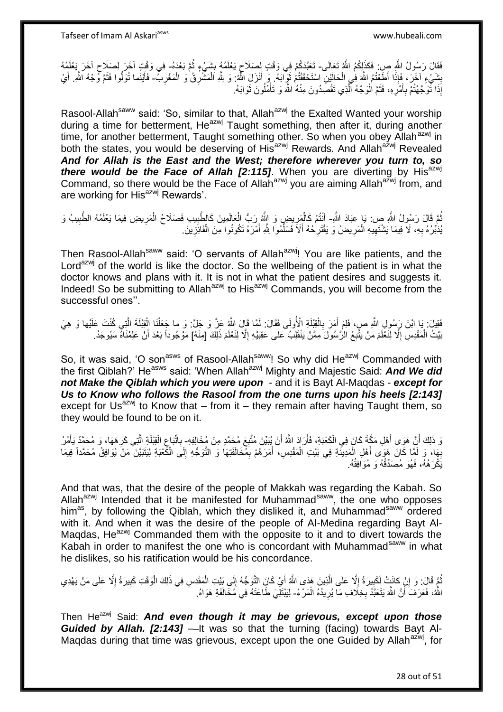فَقَالَ رَسُولُ اللَّهِ صِ فَكَذَلِكُمُ اللَّهُ تَعَالَى- تَعَبَّدَكُمْ فِي وَقْتٍ لِصَلَاحٍ يَعْلَمُهُ بِشَيْءٍ ثُمَّ بَعْدَهُ- فِي وَقْتٍ آخَرَ إِلَى لَخَرَ يَعْلَمُهُ ِ ٍ ٍ بِشَيْءٍ ۚ لَخَرَ ، فَإِذَا أَطَعْتُمُ اللَّهَ فِي الْحَالَيْنِ اسْتَحْقَقْتُمْ ثَوَيْ اَبَهُ ۖ وَ أَنْزَلَ اللَّهُ ۚ وَ لِلَّهِ اَللَّهُ ۚ وَ إِنَّذَا اللَّهُ ۚ وَ لِللَّهُ ۚ وَ فَجئه اللَّهِ أَيْ  $\ddot{\phantom{a}}$ ْ ِ ْ ِ ْ َ َ ْ َ َ إِذَا تَوَجَّهْتُمْ بِأَمْرِهِ، فَثَمَّ الْوَجْهُ الَّذِي تَقْصِدُونَ مِنْهُ اللَّهَ وَ تَأْمُلُونَ ثَوَابَهُ. ِ َ ِ َ ا<br>أ ه ْ ة<br>ا

Rasool-Allah<sup>saww</sup> said: 'So, similar to that, Allah<sup>azwj</sup> the Exalted Wanted your worship during a time for betterment,  $He^{azwj}$  Taught something, then after it, during another time, for another betterment, Taught something other. So when you obey Allah<sup>azwj</sup> in both the states, you would be deserving of His<sup>azwj</sup> Rewards. And Allah<sup>azwj</sup> Revealed *And for Allah is the East and the West; therefore wherever you turn to, so there would be the Face of Allah [2:115]*. When you are diverting by His<sup>azwj</sup> Command, so there would be the Face of Allah<sup>azwj</sup> you are aiming Allah<sup>azwj</sup> from, and are working for His<sup>azwj</sup> Rewards'.

ُمَّ قَالَ رَسُولُ اللَّهِ صِ: يَا عِبَادَ اللَّهِ- أَنْتُمْ كَالْمَرِيضِ وَ اللَّهُ رَبُّ الْعَالَمِينَ كَالطَّبِيب فَصَلَاحُ الْمَرِيضِ فِيمَا يَعْلَمُهُ الطَّبِيبُ وَ ُ ْ ْ ْ ْ َ يَدَبِّرُهُ بِهِ، لَا فِيمَا يَشْتَهِيهِ الْمَرِيضُ وَ يَقْتَرِحُهُ أَلَاَ فَسَلِّمُوا شِّهِ أَمْرَهُ تَكُونُوا مِنَ الْفَائِزِينَ َ ِّ َ ِ ِ ْ ِ **∶** ِ ْ

Then Rasool-Allah<sup>saww</sup> said: 'O servants of Allah<sup>azwj</sup>! You are like patients, and the Lord<sup>azwj</sup> of the world is like the doctor. So the wellbeing of the patient is in what the doctor knows and plans with it. It is not in what the patient desires and suggests it. Indeed! So be submitting to Allah<sup>azwj</sup> to His<sup>azwj</sup> Commands, you will become from the successful ones''.

فَقِيلَ: يَا ابْنَ رَسُولِ اللَّهِ صِ، فَلِمَ أَمَرَ بِالْقِبْلَةِ الْأُولَى فَقَالَ: لَمَّا قَالَ اللَّهُ عَزَّ وَ جَلَّ: وَ ما جَعَلْنَا الْقِبْلَةَ الَّذِي كُنْتَ عَلَيْها وَ هِيَ ْ **∶** َ ه ْ بَيْتُ الْمَقْدِسِ إِلَّا لِنَغْلَمَ مَنْ يَتَّبِعُ الرَّسُولَ مِمَّنْ يَنْقَلِبُ عَلى عَقِبَيْهِ إِلَّا لِنَعْلَمَ ذَلِكَ [مِنْهُ] مَوْجُوداً بَعْدَ أَنْ عَلِمْنَاهُ سَيُوجَدُ. ِ  $\frac{1}{2}$ ِ َ

So, it was said, 'O son<sup>asws</sup> of Rasool-Allah<sup>saww</sup>! So why did He<sup>azwj</sup> Commanded with the first Qiblah?' Heasws said: 'When Allahazwj Mighty and Majestic Said: *And We did not Make the Qiblah which you were upon* - and it is Bayt Al-Maqdas - *except for Us to Know who follows the Rasool from the one turns upon his heels [2:143]* except for Us<sup>azwj</sup> to Know that – from it – they remain after having Taught them, so they would be found to be on it.

وَ ذَلِكَ أَنَّ هَوَى أَهْلِ مَكَّةٍ كَانَ فِي الْكَعْبَةِ، فَأَرَادَ اللَّهُ أَنْ يُبَيِّنَ مُتَّبِعَ مُحَمَّدٍ مِنْ مُخَلِّدٍ واتِّبَاعِ الْقِبْلَةِ الَّذِي كَرِ هَهَا، وَ مُحَمَّدٌ يَأْمُرُ ِ َ اُ ْ اً<br>ا َ ْ ِ ِ ْ ِ ه ْ بِهَا، وَ لَمَّا كَانَ هَوَى أَهْلِ الْمَدِينَةِ فِي بَيْتِ الْمَقْدِسِ، أَمَرَهُمْ بِمَّخَالَفَتِهَا وَ التَّوَجُّهِ إِلَى الْكَعْبَةِ لِيَتَبَيَّنَ مَنْ يُوَافِقُ مُحَمَّداً فِيمَا ∣∣<br>ِ∶ ِ َ ْ ْ َ ِ يَكْرَ هُهُ، فَهُوَ مُصَدِّقُهُ وَ مُوَافِقُهُ.

And that was, that the desire of the people of Makkah was regarding the Kabah. So Allah<sup>azwj</sup> Intended that it be manifested for Muhammad<sup>saww</sup>, the one who opposes him<sup>as</sup>, by following the Qiblah, which they disliked it, and Muhammad<sup>saww</sup> ordered with it. And when it was the desire of the people of Al-Medina regarding Bayt Al-Magdas,  $He^{a z w j}$  Commanded them with the opposite to it and to divert towards the Kabah in order to manifest the one who is concordant with Muhammad<sup>saww</sup> in what he dislikes, so his ratification would be his concordance.

نُمَّ قَالَ: وَ إِنْ كانَتٍ لَكَبِيرَةً إِلَّا عَلَى الَّذِينَ هَدَى اللَّهُ أَيْ كَانَِ النَّوَجُّهُ إِلَى بَيْتِ الْمَقْدِسِ فِي ذَلِكَ الْوَقْتِ كَبِيرَةً إِلَّا عَلَى مَنْ يَهْدِي ه ِ  $\frac{1}{2}$ ِ ا<br>ا ِ ْ ْ  $\frac{1}{2}$ َ اللَّهُ، فَعَرَفَ أَنَّ اللَّهَ يَتَعَبَّدُ بِخِلَافِ مَآ يُرِيدُهُ الْمَرْءُ- لِيَبْتَلِّيَ طَاعَتَهُ فِي مُخَالَفَةِ هَوَاهُ. َ ْ ِ **∶** 

Then He<sup>azwj</sup> Said: **And even though it may be grievous, except upon those** *Guided by Allah. [2:143]* — It was so that the turning (facing) towards Bayt Al-Magdas during that time was grievous, except upon the one Guided by Allah<sup>azwj</sup>, for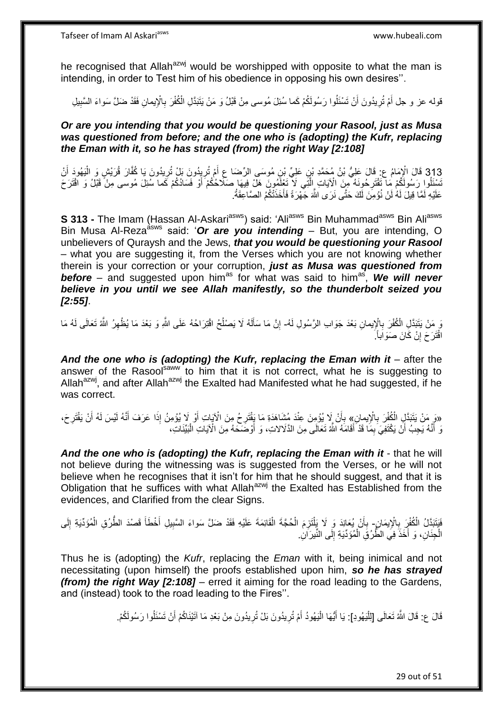he recognised that Allah<sup>azwj</sup> would be worshipped with opposite to what the man is intending, in order to Test him of his obedience in opposing his own desires''.

قوله عز و جل أَمْ تُرِيدُونَ أَنْ تَسْئَلُوا رَسُولَكُمْ كَما سُئِلَ مُوسى مِنْ قَبْلُ وَ مَنْ يَتَبَدَّلِ الْكُفْرَ بِالْإِيمانِ فَقَدْ ضَلَّ سَواءَ السَّبِيلِ اُ **∶** َ ِ **∶** 

*Or are you intending that you would be questioning your Rasool, just as Musa was questioned from before; and the one who is (adopting) the Kufr, replacing the Eman with it, so he has strayed (from) the right Way [2:108]*

313 قَالَ الْإِمَامُ عِ: قَالَ عَلِيُّ بْنُ مُحَمَّدِ بْنِ عَلِيٍّ بْنِ مُوسَى الرِّضَا عِ أَمْ تُرِيدُونَ بَلْ تُرِيدُونَ يَا كُفَّارَ قُرَبْشٍ وَ الْيَهُودَ أَنْ<br>يَرْبُعُونَ مَسْتَمَرَّتُ بِهَذَابِ عَلَيْهِ بِّي الْمُحَ َ ْ َ تَسْئَلُوا رَسُولَكُمْ مَا ۖ تَقْتَرِحُونَهُ مِنَ الْآيَاتِ إِلَّتَِي لَاّ تَعْلَمُونَ هَلْ فِيهَا صَلّاحُكُمْ أَوْ فَسَادُكُمْ كَما سُئِلَ مُوسى مِنْ قَبْلُ وَ اقْتَرَحَ اُ ه ِ عَلَيْهِ لَمَّا قِيلَ لَهُ لَنْ نُؤْمِنَ لَكَ حَتَّى نَرَى اللَّهَ جَهْرَةً فَأَخَذَتْكُمُ الصَّاعِقَةُ. َ

**S 313 -** The Imam (Hassan Al-Askari<sup>asws</sup>) said: 'Ali<sup>asws</sup> Bin Muhammad<sup>asws</sup> Bin Ali<sup>asws</sup> Bin Musa Al-Reza<sup>asws</sup> said: 'Or are you intending – But, you are intending, O unbelievers of Quraysh and the Jews, *that you would be questioning your Rasool* – what you are suggesting it, from the Verses which you are not knowing whether therein is your correction or your corruption, *just as Musa was questioned from*  before – and suggested upon him<sup>as</sup> for what was said to him<sup>as</sup>, We will never *believe in you until we see Allah manifestly, so the thunderbolt seized you [2:55]*.

وَ مَنْ يَتَبَدَّلِ الْمُفْرَ بِالْإِيمانِ بَعْدَ جَوَابِ الرَّسُولِ لَمُ- إِنَّ مَا سَأَلَهُ لَا يَصْلُحُ اقْتِرَاحُهُ عَلَى اللَّهِ وَ بَعْدَ مَا يُظْهِرُ اللَّهُ تَعَالَى لَهُ مَا **∶** ا<br>ا لَ َ ِ ِ اقْتَرَ حَ إِنْ كَانَ صَوَاباً ۖ ِ

And the one who is (adopting) the Kufr, replacing the Eman with it – after the answer of the Rasool<sup>saww</sup> to him that it is not correct, what he is suggesting to Allah $a^{2xy}$ , and after Allah $a^{2xy}$  the Exalted had Manifested what he had suggested, if he was correct.

«وَ مَنْ يَتَبَدَّلِ الْكُفْرَ بِالْإِيمانِ» بِأَنْ لَا يُؤْمِنَ عِنْدَ مُشَاهَدَةِ مَا يَقْتَرِحُ مِنَ الْآيَاتِ أَوْ لَا يُؤْمِنُ إِذَا عَرَفَ أَنَّهُ لَيْسَ لَهُ أَنْ يَقْتَرِحَ،<br>وَمَنْ يَتَبَدَّلِ الْكُفْرَ بِالْإِيما َ ه َ َ ِ َ َ **∶**  ِ ْ نَ أَنَّهُ يَجِبُ أَنْ يَكْتَفِيَ بِمَا قَدْ أَقَامَهُ اللَّهُ تَعَالَى مِنَ الذَّلَالاتِ، وَ أَوْضَحَهُ مِنَ الْآيَاتِ الْبَيِّنَاتِ، َ ِ َ ْ اُ

And the one who is (adopting) the Kufr, replacing the Eman with it - that he will not believe during the witnessing was is suggested from the Verses, or he will not believe when he recognises that it isn't for him that he should suggest, and that it is Obligation that he suffices with what Allah<sup>azwj</sup> the Exalted has Established from the evidences, and Clarified from the clear Signs.

يَنَبَدَّلُ الْكُفْرِِ بِالْإِيمَانِ- بِأَنْ يُعَانِدَ وَ لَا يَلْتَزِمَ الْحُجَّةَ الْقَائِمَةَ عَلَيْهِ فَقَدْ ضَلَّ سَواءَ السَّبِيلِ أَخْطَأَ قَصنْدَ الطَّرُقِ الْمُوَدِّيَةِ إِلَى ِ ز<br>ا **∶** ْ ْ ْ ِ ِ ْ َ َ الْجِنَانِ، وَ أَخَذَ فِي الطَّرُقِ الْمُؤَدِّيَةِ إِلَى النَّيرَانِ. ∣∣<br>∶ ْ َ ْ

Thus he is (adopting) the *Kufr*, replacing the *Eman* with it, being inimical and not necessitating (upon himself) the proofs established upon him, *so he has strayed (from) the right Way [2:108]* – erred it aiming for the road leading to the Gardens, and (instead) took to the road leading to the Fires''.

> قَالَ ع: قَالَ اللَّهُ تَعَالَى [لِلْيَهُودِ]: يَا أَيُّهَا الْيَهُودُ أَمْ تُرِيدُونَ بَلْ تُرِيدُونَ مِنْ بَعْدِ مَا آتَيْنَاكُمْ أَنْ تَسْئَلُوا رَسُولَكُمْ. ِ َ :<br>إ َ :<br>إ ِ َ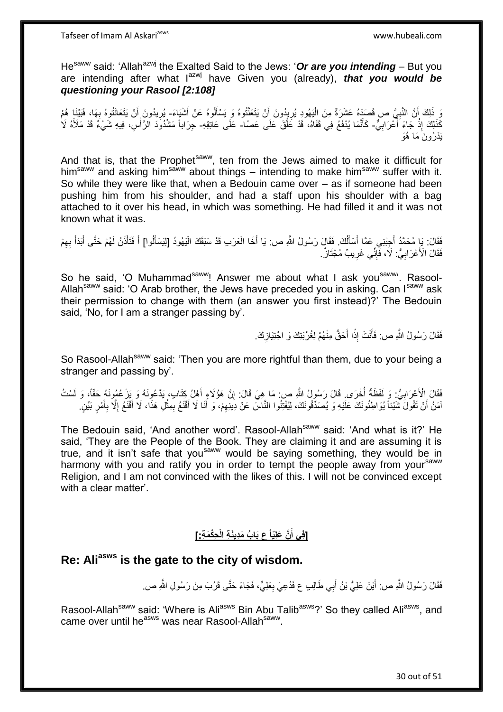He<sup>saww</sup> said: 'Allah<sup>azwj</sup> the Exalted Said to the Jews: 'Or are you intending – But you are intending after what l<sup>azwj</sup> have Given you (already), *that you would be questioning your Rasool [2:108]*

وَ ذَلِكَ أَنَّ النَّبِيَّ ص قَصَدَهُ عَشَرَةٌ مِنَ الْيَهُودِ يُرِيِدُونَ أَنْ يَتَعَنَّتُوهُ وَ يَسْأَلُوهُ عَنْ أَشْيَاءَ- يُرِيدُونَ أَنْ يَتَعَانَتُوهُ بِهَا، فَبَيْنَا هُمْ ِ ا<br>ا **∶** َ َ َ ֚֝<br>֧֧֚֚֚֚֚֚֚֚֚֚֚֚֚֚֚֚֚֝֝֝֝֝֝֝֝<br>֧֧֧֚֚֝֟֘֝֬֝֬֝֬֝֓֝ َ ِ هَذَاكَ إِذْ جَاءَ أَعْرَابِيٍّ- كَأَنَمَا يُدْفَعُ فِي قَفَاهُ، قَدْ عَلَّقَ عَلَى عَصَا- عَلَى عَاتِقِهِ- جِرَاباً مَشْدُودَ الرَّأْسِ، فِيهِ شَيْءٌ قَدْ مَلَأَهُ لَا **∶** َ ْ َ ه َ **ٔ** َيْد ُرو َن َما ُهَو

And that is, that the Prophet<sup>saww</sup>, ten from the Jews aimed to make it difficult for him<sup>saww</sup> and asking him<sup>saww</sup> about things – intending to make him<sup>saww</sup> suffer with it. So while they were like that, when a Bedouin came over – as if someone had been pushing him from his shoulder, and had a staff upon his shoulder with a bag attached to it over his head, in which was something. He had filled it and it was not known what it was.

فَقَالَ: يَإِ مُحَمَّدُ أَجِبْنِي عَمَّا أَسْأَلُكَ. فَقَالَ رَسُولُ اللَّهِ ص: يَا أَخَا الْعَرَبِ قَدْ سَبَقَكَ الْيَهُودُ [لِيَسْأَلُوا] أَ فَتَأْذَنُ لَهُمْ حَتَّى أَبْدَأَ بِهِمْ ُ َ َ َ ِ َ َ ْ َ اً<br>أ ْ ْ َ ِ فَقَالَ الْأَعْرَابِيُّ: لَاَ، فَّإِنِّي غَرِيبٌ مُجْتَازٌ. ِ ∣اٍ<br>∶ ِ

So he said, 'O Muhammad<sup>saww</sup>! Answer me about what I ask you<sup>saww</sup>'. Rasool-Allah<sup>saww</sup> said: 'O Arab brother, the Jews have preceded you in asking. Can I<sup>saww</sup> ask their permission to change with them (an answer you first instead)?' The Bedouin said, 'No, for I am a stranger passing by'.

> فَقَالَ رَسُولُ اللَّهِ ص: فَأَنْتَ إِذًا أَحَقُّ مِنْهُمْ لِغُرْبَتِكَ وَ اجْتِيَازِكَ. **∶** َ ا َ

So Rasool-Allah<sup>saww</sup> said: 'Then you are more rightful than them, due to your being a stranger and passing by'.

فَقَالَ الْأَعْرَابِيُّ: وَ لَفْظَةٌ أُخْرَى. قَالَ رَسُولُ اللَّهِ ص مَا هِيَ قَالَ: إِنَّ هَؤُلَاءِ أَهْلُ كِتَابٍ، يَدَّعُونَهُ وَ يَزْعُمُونَهُ حَقَّاً، وَ لَسْتُ َ ِ ابل<br>ا ِ آمَنُ أَنْ نَقُولَ شَيْئاً يُوَاطِئُونَكَ عَلَيْهِ وَ يُصَدِّقُونَكَ، لِيُفْتِنُوا النَّاسَ عَنْ دِينِهِمْ، وَ أَنَا لَا أَقْنَعُ بِمِثْلِ هَذَا، لَا أَقْنَعُ إِلَّا بِأَمْرٍ بَيِّنٍ اُ َ ِ ا<br>ا َ ْ ِ َ َ ِ

The Bedouin said, 'And another word'. Rasool-Allah<sup>saww</sup> said: 'And what is it?' He said, 'They are the People of the Book. They are claiming it and are assuming it is true, and it isn't safe that you<sup>saww</sup> would be saying something, they would be in harmony with you and ratify you in order to tempt the people away from your<sup>saww</sup> Religion, and I am not convinced with the likes of this. I will not be convinced except with a clear matter'.

#### **ِحْكَم ِة:[ َّن َعلِّياً ع َبا ُب َمِديَن ِة الْ ]فِي أ َ**

# **Re: Aliasws is the gate to the city of wisdom.**

فَقَالَ رَسُولُ اللَّهِ ص: أَيْنَ عَلِيُّ بْنُ أَبِي طَالِبٍ ع فَدُعِيَ بِعَلِيٍّ، فَجَاءَ حَتَّى قَرُبَ مِنْ رَسُولِ اللَّهِ ص. ِ َ َ

Rasool-Allah<sup>saww</sup> said: 'Where is Ali<sup>asws</sup> Bin Abu Talib<sup>asws</sup>?' So they called Ali<sup>asws</sup>, and came over until he<sup>asws</sup> was near Rasool-Allah<sup>saww</sup>.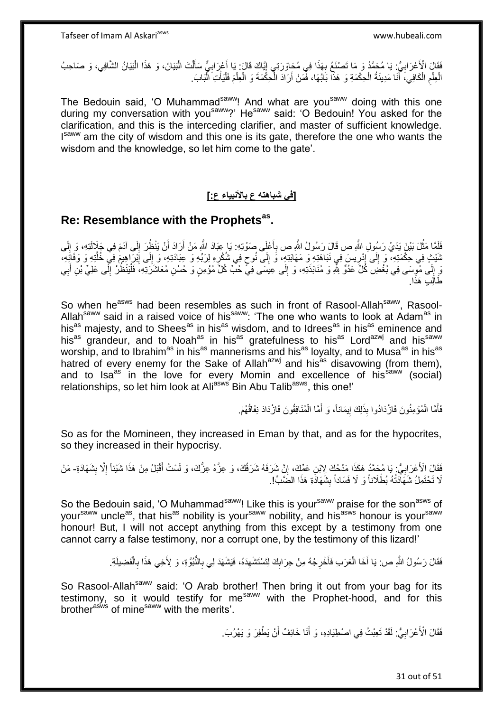فَقَالَ الْأَعْرَابِيُّ: يَا مُحَمَّدُ وَ مَا تَصْنَعُ بِهَذَا فِي مُحَاوَرَتِي إِيَّاكَ قَالَ: يَا أَعْرَابِيٌّ سَأَلْتَ الْبَيَانَ، وَ هَذَا الْبَيَانُ الشَّافِي، وَ صَاحِبُ ْ َ ِ َ ِ ِ ِ ْ ْ الْعِلْمِ الْكَافِي، ۚ أَنَا مَدِينَةُ الْحِكْمَةِ وَ هَذَّا بَابُهَا، فَمَنْ أَرَادَ الْحِكْمَةَ وَ الْعِلْمَ فَلْيَأْتِ الْبَابَ. ْ ْ ْ ْ ْ ا<br>ا اُ ْ َ ْ ِ ْ ْ

The Bedouin said, 'O Muhammad<sup>saww</sup>! And what are you<sup>saww</sup> doing with this one during my conversation with you<sup>saww</sup>?' He<sup>saww</sup> said: 'O Bedouin! You asked for the clarification, and this is the interceding clarifier, and master of sufficient knowledge. Isaww am the city of wisdom and this one is its gate, therefore the one who wants the wisdom and the knowledge, so let him come to the gate'.

### **]في شباهته ع باْلنبياء ع:[**

# **Re: Resemblance with the Prophetsas .**

فَلَمَّا مَثْلَ بَيْنَ يَدَيْ رَسُولِ اللَّهِ ص قَالَ رَسُولُ اللَّهِ ص بِأَعْلَى صَوْتِهِ: يَا عِبَادَ اللَّهِ مَنْ أَرَادَ أَنْ يَنْظُرَ إِلَى آدَمَ فِي جَلَالَتِهِ، وَ إِلَى َ ِ ُ َ لَ ِ ا َ ثَنْيْتٍ فِي حِكْمَتِهِ، وَ إِلَى إِدْرِيسَ فِي نَبَاهَتِهِ وَ مَهَابَتِهِ، وَ إِلَى نُوحٍ فِي شُكْرِهِ لِرَبِّهِ وَ عِبَادَتِهِ، وَ إِلَى إِبْرَاهِيمَ فِي خُلْتِهِ وَ وَفَائِهِ،  $\frac{1}{2}$ ه ِ ِ ِ ٍ ِ ِ ∣∣<br>; وَ إِلَى مُوسَى فِي بُغْضِ كُلِّ عَدُوٍّ شَّو وَ مُنَابَذَتِهِ، وَ إِلَى عِيَسَى فِيٍّ حُبَّ كُلِّ مُؤمِنٍ وَ حُسْنِ مُعَاشَرَتِهِ، فَلْيَنْظُرْ إِلَى عَلِيٍّ بْنِ أَبِي  $\frac{1}{2}$ لَ ِ ْ ِ ِ َ طَالِبِ هَذَا.

So when he<sup>asws</sup> had been resembles as such in front of Rasool-Allah<sup>saww</sup>, Rasool-Allah<sup>saww</sup> said in a raised voice of his<sup>saww</sup>: 'The one who wants to look at Adam<sup>as</sup> in his<sup>as</sup> majesty, and to Shees<sup>as</sup> in his<sup>as</sup> wisdom, and to Idrees<sup>as</sup> in his<sup>as</sup> eminence and his<sup>as</sup> grandeur, and to Noah<sup>as</sup> in his<sup>as</sup> gratefulness to his<sup>as</sup> Lord<sup>azwj</sup> and his<sup>saww</sup> worship, and to Ibrahim<sup>as</sup> in his<sup>as</sup> mannerisms and his<sup>as</sup> loyalty, and to Musa<sup>as</sup> in his<sup>as</sup> hatred of every enemy for the Sake of Allah<sup>azwj</sup> and his<sup>as</sup> disavowing (from them), and to Isa<sup>as</sup> in the love for every Momin and excellence of his<sup>saww</sup> (social) relationships, so let him look at Ali<sup>asws</sup> Bin Abu Talib<sup>asws</sup>, this one!'

> فَأَمَّا الْمُؤْمِنُونَ فَازْدَادُوا بِذَلِكَ إِيمَاناً، وَ أَمَّا الْمُنَافِقُونَ فَازْدَادَ نِفَاقُهُمْ. ْ َ ֖֧֦֧֦֧֦֧֦֧֦֧֦֧֦֧ׅ֧֦֧ׅ֧֦֧֦֧֦֧֦֧֦֧֦֧֦֧֦֧֦֧֦֧֦֧֦֧֦֧֦֧֦֧֦֧֚֜֓֓֜֓֓֓֞֡<br>֧֜֩֞֘ ْ َ

So as for the Momineen, they increased in Eman by that, and as for the hypocrites, so they increased in their hypocrisy.

فَقَالَ الْأَعْرَابِيُّ: يَا مُحَمَّدُ هَكَذَا مَدْحُكَ لِابْنِ عَمِّكَ، إِنَّ شَرَفَهُ شَرَفُكَ، وَ عِزَّهُ ع ِ ِ ِ ا<br>ا لَا تَحْتَمِلُ شَهَاَدَتُهُ بُطْلَاناً وَ لَا فَسَاداً بِشَهَادَةِ هَذَا الضَّنَّبِّ!. **ِ** 

So the Bedouin said, 'O Muhammad<sup>saww</sup>! Like this is your<sup>saww</sup> praise for the son<sup>asws</sup> of your<sup>saww</sup> uncle<sup>as</sup>, that his<sup>as</sup> nobility is your<sup>saww</sup> nobility, and his<sup>asws</sup> honour is your<sup>saww</sup> honour! But, I will not accept anything from this except by a testimony from one cannot carry a false testimony, nor a corrupt one, by the testimony of this lizard!'

> فَقَالَ رَسُولُ اللَّهِ ص: يَا أَخَا الْعَرَبِ فَأَخْرِجْهُ مِنْ جِرَابِكَ لِتَسْتَشْهِدَهُ، فَيَشْهَدَ لِي بِالنُّبُوَّةِ، وَ لِأَخِي هَذَا بِالْفَضِيلَةِ. ِ ِ  $\frac{1}{2}$ ِ َ ْ َ ْ ِ

So Rasool-Allah<sup>saww</sup> said: 'O Arab brother! Then bring it out from your bag for its testimony, so it would testify for me<sup>saww</sup> with the Prophet-hood, and for this brother<sup>asws</sup> of mine<sup>saww</sup> with the merits'.

> فَقَالَ الْأَعْرَابِيُّ: لَقَدْ تَعِبْتُ فِي اصْطِيَادِهِ، وَ أَنَا خَائِفٌ أَنْ يَطْفِرَ وَ يَهْرُبَ. ِ َ َ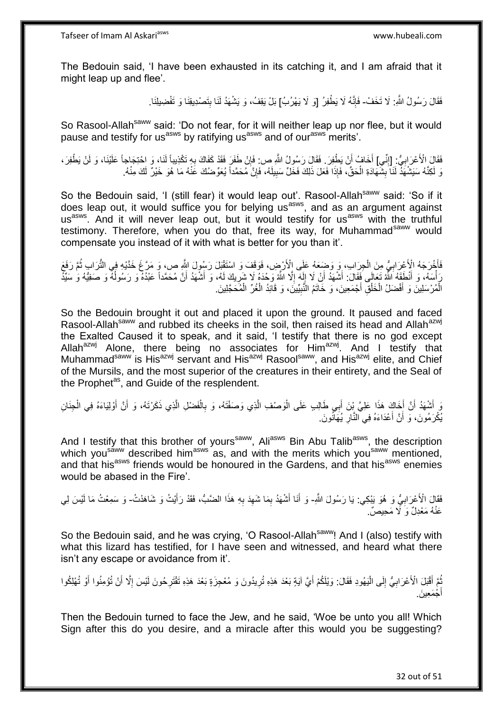The Bedouin said, 'I have been exhausted in its catching it, and I am afraid that it might leap up and flee'.

> فَقَالَ رَسُولُ اللَّهِ: لَا تَخَفْ- فَإِنَّهُ لَا يَطْفِرُ [وَ لَا يَهْرُبُ] بَلْ يَقِفُ، وَ يَشْهَدُ لَنَا بِتَصْدِيقِنَا وَ تَفْضِيلِنَا. ِ

So Rasool-Allah<sup>saww</sup> said: 'Do not fear, for it will neither leap up nor flee, but it would pause and testify for us<sup>asws</sup> by ratifying us<sup>asws</sup> and of our<sup>asws</sup> merits'.

فَقَالَ الْأَعْرَابِيُّ: [إِنِّي] أَخَافُ أَنْ يَطْفِرَ . فَقَالَ رَسُولُ اللَّهِ ص: فَإِنْ طَفَرَ فَقَدْ كَفَاكَ بِهِ تَكْذِيباً لَنَا، وَ احْتِجَاجاً عَلَيْنَا، وَ لَنْ يَطْفِرَ ، ِ ِ اُ َ ِ ِ وَ لَكِنَّهُ سَيَشْهَدُ لَنَا بِشُهَادَةِ الْحَقِّ، فَإِذَا فَعَلَ ذَلِكَ فَخَلٍّ سَبِيلَهُ، فَإِنَّ مُحَمَّداً يُعَوِّضُكَ عََنْهُ مَا هُوَ خَيْرٌ لَكَ مِنْهُ. ْ **∣** ِ ِ

So the Bedouin said, 'I (still fear) it would leap out'. Rasool-Allah<sup>saww</sup> said: 'So if it does leap out, it would suffice you for belying us<sup>asws</sup>, and as an argument against usasws. And it will never leap out, but it would testify for usasws with the truthful testimony. Therefore, when you do that, free its way, for Muhammad<sup>saww</sup> would compensate you instead of it with what is better for you than it'.

فَأَخْرَجَهُ الْأَعْرَابِيُّ مِنَ الْجِرَابِ، وَ وَضَعَهُ عَلَى الْأَرْضِ، فَوَقَفَ وَ اسْتَقْبَلَ رَسُولَ اللَّهِ ص، وَ مَرَّعَ خَدَّيْهِ فِي الثُّرَابِ ثُمَّ رَفَعَ **∶** َ ا<br>:<br>: رَ أَسَلَّهُ، وَ أَنْطَقَهُ اللَّهُ تَعَالَى فَقَالَ: أَشْهَدُ أَنْ لَا إِلَهَ إِلَّا اللَّهُ وَحْدَهُ لَا شَرِيكَ لَمُه، وَ أَشْهَدُ أَنَّ مُحَمَّداً عَبْدُهُ وَ رَسُولُهُ وَ صَفِيَّهُ وَ سَيِّدُ َ ِ ِ لَ ِ َ ُ َ َ الْمُرْسَلِينَ وَ أَفْضَلُ الْخَلْقِ أَجْمَعِينَ، وَ خَاتَمُ النَّبِيِّينَ، وَ قَائِدُ الْغُرِّ الْمُحَجَّلِينَ ْ ْ **!** َ ْ ْ َ ْ

So the Bedouin brought it out and placed it upon the ground. It paused and faced Rasool-Allah<sup>saww</sup> and rubbed its cheeks in the soil, then raised its head and Allah<sup>azwj</sup> the Exalted Caused it to speak, and it said, 'I testify that there is no god except Allah<sup>azwj</sup> Alone, there being no associates for Him<sup>azwj</sup>. And I testify that Muhammad<sup>saww</sup> is His<sup>azwj</sup> servant and His<sup>azwj</sup> Rasool<sup>saww</sup>, and His<sup>azwj</sup> elite, and Chief of the Mursils, and the most superior of the creatures in their entirety, and the Seal of the Prophet<sup>as</sup>, and Guide of the resplendent.

يَ أَشْهَدُ أَنَّ أَخَاكَ هَذَا عَلِيَّ بِنَ أَبِي طَالِبِ عَلَى الْوَصْفِ الَّذِي وَصَفْتَهُ، وَ بِالْفَضْلِ الَّذِي ذَكَرْتَهُ، وَ أَنَّ أَوْلِيَاءَهُ فِي الْجِذَانِ َ اُ َ ْ َ َ ه ْ ِ ه :<br>ا يُكْرَمُونَ، وَ أَنَّ أَعْدَاءَهُ فِي النَّارِ يُهَانُونَ. ِ َ

And I testify that this brother of yours<sup>saww</sup>, Ali<sup>asws</sup> Bin Abu Talib<sup>asws</sup>, the description which you<sup>saww</sup> described him<sup>asws</sup> as, and with the merits which you<sup>saww</sup> mentioned, and that his<sup>asws</sup> friends would be honoured in the Gardens, and that his<sup>asws</sup> enemies would be abased in the Fire'.

فَقَالَ الْأَعْرَابِيُّ وَ هُوَ يَبْكِي: يَا رَسُولَ اللَّهِ- وَ أَنَا أَشْهَدُ بِمَا شَهِدَ بِهِ هَذَا الضَّبُّ، فَقَدْ رَأَيْتُ وَ شَاهَدْتُ- وَ سَمِعْتُ مَا لَيْسَ لِي ِ َ ِ ِ ِ َ عَنْهُ مَعْدِلٌ وَ لَا مَحِيصٌ.

So the Bedouin said, and he was crying, 'O Rasool-Allah<sup>saww</sup>! And I (also) testify with what this lizard has testified, for I have seen and witnessed, and heard what there isn't any escape or avoidance from it'.

بُّعَ أَقْبَلَ الْأَعْرَابِيُّ إِلَى الْيَهُودِ فَقَالَ: وَيْلَكُمْ أَيَّ آيَةٍ بَعْدَ هَذِهِ تُرِيدُونَ وَ مُعْجِزَةٍ بَعْدَ هَذِهِ تَقْتَرِحُونَ لَيْسَ إِلَّا أَنْ تُؤْمِنُوا أَوْ تُهْلِكُوا ِ َ ا<br>ا יִי (ו **∶** َ ُ َ أ ِ ِ جْمَعِينَ. َ أ

Then the Bedouin turned to face the Jew, and he said, 'Woe be unto you all! Which Sign after this do you desire, and a miracle after this would you be suggesting?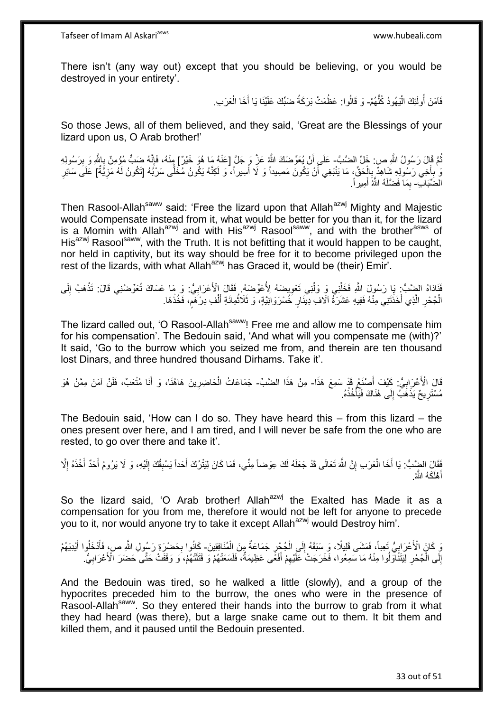There isn't (any way out) except that you should be believing, or you would be destroyed in your entirety'.

> فَآمَنَ أُولَئِكَ الْيَهُودُ كُلُّهُمْ- وَ قَالُوا: عَظُمَتْ بَرَكَةُ ضَبِّكَ عَلَيْنَا يَا أَخَا الْعَرَبِ. ُّ ֦֦֦֦֧֦֧֦֧֦֧֦֧֦֧֦֧֦֧֦֧֦֧֝֟֟֓֕֝֟֓֕֝֟֓֓֡֟֓֟֓֡֟֓֡֟֓֡֟֓֓֞֟֓֡֟֓֓֞֓֞֓֞֟֓֡֟֓֓֞֟֓֟֓֓֞֓֞֓֟֓֝֬֝ ُ ْ َ

So those Jews, all of them believed, and they said, 'Great are the Blessings of your lizard upon us, O Arab brother!'

ثُمَّ قَالَ رَسُولُ اللَّهِ ص: خَلِّ الضَّبَّ- عَلَى أَنْ يُعَوِّضَكَ اللَّهُ عَزَّ وَ جَلَّ [عَنْهُ مَا هُوَ خَيْرٌ] مِنْهُ، فَإِنَّهُ ضَبِّ مُؤْمِنٌ بِاللَّهِ وَ بِرَسُولِهِ ُ ِ ِ ِ َ وَ ٰبِأَخِي رَسُولِهِ شَاهِدٌ بِالْحَقِّ، مَا يَنْبَغِي أَنْ يَكُونَ مَصِيداً وَ لَا أَسِيراً، وَ لَكِنَّهُ يَكُونُ مُخَلَّى سَرْبُهُ [تَكُونُ لَهُ مَزِيَّةٌ] عَلَى سَائِرِ ا أ َ ْ ِ ا<br>استعمال ِ ِ ِ الْضِّبَابِّ- بِمَا فَضَّلَهُ الثَّهُ أَمِيرٍ أَ َ ِ

Then Rasool-Allah<sup>saww</sup> said: 'Free the lizard upon that Allah<sup>azwj</sup> Mighty and Majestic would Compensate instead from it, what would be better for you than it, for the lizard is a Momin with Allah<sup>azwj</sup> and with His<sup>azwj</sup> Rasool<sup>saww</sup>, and with the brother<sup>asws</sup> of His<sup>azwj</sup> Rasool<sup>saww</sup>, with the Truth. It is not befitting that it would happen to be caught, nor held in captivity, but its way should be free for it to become privileged upon the rest of the lizards, with what Allah<sup>azwj</sup> has Graced it, would be (their) Emir'.

فَذَادُهُ الضِّنَبُّ: بَا رَسُولَ اللَّهِ فَخَلِّنِي وَ وَلَّنِي تَعْوِيضَهُ لِأُعَوِّضَهُ. فَقَالَ الْأَعْرَابِيُّ: وَ مَا عَسَاكَ تُعَوِّضُنِي قَالَ: تَذْهَبُ إِلَى **∶** ِّ ِّ لَ ِ **ٔ** ِ ْ الْجُحْرِ الَّذِي أَخَذْتَنِي مِنْهُ فَفِيهِ عَشَرَةُ آلَاف ِدِينَارٍ خُسْرَوَانِيَّةٍ، وَ ثَلَاثُمِائَةِ أَلْفِ دِرْكَمِ، فَخُذْهَا. َ ر ويو - ا **ٔ** َ ه **∶** ْ **ٔ:** ֧֧֚֚֚֚֚֚֚֚֚֓֝֓֝

The lizard called out, 'O Rasool-Allah<sup>saww</sup>! Free me and allow me to compensate him for his compensation'. The Bedouin said, 'And what will you compensate me (with)?' It said, 'Go to the burrow which you seized me from, and therein are ten thousand lost Dinars, and three hundred thousand Dirhams. Take it'.

قَالَ الْأَعْرَابِيُّ: كَيْفَ أَصْنَعُ قَدْ سَمِعَ هَذَا- مِنْ هَذَا الضَّبِّ- جَمَاعَاتُ الْحَاضِرِينَ هَاهُنَا، وَ أَنَا مُتْعَبٍّ، فَلَنْ آمَنَ مِمَّنْ هُوَ َ **∶** َ **∶** مُسْتَرِيحٌ يَذْهَبُّ إِلَى هُٰذَاكَ فَيَأْخُذُهُ. ِ ْ ِ **ٔ : : :** 

The Bedouin said, 'How can I do so. They have heard this – from this lizard – the ones present over here, and I am tired, and I will never be safe from the one who are rested, to go over there and take it'.

فَقَالَ الضَّبُّ: يَا أَخَا الْعَرَبِ إِنَّ اللَّهَ تَعَالَى قَدْ جَعَلَهُ لَكَ عِوَضناً مِنِّي، فَمَا كَانَ لِيَنْرُكَ أَحَداً يَسْبِقُكَ إِلَيْهِ، وَ لَا يَرُومُ أَحَدٌ أَخْذَهُ إِلَّ<br>وَفَيَالِ الضِّئِبُّ: يَا أَخَا الْ ِ ْ َ ِ َ َ لَ ِ ِ َ أَهْلَكَهُ الثَّهُ. َ

So the lizard said, 'O Arab brother! Allah<sup>azwj</sup> the Exalted has Made it as a compensation for you from me, therefore it would not be left for anyone to precede you to it, nor would anyone try to take it except Allah<sup>azwj</sup> would Destroy him'.

ْ نِ كَانَ الْأَعْرَابِيُّ تَعِباً، فَمَشَى قَلِيلًا، وَ سَبَقَهُ إِلَى الْجُجْرِ جَمَاعَةٌ مِنَ الْمُنَافِقِينَ- كَانُوا بِحَضْرَةِ رَسُولِ اللَّهِ ص، فَأَدْخَلُوا أَيْدِيَهُمْ  $\frac{1}{2}$ **∶** ْ ِ َ َ ِ إِلَى الْجُحْرِ لِّيَتَنَاَوَلُوا مِنْهُ مَا سَمِعُوا، فَخَرَجَتْ عَلَيْهِمْ أَفْعًى عَظِيمَةٌ، فَلَسَعَتْهُمْ وَ قَتَلَتْهُمْ، وَ وَقَفَتْ حَتَّى حَضَرَ الْأَعْرَابِيُّ. َ ِ ِ ْ ِ ِ

And the Bedouin was tired, so he walked a little (slowly), and a group of the hypocrites preceded him to the burrow, the ones who were in the presence of Rasool-Allah<sup>saww</sup>. So they entered their hands into the burrow to grab from it what they had heard (was there), but a large snake came out to them. It bit them and killed them, and it paused until the Bedouin presented.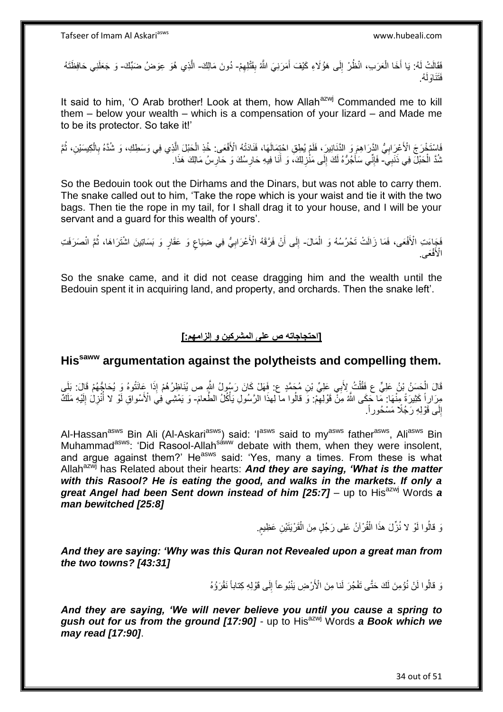فَقَالَتْ لَهُ: يَا أَخَا الْعَرَبِ، انْظُرْ إِلَى هَوُلَاءِ كَيْفَ أَمَرَنِيَ اللَّهُ بِقَتْلِهِمْ- دُونَ مَالِكَ- الَّذِي هُوَ عِوَضُ ضَبِّكَ- وَ جَعَلَنِي حَافِظَتَهُ ِ َ ِ ْ َ ُه. َفَتَناَولَ

It said to him, 'O Arab brother! Look at them, how Allah<sup>azwj</sup> Commanded me to kill them – below your wealth – which is a compensation of your lizard – and Made me to be its protector. So take it!'

َاسْتَخْرَجَ الْأَعْرَابِيُّ الدَّرَاهِمَ وَ الدَّنَانِيرَ، فَلَمْ يُطِقِ احْتِمَالَهَا، فَنَادَتْهُ الْأَفْعَى: خُذِ الْحَبْلَ اِلَّذِي فِي وَسَطِكِ، وَ شُدَّهُ بِالْكِيسَيْنِ، ثُمَّ ْ **∶** ر<br>: ْ ِ نْدَّ الْحَبْلَ فِي ذَنَبِيِّ- فَإِنِّي سَأَجُرُهُ لَكَ إِلَى مَنْزِلِكَ، وَ أَنَا فِيهِ حَارِسُكَ وَ حَارِسُ مَالِكَ هَذَا. ْ **∶** ِ ∣∣<br>∶ َ ِ ِ

So the Bedouin took out the Dirhams and the Dinars, but was not able to carry them. The snake called out to him, 'Take the rope which is your waist and tie it with the two bags. Then tie the rope in my tail, for I shall drag it to your house, and I will be your servant and a guard for this wealth of yours'.

ْفَجَاءَتِ الْأَفْعَى، فَمَا زَالَتْ تَحْرُسُهُ وَ الْمَالَ- إِلَى أَنْ فَرَّقَهُ الْأَعْرَابِيُّ فِي ضِيَاعٍ وَ عَقَارٍ وَ بَسَاتِينَ اشْتَرَاهَا، ثُمَّ انْصَرَفَتِ ر<br>: ٍ **∶** َ ِ الْأَفْعَى.

So the snake came, and it did not cease dragging him and the wealth until the Bedouin spent it in acquiring land, and property, and orchards. Then the snake left'.

### **]احتجاجاته ص على المشركين و إلزامهم:[**

# **Hissaww argumentation against the polytheists and compelling them.**

قَالَ الْحَسَنُ بِْنُ عَلِيٍّ ع فَقُلْتُ لِأَبِي عَلِيٍّ بْنِ مُجَمَّدٍ ع: فَهَلْ كَانَ رَسُولُ اللَّهِ ص يُنَاظِرُهُمْ إِذَا عَانَتُوهُ وَ يُحَاجُهُمْ قَالَ: بَلَي ْ مِرَارِاً كَثِيرَةً مِنْهَا: مَا حَكَى اللَّهُ مِنْ قَوْلِهِمْ: وَ قالُوا ما لِهذَا الرَّسُولِ يَأْكُلُ الطَّعامَ- وَ يَمْشِي فِي الْأَسْواقِ لَوْ لَا أُنْزِلُ إِلَيْهِ مَلَكٌ ِ **ٔ** لَ ِ ِ إِلَى قَوْلِهِ رَجُلًا مَسْحُوراً. ِ

Al-Hassan<sup>asws</sup> Bin Ali (Al-Askari<sup>asws</sup>) said: 'I<sup>asws</sup> said to my<sup>asws</sup> father<sup>asws</sup>, Ali<sup>asws</sup> Bin Muhammad<sup>asws</sup>: 'Did Rasool-Allah<sup>saww</sup> debate with them, when they were insolent, and argue against them?' He<sup>asws</sup> said: 'Yes, many a times. From these is what Allah<sup>azwj</sup> has Related about their hearts: **And they are saying, 'What is the matter** *with this Rasool? He is eating the good, and walks in the markets. If only a*  great Angel had been Sent down instead of him [25:7] – up to His<sup>azwj</sup> Words a *man bewitched [25:8]*

> وَ قالُوا لَوْ لا نُزِّلَ هذَا الْقُرْآنُ عَلى رَجُلٍ مِنَ الْقَرْيَنَيْنِ عَظِيمٍ. ْ ٍ ْ

*And they are saying: 'Why was this Quran not Revealed upon a great man from the two towns? [43:31]*

> نَ قالُوا لَنْ نُؤْمِنَ لَكَ حَتَّى تَفْجُرَ لَنا مِنَ الْأَرْضِ يَنْبُو عاً إِلَى قَوْلِهِ كِتاباً نَقْرَؤُهُ ِ

*And they are saying, 'We will never believe you until you cause a spring to*  gush out for us from the ground [17:90] - up to His<sup>azwj</sup> Words a Book which we *may read [17:90]*.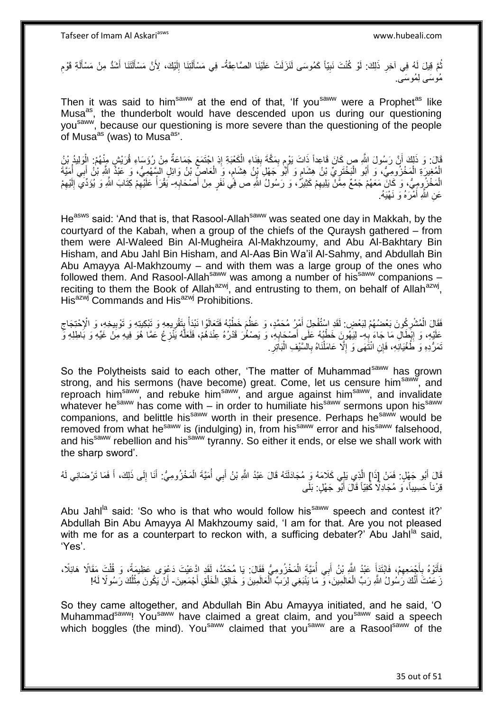نُّمَّ قِيلَ لَهُ فِي آخِرِ ذَلِكَ: لَوْ كُنْتَ نَبِيّاً كَمُوسَى لَنَزَلَتْ عَلَيْنَا الصَّاعِقَةُ- فِي مَسْأَلَتِنَا إِلَيْكَ، لِأَنَّ مَسْأَلَتَنَا أَشَدُّ مِنْ مَسْأَلَةِ قَوْمِ ِ ِ ُ ِ لَ Í َ َ لَ ِ لَ Í مُو سَ*ي* لِمُوسَى.

Then it was said to him<sup>saww</sup> at the end of that, 'If you<sup>saww</sup> were a Prophet<sup>as</sup> like Musa<sup>as</sup>, the thunderbolt would have descended upon us during our questioning you<sup>saww</sup>, because our questioning is more severe than the questioning of the people of Musa<sup>as</sup> (was) to Musa<sup>as,</sup>

قَالَ: وَ ذَلِكَ أَنَّ رَسُولَ اللَّهِ صٍ كَانَ قَاعِداً ذَاتَ يَوْمٍ بِمَكَّةَ بِفِنَاءِ الْكَعْبَةِ إِذِ اجْتَمَعَ جَمَاعَةٌ مِنْ رُؤَسَاءِ قُرَيْشٍ مِنْهُمْ: الْوَلِيدُ بْنُ ِ ْ **∣** ِ ֧֧֖֧֖֧֖֧֧֧֧֧֧֧֧֧֧֧֧֚֚֚֓֝֝֝֝֝֟֓֝֓֬֝֓֝֬֟֓֟֓֝֬֟֓֟֓֝֬֝֬֝֓֟֓֝֬֜֝֬֝֓֝֬֝֓ اً ْ الْمُغِيرَةِ الْمَخْزُومِيُّ، وَ أَبُو الْبَخْتَرِيِّ بْنُ هِشَامٍ وَ أَبُو َجَهْلِ َيْنُ هِشَامٍ، وَ الْعَاصِلِّ بْنُ وَائِلِ السَّهْمِيُّ، وَ عَبْدًُ اللَّهِ بْنُ أَبِي أُمَيَّةَ َ ٍ ِ ْ َ ْ ْ ُ َ ْ ٍ الْمَخْزُومِيُّ، وَ كَانَّ مَعَهُمْ جَمْعٌ مِمَّنْ يَلِيهِمْ كَثِيرٌ، وَ رَسُولُ اللَّهِ ص فِي نَفَرٍ مِنْ أَصْحَابِهِ- يَقْرَأُ عَلَيْهِمْ كِتَابَ اللَّهِ وَ يُؤَدِّيَ إِلَيْهِمْ ِ َ ِ لَ ِ ِ ا<br>ا ِ عَنِ اللَّهِ أَمْرَهُ وَ نَـهْيَهُ. َ

He<sup>asws</sup> said: 'And that is, that Rasool-Allah<sup>saww</sup> was seated one day in Makkah, by the courtyard of the Kabah, when a group of the chiefs of the Quraysh gathered – from them were Al-Waleed Bin Al-Mugheira Al-Makhzoumy, and Abu Al-Bakhtary Bin Hisham, and Abu Jahl Bin Hisham, and Al-Aas Bin Wa'il Al-Sahmy, and Abdullah Bin Abu Amayya Al-Makhzoumy – and with them was a large group of the ones who followed them. And Rasool-Allah<sup>saww</sup> was among a number of his<sup>saww</sup> companions – reciting to them the Book of Allah<sup>azwj</sup>, and entrusting to them, on behalf of Allah<sup>azwj</sup>, His<sup>azwj</sup> Commands and His<sup>azwj</sup> Prohibitions.

فَقَالَ الْمُشْرِكُونَ بَعْضُهُمْ لِبَعْضِ. لَقَدِ السُّفُخِلَ أَمْرُ مُحَمَّدٍ، وَ عَظُمَ خَطْبُهُ فَتَعَالَوا نَبْدَأْ بِتَقْرِيعِهِ وَ تَوْبِيعِهِ وَ الْإِحْتِجَاجِ<br>يَقَدَّلْ بَعْضُهُمْ لِبَعْضٍ لَمَّا يَوْمُ الْمُنْفِ ِ ْ ِ ِ ْ َ ِ ِ عَلَيْهِ، وَ إِنَّطَالِ مَا جَاءَ بِهِ- لِيَهُورَنَ خَطْبُهُ عَلَى أَصْحَابِهِ، وَ يَصْغُرَ قَدْرُهُ عِنْدَهُمْ، فَلَعَلَّهُ يَنْزِعُ عَمَّا هُوَ فِيهِ مِنْ غَيِّهِ وَ بَاطِلِهِ وَّ **∶** ِ ه **∶** َ ِ نَمَرُّدِهِ وَ طُغْيَانِهِ، فَإِنِ انْتَهَى وَ إِلَّا عَامَلْنَاهُ بِالسَّنْفِ الْبَاتِرِ. **∶** :<br>ا **∶** ْ ِ

So the Polytheists said to each other, 'The matter of Muhammad<sup>saww</sup> has grown strong, and his sermons (have become) great. Come, let us censure him<sup>saww</sup>, and reproach him<sup>saww</sup>, and rebuke him<sup>saww</sup>, and argue against him<sup>saww</sup>, and invalidate whatever he<sup>saww</sup> has come with – in order to humiliate his<sup>saww</sup> sermons upon his<sup>saww</sup> companions, and belittle his<sup>saww</sup> worth in their presence. Perhaps he<sup>saww</sup> would be removed from what he<sup>saww</sup> is (indulging) in, from his<sup>saww</sup> error and his<sup>saww</sup> falsehood, and his<sup>saww</sup> rebellion and his<sup>saww</sup> tyranny. So either it ends, or else we shall work with the sharp sword'.

قَالَ أَبُو جَهْلٍ: فَمَنْ إِذَا] الَّذِي بَلِي كَلَامَهُ وَ مُجَادَلَتَهُ قَالَ عَبْدُ اللَّهِ بْنُ أَبِي أُمَيَّةَ الْمَخْزُومِيُّ: أَنَا إِلَى ذَلِكَ، أَ فَمَا تَرْضَانِي لَهُ ْ ا<br>ا َ ه َ ِ َ قِرْناً حَسِيباً، وَ مُجَادِلًا كِّفِيّاً قَالَ أَبُو جَهْلٍ: بَلَى َ

Abu Jahl<sup>la</sup> said: 'So who is that who would follow his<sup>saww</sup> speech and contest it?' Abdullah Bin Abu Amayya Al Makhzoumy said, 'I am for that. Are you not pleased with me for as a counterpart to reckon with, a sufficing debater?' Abu Jahl $^{\text{la}}$  said, 'Yes'.

فَأَتَوْهُ بِأَجْمَعِهِمْ، فَابْتَدَأَ عَبْدُ اللَّهِ بْنُ أَبِي أُمَيَّةَ الْمَخْزُومِيُّ فَقَالَ: يَا مُحَمَّدُ، لَقَد ادَّعَيْتَ دَعْوَى عَظِيمَةً، وَ قُلْتَ مَقَالًا هَائِلًا، ْ ا<br>ا َ َ ِ َ **∶** َ ْ زَ عَمْتَ أَنَّكَ رَسُولُ اللَّهِ رَبِّ الْعَالَمِينَ، وَّ مَا يَنْبَغِي لِرَبِّ الْعَالَمِينَ وَ خَالِقِ الْخَلْقِ أَجْمَعِينَ- أَنْ يَكُونَ مِثْلُكَ رَسُولًا لَهُ! ْ َ َ ْ ْ ْ اُ ْ َ

So they came altogether, and Abdullah Bin Abu Amayya initiated, and he said, 'O Muhammad<sup>saww</sup>! You<sup>saww</sup> have claimed a great claim, and you<sup>saww</sup> said a speech which boggles (the mind). You<sup>saww</sup> claimed that you<sup>saww</sup> are a Rasool<sup>saww</sup> of the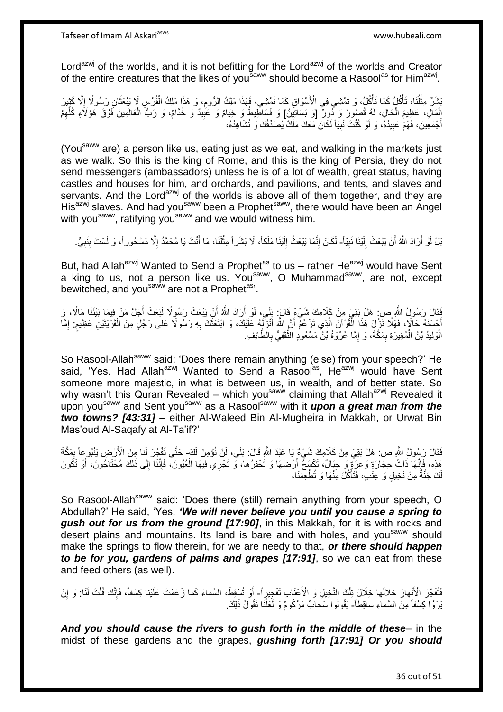Lord<sup>azwj</sup> of the worlds, and it is not befitting for the Lord<sup>azwj</sup> of the worlds and Creator of the entire creatures that the likes of you<sup>saww</sup> should become a Rasool<sup>as</sup> for Him<sup>azwj</sup>.

ُبَشَنٌ مِثْلُنَا، تَأْكُلُ، وَكَمَا نَأْكُلُ، وَ تَمْشِي فِي الْأَسْوَاقِ كَمَا نَمْشِي، فَهَذَا مَلِكُ الرُّومِ، وَ هَذَا مَلِكُ الْفُرْسِ لَا يَبْعَثَانِ رَسُولًا إِلَّا كَثِيْرَ ِ ْ ْ ُ ْ ِ َ ْ إِلْمَالِ، عَظِيمَ الْحَالِ، لَهُ قُصُورٌ وَ دُورٌ [وَ بَسَاتِينُ] وَ فَسَاطِيطُ وَ خِيَامٌ وَ عَبِيدٌ وَ خُدَامٌ، وَ رَبُّ الْعَالَمِينَ فَوْقَ هَؤُلَاءِ كُلِّهِمْ ْ ِ ِّ ْ ِ أَجْمَعِينَ، فَهُمْ عَبِيدُهُ، وَ لَوْ كُنْتَ نَبِيّاً لَكَانَ مَعَكَ مَلَكٌ يُصَدِّقُكَ وَ نُشَاهِدُهُ، ِ **!** َ

(You<sup>saww</sup> are) a person like us, eating just as we eat, and walking in the markets just as we walk. So this is the king of Rome, and this is the king of Persia, they do not send messengers (ambassadors) unless he is of a lot of wealth, great status, having castles and houses for him, and orchards, and pavilions, and tents, and slaves and servants. And the Lord<sup>azwj</sup> of the worlds is above all of them together, and they are His<sup>azwj</sup> slaves. And had you<sup>saww</sup> been a Prophet<sup>saww</sup>, there would have been an Angel with you<sup>saww</sup>, ratifying you<sup>saww</sup> and we would witness him.

بَلْ لَوْ أَرَادَ اللَّهُ أَنْ يَبْعَثَ إِلَيْنَا نَبِيّاً- لَكَانَ إِنَّمَا يَبْعَثُ إِلَيْنَا مَلَكاً، لَا بَشَراً مِثْلَنَا، مَا أَنْتَ يَا مُحَمَّدُ إِلَّا مَسْحُوراً، وَ لَسْتَ بِنَبِيٍّ. **!** لَ ِ اً َ ِ ِ َ **ٔ** لَ ِ ِ ِ

But, had Allah<sup>azwj</sup> Wanted to Send a Prophet<sup>as</sup> to us – rather He<sup>azwj</sup> would have Sent a king to us, not a person like us. You<sup>saww</sup>, O Muhammad<sup>saww</sup>, are not, except bewitched, and you<sup>saww</sup> are not a Prophet<sup>as</sup>'.

فَقَالَ رَسُولُ اللَّهِ صِنِ هَلْ بَقِيَ مِنْ كَلِامِكَ شَيْءٌ قَالَ: بَلِّي، لَوْ أَرَادَ اللَّهُ أَنْ يَبْعَثَ رَسُولًا لَبَعَثَ أَجَلَّ مَنْ فِيمَا بَيْنَنَا مَالًا، وَ َ َ َ أَحْسَنَهُ حَالًاٍ، فَهَلَّا نَزِّلَ هَذَا الْفُرْآنَ الَّذِي تَزْعُمْ أَنَّ اللَّهَ أَنْزَلَهُ عَلَيْكَ، وَ ابْتَعَثَكَ بِهِ رَسُولًا عَلى رَجُلٍ مِنَ الْقَرْيَتَيْنِ عَظِيمٍ. إِمَّا ِ َ َ َ ه ْ **ื** ْ ِ الْوَلِيدُ بْنُ الْمُغِيرَةِ بِمَكَّةَ، وَ إِمَّا عُرْوَةُ بْنُ مَسْعُودٍ الثَّقَفِيُّ بِالطَّائِفِ. **∶** ه ِ ِ ْ ر<br>ا

So Rasool-Allah<sup>saww</sup> said: 'Does there remain anything (else) from your speech?' He said, 'Yes. Had Allah<sup>azwj</sup> Wanted to Send a Rasool<sup>as</sup>, He<sup>azwj</sup> would have Sent someone more majestic, in what is between us, in wealth, and of better state. So why wasn't this Quran Revealed – which you<sup>saww</sup> claiming that Allah<sup>azwj</sup> Revealed it upon you<sup>saww</sup> and Sent you<sup>saww</sup> as a Rasool<sup>saww</sup> with it **upon a great man from the** *two towns? [43:31]* – either Al-Waleed Bin Al-Mugheira in Makkah, or Urwat Bin Mas'oud Al-Saqafy at Al-Ta'if?'

فَقَالَ رَسُولُ اللَّهِ ص: هَلْ بَقِيَ مِنْ كَلَامِكَ شَيْءٌ يَا عَبْدَ اللَّهِ قَالَ: بَلَى، لَنْ نُؤْمِنَ لَكَ- حَتَّى تَفْجُرَ لَنا مِنَ الْأَرْضِ يَنْبُوعاً بِمَكَّةَ ِ هَذِهِ، فَإِنَّهَا ذَاتُ حِجَارَةٍ وَعِرَةٍ وَ حِبَالٌ، تَكْسَخُ أَرْضَهَا وَ تَحْفِرُهَا، وَ تُجْرِي فِيهَا الْعُيُونَ، فَإِنَّنَا إِلَى ذَلِكَ مُحْتَاجُونَ، أَوْ تَكُونَ<br>نَدَتَ تَبَعُ الْجَمَانَ الْجَمَانِ ِ َ ِ ا∣<br>ِ∘ِ ْ لَكَ جَنَّةٌ مِنْ نَخِيلٍ وَ عَِنَٰبٍ، فَتَأْكُلَ مِنْهَا وَ تُطْعِمَنَا، ْ

So Rasool-Allah<sup>saww</sup> said: 'Does there (still) remain anything from your speech, O Abdullah?' He said, 'Yes. *'We will never believe you until you cause a spring to gush out for us from the ground [17:90]*, in this Makkah, for it is with rocks and desert plains and mountains. Its land is bare and with holes, and you<sup>saww</sup> should make the springs to flow therein, for we are needy to that, *or there should happen to be for you, gardens of palms and grapes [17:91]*, so we can eat from these and feed others (as well).

فَقُفَجّرَ الْأَنْهارَ خِلالَها خِلَالَ تِلْكَ النَّخِيلِ وَ الْأَعْنَابِ تَفْجِيرٍ أَ- أَوْ تُسْقِطَ، السَّماءَ كَما زَعَمْتَ عَلَيْنا كِسَفاً، فَإِنَّكَ قُلْتَ لَذَا: وَ إِنْ ْ َ ْ ا∣<br>ِ∘ِ ِ يَرَوْا كِسْفاً مِنَ السَّماءِ ساقِطاً- يَقُولُوا سَحابٌ مَرْكُومٌ وَ لَعَلَّنَا نَقُولُ ذَلِكَ. ه

*And you should cause the rivers to gush forth in the middle of these*– in the midst of these gardens and the grapes, *gushing forth [17:91] Or you should*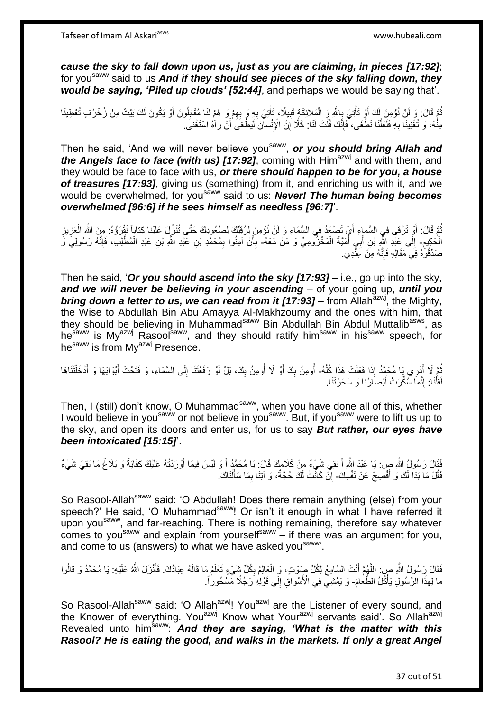*cause the sky to fall down upon us, just as you are claiming, in pieces [17:92]*; for you<sup>saww</sup> said to us And if they should see pieces of the sky falling down, they *would be saying, 'Piled up clouds' [52:44]*, and perhaps we would be saying that'.

تُمَّ قَالَ: وَ لَنْ نُؤْمِنَ لَكَ أَوْ تَأْتِيَ بِاللَّهِ وَ الْمَلائِكَةِ قَبِيلًا، تَأْتِيَ بِهِ وَ بِهِمْ وَ هُمْ لَنَا مُقَابِلُونَ أَوْ يَكُونَ لَكَ بَيْتٌ مِنْ زُخْرُفٍ تُعْطِينَا ا<br>ا ِ ِ ِ ْ ِ ْ ِ ْ َ مِنْٰهُ، وَ تُغْنِينَا بِهِ فَلَعَلَّنَا نَطْغَى، فَإِنَّكَ قُلْتَ لَنَا: كَلَّا إِنَّ الْإِنْسانَ لَيَطْغَى أَنْ رَاْهُ اسْتَغْنَى. ْ ∣اٍ<br>∶ ه **∶** ِ َ

Then he said, 'And we will never believe you<sup>saww</sup>, or you should bring Allah and *the Angels face to face (with us) [17:92]*, coming with Him<sup>azwj</sup> and with them, and they would be face to face with us, *or there should happen to be for you, a house of treasures [17:93]*, giving us (something) from it, and enriching us with it, and we would be overwhelmed, for yousaww said to us: *Never! The human being becomes overwhelmed [96:6] if he sees himself as needless [96:7]*'.

ُّمَّ قَالَ: أَوْ تَرْقى فِي السَّماءِ أَيْ تَصْعَدُ فِي السَّمَاءِ وَ لَنْ نُؤْمِنَ لِرُقِيِّكَ لِصُعُودِكَ حَتَّى تُنَزِّلَ عَلَيْنا كِتاباً نَقْرَؤُهُ: مِنَ اللَّهِ الْعَزِيزِ َ ِ ِ ْ ِ الْحَكِيمِ- إِلَى عَبْدِ اللَّهِ بْنِ أَبَي أَمَيَّةَ الْمَخْزُوهِيِّ وَ مَنْ مَعَهُ- بِأَنْ آمِنُوا بِمُحَمَّدِ بْنِ عَبْدِ اللَّهُ وَالِلَّهِ ) فَإِنَّهُ رَسُولِيَّ وَ ْ ا<br>ا َ  $\frac{1}{2}$ ا∣<br>ِ∘ ْ ِ َ ِ صَدِّقُوَّهُ فِي مَقَالِهِ فَإِنَّهُ مِنْ عِنْدِي. ∣اٍ<br>∶

Then he said, '*Or you should ascend into the sky [17:93]* – i.e., go up into the sky, *and we will never be believing in your ascending* – of your going up, *until you bring down a letter to us, we can read from it [17:93]* – from Allah<sup>azwj</sup>, the Mighty, the Wise to Abdullah Bin Abu Amayya Al-Makhzoumy and the ones with him, that the vise to Abdullah Bin Nou Anticry and Examples and they should be believing in Muhammad<sup>saww</sup> Bin Abdullah Bin Abdul Muttalib<sup>asws</sup>, as hesaww is My<sup>azwj</sup> Rasool<sup>saww</sup>, and they should ratify him<sup>saww</sup> in his<sup>saww</sup> speech, for he<sup>saww</sup> is from My<sup>azwj</sup> Presence.

ُمَّ لَا أُدْرِي يَا مُحَمَّدُ إِذَا فَعَلْتَ هَذَا كُلُّهُ- أُومِنُ بِكَ أَوْ لَا أُومِنُ بِكَ، بَلْ لَوْ رَفَعْتَنَا إِلَى السَّمَاءِ، وَ فَتَحْتَ أَبْوَابَهَا وَ أَدْخَلْتَنَاهَا<br>الحُمَّدِ الَّذِي الْجَمَعِينَ وَالْمُن ه ْ َ ُ ْ َ َ ِ ِ ُ َ ِ ُ قُلْنَا: إِنَّمَا سُكِّرَتْ أَبْصَارُنا وَ سَحَرْتَنَا. َ יִי י ْ لَ

Then, I (still) don't know, O Muhammad<sup>saww</sup>, when you have done all of this, whether I would believe in you<sup>saww</sup> or not believe in you<sup>saww</sup>. But, if you<sup>saww</sup> were to lift us up to the sky, and open its doors and enter us, for us to say *But rather, our eyes have been intoxicated [15:15]*'.

فَقَالَ رَسُولُ اللَّهِ صِ: يَا عَبْدَ اللَّهِ أَ بَقِيَ شَيْءٌ مِنْ كَلامِكَ قَالَ: يَا مُحَمَّدُ أَ وَ لَيْسَ فِيمَا أَوْرَدْتُهُ عَلَيْكَ كِفَايَةٌ وَ بَلَاغٌ مَا بَقِيَ شَيْءٌ َ َ َ فَقُلْ مَا بَدَا لَكَ وَ أَفْصِحْ عَنْ نَفْسِكَ- إِنْ كَانَّتْ لَكَ حُجَّةٌ، وَ آتِنَا بِمَا سَأَلْنَاكَ. ْ اً ا ِ ِ

So Rasool-Allah<sup>saww</sup> said: 'O Abdullah! Does there remain anything (else) from your speech?' He said, 'O Muhammad<sup>saww</sup>! Or isn't it enough in what I have referred it upon you<sup>saww</sup>, and far-reaching. There is nothing remaining, therefore say whatever comes to you<sup>saww</sup> and explain from yourself<sup>saww</sup> – if there was an argument for you, and come to us (answers) to what we have asked you saww.

فَقَالَ رَسُولُ اللَّهِ صِبِ اللَّهُمَّ أَنْتَ السَّامِعُ لِكُلِّ صَوْتٍ، وَ الْعَالِمُ بِكُلِّ شَيْءٍ تَعْلَمُ مَا قَالَهُ عِبَادُكَ. فَأَنْزَلَ اللَّهُ عَلَيْهِ: يَا مُحَمَّدُ وَ قالُوا ه ِ ْ َ ما لِهذَا الرَّسُولِ يَأْكُلُ الطَّعٰلمَ- وَ يَمْشِي فِي الْأَسْواقِ إِلَى قَوْلِٰهِ رَجُلًا مِّسْحُوراً. ْ ِ

So Rasool-Allah<sup>saww</sup> said: 'O Allah<sup>azwj</sup>! You<sup>azwj</sup> are the Listener of every sound, and the Knower of everything. You<sup>azwj</sup> Know what Your<sup>azwj</sup> servants said'. So Allah<sup>azwj</sup> Revealed unto him<sup>saww</sup>: And they are saying, 'What is the matter with this *Rasool? He is eating the good, and walks in the markets. If only a great Angel*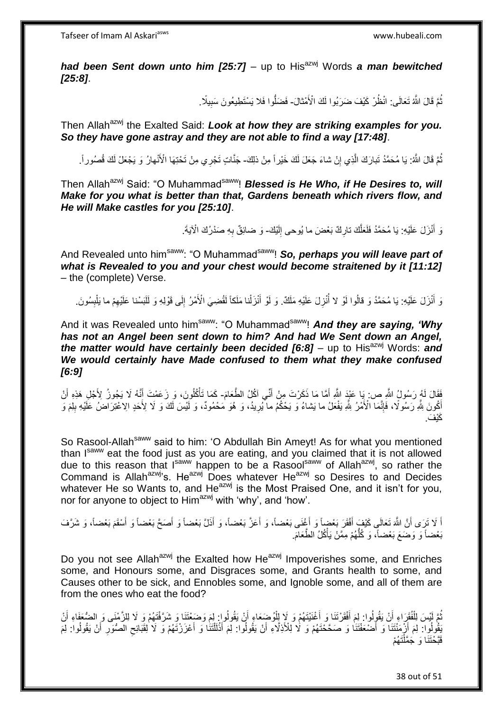*had been Sent down unto him [25:7] –* up to His<sup>azwj</sup> Words *a man bewitched [25:8]*.

> نُّمَّ قَالَ اللَّهُ تَعَالَى: انْظُرْ كَيْفَ ضَرَبُوا لَكَ الْأَمْثالَ- فَضَلُّوا فَلا يَسْتَطِيعُونَ سَبِيلًا. ِ

Then Allah<sup>azwj</sup> the Exalted Said: *Look at how they are striking examples for you. So they have gone astray and they are not able to find a way [17:48]*.

نُمَّ قَالَ اللَّهُ: يَا مُحَمَّدُ تَبارَكَ الَّذِي إِنْ شاءَ جَعَلَ لَكَ خَيْراً مِنْ ذلِكَ- جَنَّاتٍ تَجْرِي مِنْ تَحْتِهَا الْأَنْهارُ وَ يَجْعَلْ لَكَ قُصُوراً. ِ

Then Allah<sup>azwj</sup> Said: "O Muhammad<sup>saww</sup>! **Blessed is He Who, if He Desires to, will** *Make for you what is better than that, Gardens beneath which rivers flow, and He will Make castles for you [25:10]*.

> وَ أَنْزَلَ عَلَيْهِ: يَا مُحَمَّدُ فَلَعَلَّكَ تارِكٌ بَعْضَ ما يُوحى إِلَيْكَ- وَ ضائِقٌ بِهِ صَدْرُكَ الْآيَةَ. **∶** ه لَ  $\frac{1}{2}$ ِ

And Revealed unto him<sup>saww</sup>: "O Muhammad<sup>saww</sup>! **So, perhaps you will leave part of** *what is Revealed to you and your chest would become straitened by it [11:12]* – the (complete) Verse.

وَ أَنْزَلَ عَلَيْهِ: يَا مُحَمَّدُ وَ قالُوا لَوْ لا أُنْزِلَ عَلَيْهِ مَلَكٌ. وَ لَوْ أَنْزَلْنا مَلَكاً لَقُضِيَ الْأَمْرُ إِلَى قَوْلِهِ وَ لَلَبَسْنا عَلَيْهِمْ ما يَلْبِسُونَ. لَ ْ َ **∶** ار<br>ا ِ ِ ْ ِ لَ

And it was Revealed unto him<sup>saww</sup>: "O Muhammad<sup>saww</sup>! And they are saying, 'Why *has not an Angel been sent down to him? And had We Sent down an Angel, the matter would have certainly been decided [6:8] – up to His<sup>azwj</sup> Words: and We would certainly have Made confused to them what they make confused [6:9]*

فَقَالَ لَمُ رَسُولُ اللَّهِ ص: يَا عَيْدَ اللَّهِ أَمَّا مَا ذَكَرْتَ مِنْ أَنِّي آكُلُ الطَّعَامَ- كَمَا تَأْكُلُونَ، وَ زَعَمْتَ أَنَّهُ لَا يَجُوزُ لِأَجْلِ هَذِهِ أَنْ َ َ َ ْ َ ِ أَكُونَ لِلَّهِ رَسُولًا، فَإِنَّمَا الْأَمْرُ لِلَّهِ يَفْعَلُ ما يَشاءُ وَ يَحْكُمُ ما يُرِيدُ، وَ هُوَ مُحْمُودٌ، وَ لَّلِسَ لَكَ وَ لَا لِأَحَدٍ الِاُعْتِرَاضُ عَلَيْهِ بِلِمَ وَ ِ ِ ِ كَيْفَ ِ

So Rasool-Allah<sup>saww</sup> said to him: 'O Abdullah Bin Ameyt! As for what you mentioned than Isaww eat the food just as you are eating, and you claimed that it is not allowed due to this reason that I<sup>saww</sup> happen to be a Rasool<sup>saww</sup> of Allah<sup>azwj</sup>, so rather the Command is Allah<sup>azwj</sup>'s. He<sup>azwj</sup> Does whatever He<sup>azwj</sup> so Desires to and Decides whatever He so Wants to, and He<sup>azwj</sup> is the Most Praised One, and it isn't for you, nor for anyone to object to Him<sup>azwj</sup> with 'why', and 'how'.

اً لَا تَرَى أَنَّ اللَّهَ تَعَالَى كَيْفٍ أَفْقَرَ بَعْضٍاً وَ أَغْنَى بَعْضاً، وَ أَعَزَّ بَعْضاً، وَ أَذَلَّ بَعْضاً وَ أَصَحَّ بَعْضاً وَ أَسْقَمَ بَعْضاً، وَ شَرَّفَ َ َ َ َ َ َ َ بَعْضاً وَ وَضَعَ بَعْضاً، وَ كُلُّهُمْ مِمَّنْ يَأْكُلُ الطَّعَامَ. ْ ُّ

Do you not see Allah<sup>azwj</sup> the Exalted how He<sup>azwj</sup> Impoverishes some, and Enriches some, and Honours some, and Disgraces some, and Grants health to some, and Causes other to be sick, and Ennobles some, and Ignoble some, and all of them are from the ones who eat the food?

ْ ُمَّ لَيْسَ لِلْفُقِّرَاءِ أَنْ يَقُولُوا: لِمَ أَفْقَرْتَنَا وَ أَغْنَيْتَهُمْ وَ لَإِ لِلْوُضِعَاءِ أَنْ يَقُولُوا لِمَ وَضَعْتَنَا وَ شَرَّقْتَهُمْ وَ لَا لِلزَّمْنَى وَ الضُعَفَاءِ أَنْ َ َ ْ َ َ يَقُولُوا: لِمَ أَزْمَنْتَنَا وَ أَصْعَفْتَنَا وَ صَحَّحْتَهُمْ وَ لَا لِلْأَذِلَّاءِ أَنْ يَقُولُوا: لِمَ أَذْلَلْتَنَا وَ أَعْزَرْتَهُمْ وَ لَا لِقَبَائِحِ الْصُوَرِ أَنْ يَقُولُوا: لِمَ ْ لَ **ٔ** َ اُ َ َ َ ِ ِ قَبَّحْتَنَا وَ جَمَّلْتَهُمْ ْ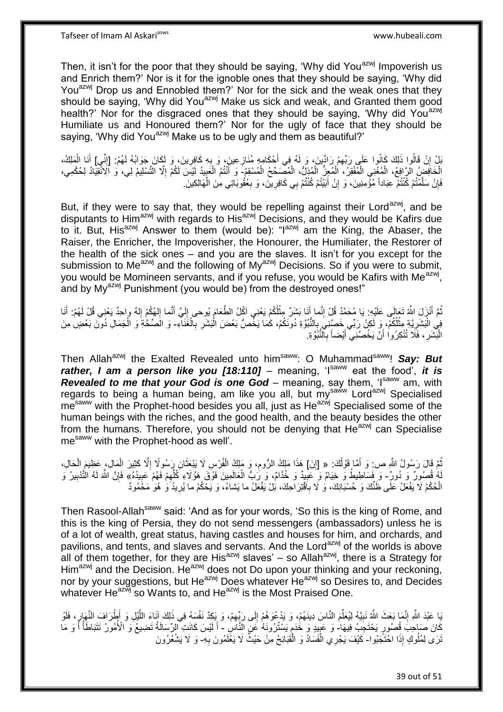Then, it isn't for the poor that they should be saying, 'Why did You<sup>azwj</sup> Impoverish us and Enrich them?' Nor is it for the ignoble ones that they should be saying, 'Why did You<sup>azwj</sup> Drop us and Ennobled them?' Nor for the sick and the weak ones that they should be saying, 'Why did You<sup>azwj</sup> Make us sick and weak, and Granted them good health?' Nor for the disgraced ones that they should be saying, 'Why did You<sup>azwj</sup> Humiliate us and Honoured them?' Nor for the ugly of face that they should be saying, 'Why did You<sup>azwj</sup> Make us to be ugly and them as beautiful?'

بْلْ إِنْ قَالُوا ذَلِكَ كَانُوا عَلَى رَبِّهِمْ رَادِّينَ، وَ لَهُ فِي أَحْكَامِهِ مُنَازِعِينَ، وَ بِهِ كَافِرِينَ، وَ لَكَانَ جَوَابُهُ لَهُمْ: [إِنِّي] أَنَا الْمَلِكُ، ِ ِ **ٍ** َ ِ ِ ْ َ الْخَافِضُ الرَّافِعُ، الْمُغْنِي الْمُفْقِرُ، الْمُعِزُّ الْمُذِلُّ، الْمُصَحِّحُ الْمُسْقِمُ- وَ أَنْتُمُ الْعَبِيدُ لَيْسَ لَكُمْ إِلَّا التَّسْلِيمُ لِي، وَ الْإِنْقِيَادُ لِحُكْمِي، ْ ْ ْ ْ ْ ْ ِ ِ ْ َ فَإِنْ سَلَّمْتُمْ كُنْتُمْ عِبَاداً مُؤْمِنِينَ، وَ إِنْ أَبَيْتُمْ كُنْتُمْ بِي كَافِرِينَ، وَ بِعُقُوبَاتِي مِنَ الْهَالِكِينَ. ه ِ ْ ِ ِ َ ِ

But, if they were to say that, they would be repelling against their Lord<sup>azwj</sup>, and be disputants to Him<sup>azwj</sup> with regards to His<sup>azwj</sup> Decisions, and they would be Kafirs due to it. But, His<sup>azwj</sup> Answer to them (would be): "I<sup>azwj</sup> am the King, the Abaser, the Raiser, the Enricher, the Impoverisher, the Honourer, the Humiliater, the Restorer of the health of the sick ones – and you are the slaves. It isn't for you except for the submission to Me<sup>azwj</sup> and the following of My<sup>azwj</sup> Decisions. So if you were to submit, you would be Momineen servants, and if you refuse, you would be Kafirs with Me<sup>azwj</sup>, and by My<sup>azwj</sup> Punishment (you would be) from the destroyed ones!"

ثُمَّ أَنْزَلَ اللَّهُ تَعَالَى عَلَيْهِ. يَا مُحَمَّدُ قُلْ إِنَّما أَنَا بَشَرٌ مِثْلُكُمْ يَعْنِي آكُلُ الطَّعَامَ يُوحى إِلَيَّ أَنَّما إِلهُكُمْ إِلهٌ واحِدٌ يَعْنِي قُلْ لَهُمْ. أَنَا **ٔ** َ ِ َ ِ ِ َ لَ ِ فِي الْبَشَرِيَّةِ مِثْلُكُمْ، وَ لَكِنْ رَبِّي خَصَّنِيَ بِالنُّبُوَّةِ دُونَكُمْ، كَمَا يَخُصُّ بَعْضَ الْبَشَرِ بِالْغَنَاءِ- وَ الَصِّخَّةِ وَ الْجَمَالِ دُونَ بَعْضٍ مِنَ ¦ ْ **∶** ْ ِ ِ ْ ْ الْبَشَرِ ، فَلَا تُنْكِرُوا أَنْ يَخُصَّنِيَ أَيْضاً بِالنَّبُوَّةِ ِ َ ِ :<br>ا

Then Allah<sup>azwj</sup> the Exalted Revealed unto him<sup>saww</sup>: O Muhammad<sup>saww</sup>! Say: But rather, I am a person like you [18:110] – meaning, 'I<sup>saww</sup> eat the food', it is **Revealed to me that your God is one God** – meaning, say them, 'Isaww am, with regards to being a human being, am like you all, but my<sup>saww</sup> Lord<sup>azwj</sup> Specialised me<sup>saww</sup> with the Prophet-hood besides you all, just as He<sup>azwj</sup> Specialised some of the human beings with the riches, and the good health, and the beauty besides the other from the humans. Therefore, you should not be denying that  $He^{a z w j}$  can Specialise me<sup>saww</sup> with the Prophet-hood as well'.

ثُمَّ قَالَ رَسُولُ اللَّهِ ص: وَ أَمَّا قَوْلُكَ. « [إِنَ] هَذَا مَلِكُ الرُّومِ، وَ مَلِكُ الْفُرْسِ لَا يَبْعَثَانِ رَسُولًا إِلَّا كَثِيرَ الْمَالِ، عَظِيمَ الْحَالِ، اُ َ ِ ْ ِ ْ ْ ِ َ لَهُ قُصُورٌ ۚ وَ وَفَسَاطِيطُ وَ خِيَامٌ وَ ۖ عَبِيدٌ وَ خُدَّامٌ، وَ رَبُّ الْعَالَمِينَ فَوْقَ هَؤُلَاءِ كُلِّهِمْ فَهُمْ عَبِيدُهُ» فَإِنَّ اللَّهَ لَهُ الْتَّدْبِيرُ وَ ِ ِ ِّ ْ **!** ِ لَ ∣ļ الْحُكْمُ لَا يَفْعَلُ عَلَى ظَنِّكَ وَ حُسْبَانِكَ، وَ لَا بِأَقْتِرَاحِكَ، بَلْ يَفْعَلُ ما يَشاءُ، وَ يَحْكُمُ ما يُرِيدُ وَ هُوَ مَحْمُودٌ ِ ِ

Then Rasool-Allah<sup>saww</sup> said: 'And as for your words, 'So this is the king of Rome, and this is the king of Persia, they do not send messengers (ambassadors) unless he is of a lot of wealth, great status, having castles and houses for him, and orchards, and pavilions, and tents, and slaves and servants. And the Lord<sup>azwj</sup> of the worlds is above all of them together, for they are His<sup>azwj</sup> slaves' – so Allah<sup>azwj</sup>, there is a Strategy for Him<sup>azwj</sup> and the Decision. He<sup>azwj</sup> does not Do upon your thinking and your reckoning, nor by your suggestions, but He<sup>azwj</sup> Does whatever He<sup>azwj</sup> so Desires to, and Decides whatever He<sup>azwj</sup> so Wants to, and He<sup>azwj</sup> is the Most Praised One.

بَا عَبْدَ اللَّهِ إِنَّمَا بَعَثَ اللَّهُ نَبِيَّهُ لِيُعَلِّمَ النَّاسَ دِينَهُمْ، وَ يَدْعُوَ هُمْ إِلَى رَبِّهِمْ، وَ بِكِدَّ نَفْسَهُ فِي ذَلِكَ آنَاءَ اللَّيْلِ وَ أَطْرَافَ النَّهَإِرِ، فَلَوْ ِّ **!** ِ ِ ه ِ ِ كَانَ صَبَاحِبَ قُصُورٍ يَحْتَجِبُ فَنِيهَا ۖ وَ عَبِيدٍ وَ خُدَمٍ يَسْتُرُونَهُ عَنِ النَّاسِ ۖ أَ لَيْسَ كَانَتِ الرِّسَالَةُ تَضِيعُ وَ الْأُمُورُ تَتَبَاطَأُ أَ وَ مَا ֧֧֧֧֧֧֓֝֟֓֝֟֓֝֬֟֓֓֝֓֝֓ ِ لَ َ المسموعي المسموعي المسموعي المسموعي المسموعي المسموعي المسموعي المسموعي المسموعي المسموعي المسموعي المسموعي ال<br>المسموعي َ تَرَى لِمُلُوكٍ إِذَا اخْتَجَبُوا- كَيْفَ يَجْرِي الْفَسَادُ وَ الْقَبَائِحُ مِنْ حَيْثُ لَا يَغَلَمُونَ بِهِ- وَ لَا يَشْعُرُونَ ِ ْ ْ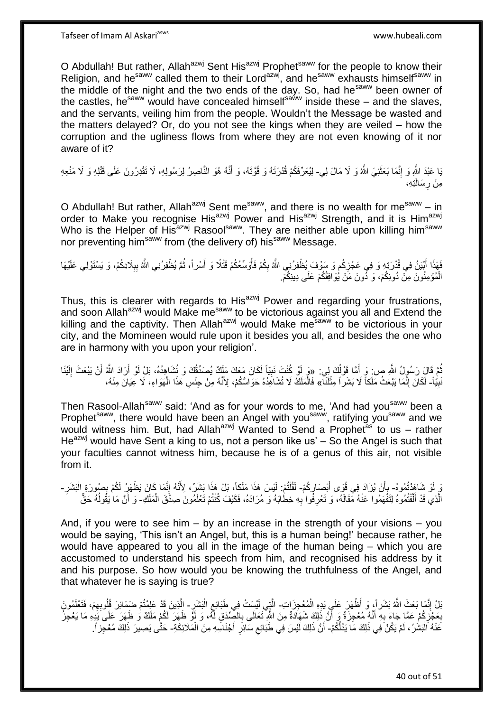O Abdullah! But rather, Allah<sup>azwj</sup> Sent His<sup>azwj</sup> Prophet<sup>saww</sup> for the people to know their Religion, and he<sup>saww</sup> called them to their Lord<sup>azwj</sup>, and he<sup>saww</sup> exhausts himself<sup>saww</sup> in the middle of the night and the two ends of the day. So, had he<sup>saww</sup> been owner of the castles, he<sup>saww</sup> would have concealed himself<sup>saww</sup> inside these – and the slaves, and the servants, veiling him from the people. Wouldn't the Message be wasted and the matters delayed? Or, do you not see the kings when they are veiled – how the corruption and the ugliness flows from where they are not even knowing of it nor aware of it?

يَا عَبْدَ اللَّهِ وَ إِنَّمَا بَعَثَنِيَ اللَّهُ وَ لَا مَالَ لِي- لِيُعَرِّفَكُمْ قُدْرَتَهُ وَ قُوَّتَهُ، وَ أَنَّهُ هُوَ النَّاصِرُ لِرَسُولِهِ، لَا تَقْدِرُونَ عَلَى قَتْلِهِ وَ لَا مَنْعِهِ َ ِ َ مِنْ رِسَالَتِهِ، **∶** 

O Abdullah! But rather, Allah<sup>azwj</sup> Sent me<sup>saww</sup>, and there is no wealth for me<sup>saww</sup> – in order to Make you recognise His<sup>azwj</sup> Power and His<sup>azwj</sup> Strength, and it is Him<sup>azwj</sup> Who is the Helper of His<sup>azwj</sup> Rasool<sup>saww</sup>. They are neither able upon killing him<sup>saww</sup> nor preventing him<sup>saww</sup> from (the delivery of) his<sup>saww</sup> Message.

فَهَذَا أَبْيَنُ فِي قُدْرَتِهِ وَ فِي عَجْزِكُم وَ سَوْفَ يُظْفِرُنِي اللَّهُ بِكُمْ فَأُوَسِّعُكُمْ قَتْلًا وَ أَسْراً، ثُمَّ يُظْفِرُنِي اللَّهُ بِبِلَادِكُمْ، وَ يَسْتَوْلِي عَلَيْهَا ُ َ ُ ِ ِ َ **∶** ِ الْمُؤْمِنُونَ مِنْ دُونِكُمْ، وَ دُونَ مَنْ يُوَافِقُكُمْ عَلَى دِينِكُمْ. ْ

Thus, this is clearer with regards to His<sup>azwj</sup> Power and regarding your frustrations, and soon Allah<sup>azwj</sup> would Make me<sup>saww</sup> to be victorious against you all and Extend the killing and the captivity. Then Allah $a^{2xy}$  would Make me<sup>saww</sup> to be victorious in your city, and the Momineen would rule upon it besides you all, and besides the one who are in harmony with you upon your religion'.

ُمَّ قَالَ رَسُولُ اللَّهِ ص: وَ أَمَّا قَوْلُكَ لِي: «وَ لَوْ كُنْتَ نَبِيّاً لَكَانَ مَعَكَ مَلَكٌ يُصَدِّقُكَ وَ نُشَاهِدُهُ، بَلْ لَوْ أَرَادَ اللَّهُ أَنْ يَبْعَثَ إِلَيْنَا ُ َ **!** لَ ِ َ َ نَبِيًّا- لَكَانَ إِنَّمَا يَبْعَثُ مَلَكاً لَا بَشَراً مِثْلَنَآ» فَالْمَلَكُ لَا تُشَاهِدُهُ حَوَاسُّكُمْ، لِأَنَّهُ مِنْ جِنْسِ هَذَا الْهَوَاءِ، لَا عِيَانَ مِنْهُ، **! ٔ** יִי (ו ْ ْ

Then Rasool-Allah<sup>saww</sup> said: 'And as for your words to me, 'And had you<sup>saww</sup> been a Prophet<sup>saww</sup>, there would have been an Angel with you<sup>saww</sup>, ratifying you<sup>saww</sup> and we would witness him. But, had Allah<sup>azwj</sup> Wanted to Send a Prophet<sup>as</sup> to us – rather  $He^{azwj}$  would have Sent a king to us, not a person like us' – So the Angel is such that your faculties cannot witness him, because he is of a genus of this air, not visible from it.

يَ لَوْ شَاهَدْتُمُوهُ- بِأَنْ يُرَادَ فِي قُوَى أَبْصَارِكُمْ- لَقُلْتُمْ: لَيْسَ هَذَا مَلَكاً، بَلْ هَذَا بَشَرٌ، لِأَنَّهُ إِنَّمَا كَانَ يَظْهَرُ لَكُمْ بِصُورَةٍ الْبَشَرِ -ِ َ َ .<br>ٍ ֦֖֖֦֧֦֦֦֖֦֧֦֦֖֦֧֦֦֧֦֦֧֦֪֦֪֪֦֧֦֪֦֧֦֧֦֪֦֧֦֪֪֦֧֦֧֦֪֪֦֧֦֧֦֧֦֧֦֧֟֟֟֟֟֟֟֟֟֟֟֟֟֟֟֟֟֟֟֟֟֬֟֟֟֟֟֓֞֟֟֟֟֬֟֟֓֞֟֟֩֕֟֟֩֞֟֟֓֞֟֟֟֟֟֝֟ لَ ِ ْ ِ  $\frac{1}{2}$ الَّذِي قَدْ أَلْفْتُمُوهُ لِتَفْهَمُوا عَنْهُ مَقَالَهُ، وَ تَعْرِفُوا بِهِ خِطَابَهُ وَ مُرَادَهُ، فَكَيْفَ كُنْتُمْ تَعْلَمُونَ صِدْقَ الْمَلَكِ- وَ أَنَّ مَا يَقُولُهُ حَقٌّ **∶** ِ ه ا<br>ا ْ ُ َ

And, if you were to see him – by an increase in the strength of your visions – you would be saying, 'This isn't an Angel, but, this is a human being!' because rather, he would have appeared to you all in the image of the human being – which you are accustomed to understand his speech from him, and recognised his address by it and his purpose. So how would you be knowing the truthfulness of the Angel, and that whatever he is saying is true?

بْلْ إِنَّمَا بَعَثَ اللَّهُ بَشَرٍ أَ، وَ أَظْهَرَ عَلَيٍ يَدِهِ الْمُعْجِزَ اتِ- الَّتِي لَيْسِتْ فِي طَبَائِعِ الْبَشَرِ - الِّذِينَ قَدْ عَلِمْتُمْ ضَمَائِرَ قُلُوبِهِمْ، فَتَعْلَمُونَ ْ ֺׅׅ֧֧֦֧֧֧֧ׅ֧֧ׅ֧ׅ֧ׅ֧ׅ֧֧ׅ֧ׅ֧֧ׅ֧ׅ֧֧֧֧֚֚֚֚֚֚֚֚֚֚֚֚֚֚֚֚֚֚֚֚֚֚֚֚֚֚֚֝֡֡֡֡֡֡֡֝֡֓֡֝֓֓֡֓֡֬֓֝֬֡֬֝֬֝֬֝֬ <u>ุ</u> ْ ِ ِ ه بِعَجْزِكُمْ عَمَّا ِجَاءَ بِهِ أَنَّهُ مُعْجِزَةٌ وَ أَنَّ ذَلِكَ شَهَادَةٌ مِنَ الثَّهِ تَعَالَى بِالصِّدْقِ لَّهُ، وَ إَوْ ظَهَرَ لَكُمْ مَلَكٌ وَ ظَهَرَ عَلَى يَذِهِ مَا يَعْجِزُ َ َ **∶** ِ **∶** ِ عَنْهُ الْبَشْرُ ، لَمْ يَكُنْ فِي ذَلِكَ مَا يَدُلُّكُمْ- أَنَّ ذَلِكَ لَيْسَ فِي طَبَائِعِ سَائِرِ أَجْنَاسِهِ مِنَ الْمَلَائِكَةِ- حَتَّى يَصِبِرَ ذَلِكَ مُعْجِزٍ أَ :<br>ا َ **∶** ِ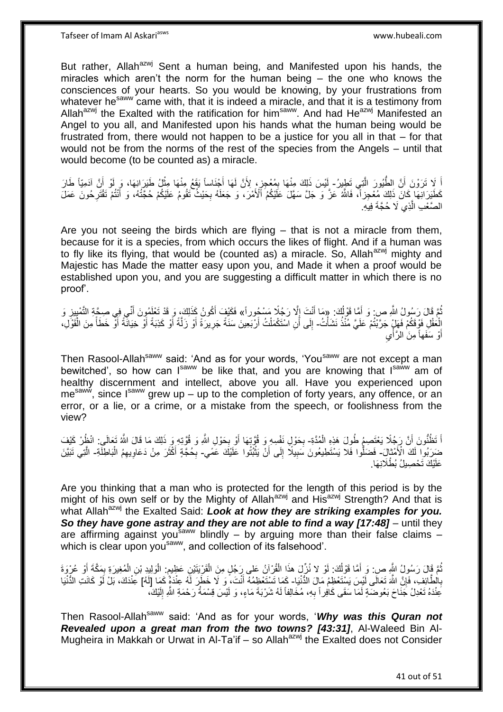Tafseer of Imam Al Askariasws www.hubeali.com

But rather, Allah<sup>azwj</sup> Sent a human being, and Manifested upon his hands, the miracles which aren't the norm for the human being – the one who knows the consciences of your hearts. So you would be knowing, by your frustrations from whatever he<sup>saww</sup> came with, that it is indeed a miracle, and that it is a testimony from Allah<sup>azwj</sup> the Exalted with the ratification for him<sup>saww</sup>. And had He<sup>azwj</sup> Manifested an Angel to you all, and Manifested upon his hands what the human being would be frustrated from, there would not happen to be a justice for you all in that – for that would not be from the norms of the rest of the species from the Angels – until that would become (to be counted as) a miracle.

اً لِا تَرَوْنَ أَنَّ الطُّيُورَ الَّتِي تَطِيرُ- إَيْسَ ذَلِكَ مِنْهَا بِمُعْجِزٍ، لِأَنَّ لَهَا أَجْنَاساً يَقَعُ مِنْهَا مِثْلُ طَيَرَانِهَا، وَ لَوْ أَنَّ آدَمِيَّاً طَارَ ه َ َ **ٔ** ِ لَ كَطَّيَرَانِهَا كَانَ ذَلِكَ مُعْجِزاً، فَاللَّهُ عَزَّ وَ جَلَّ سَهَّلَ عَلَيْكُمُ ٱلْأَمْرَ، وَ جَعَلَهُ بِحَيْثُ تَقُومُ عَلَيْكُمْ حُجَّتُهُ، وَ أَنْتُمْ تَقْتَرِحُونَ عَمَلَ ِ ِ َ الصَّعْبِ الَّذِي لَا حُجَّةَ فِيهِ. ه

Are you not seeing the birds which are flying – that is not a miracle from them, because for it is a species, from which occurs the likes of flight. And if a human was to fly like its flying, that would be (counted as) a miracle. So, Allah<sup>azwj</sup> mighty and Majestic has Made the matter easy upon you, and Made it when a proof would be established upon you, and you are suggesting a difficult matter in which there is no proof'.

ُ ثُمَّ قَالَ رَسُولُ اللَّهِ ص: وَ أَمَّا قَوْلُكَ: «مَا أَنْتَ إِلَّا رَجُلًا مَسْجُوراً» فَكَيْفَ أَكُونُ كَذَلِكَ، وَ قَدْ تَعْلَمُونَ أَنَّى فِي صِحَّةِ التَّمْيِيزِ وَ ُ َ **≈** ِ ِ َ َ لْعَقْلِ فَوْقَكُمْ فَهَلٍْ جَرَّبْتُمْ عَلَيَّ مُنْذُ نَشَأْتُ- إِلَى أَنِ اسْتَكْمَلْتُ أَرْبَعِينَ سَنَةً جَرِيرَةً أَوْ رَلَّةً أَوْ كَذِبَةً أَوْ خَطَأً مِنَ الْقَوْلِ،<br>أ ْ َ ِ ْ ا َ َ َ ه َ ِ اُ ْ  $\ddot{\phantom{0}}$ أَوْ سَفَهاً مِنَ الرَّأْيِ ا<br>المسابق<br>المسابق<br>المسابق<br>المسابق<br>المسابق َ

Then Rasool-Allah<sup>saww</sup> said: 'And as for your words, 'You<sup>saww</sup> are not except a man bewitched', so how can  $I<sup>Saww</sup>$  be like that, and you are knowing that  $I<sup>Saww</sup>$  am of healthy discernment and intellect, above you all. Have you experienced upon  $me<sup>saww</sup>$ , since  $I<sup>saww</sup>$  grew up – up to the completion of forty years, any offence, or an error, or a lie, or a crime, or a mistake from the speech, or foolishness from the view?

اً تَظُنُّونَ أَنَّ رَجُلًا يَعْتَصِمُ طُولَ هَذِهِ الْمُدَّةِ- بِحَوْلٍ نَفْسِهِ وَ قُوَّتِهَا أَوْ بِحَوْلِ اللَّهِ وَ قُوَّتِهِ وَ ذَلِكَ مَا قَالَ اللَّهُ تَعَالَى: انْظُرْ كَيْفَ ْ َ َ ِ َ **∶** ضَرَبُوا لَكَ الْأَمْثالِ- فَضَلُّوا فَلا يَسْتَطِيعُونَ سَبِيلًا إِلَى أَنْ يَثْبُثُوا عَلَيْكَ عَمَّي- بِحُجَّةٍ أَكْثَرَ مِنْ دَعَاوِيهِمُ الْبَاطِلَّةِ- الَّتِي تَبَيَّنَ .<br>: اُ ِ **!** ْ ِ َ َ ِ ه عَلَيْكَ تَحْصِيلُ بُطْلَانِهَا.

Are you thinking that a man who is protected for the length of this period is by the might of his own self or by the Mighty of Allah<sup>azwj</sup> and His<sup>azwj</sup> Strength? And that is what Allah<sup>azwj</sup> the Exalted Said: **Look at how they are striking examples for you.** *So they have gone astray and they are not able to find a way [17:48]* – until they are affirming against you<sup>saww</sup> blindly – by arguing more than their false claims – which is clear upon you<sup>saww</sup>, and collection of its falsehood'.

تُمَّ قَالَ رَسُولُ النَّهِ ص: وَ أَمَّا قَوْلُكَ. لَوْ لا نُزِّلَ هذَا الْقُرْآنُ عَلَى رَجُلٍ مِنَ الْقَرْيَتَيْنِ عَظِيمٍ. الْوَلِيدِ بْنِ الْمُغِيرَةِ بِمَكَّةٍ أَوْ عُرْوَةَ<br>. يَمْسُولُ النَّهِ ص: وَ أَمَّا قَوْلُكَ. ْ ُ َ ُ ْ ٍ َ ِ ْ ْ بِالْطَّائِفِ، فَإِنَّ اللَّهَ تَعَالَى لَيْسَ يَسْتَعْظِمُ مَالَ الدُّنْيَا- كَمَا تَسْتَعْظِمُهُ أَنْتَ، وَ لَا خَطَرَ لَهُ عِنْدَهُمْ كَمَا [لَهُ] عَنْدَكَ، بَلْ لَوْ كَانَتِ الدُّنْيَا ِ **∶** َ َعِنْدَهُ تَعْدِلُ جَنَاحَ بَعُوضَةٍ لَمَا سَقَى كَافِراً بِهِ، مُخَالِفاً لَهُ شَرْبَةَ مَاءٍ، وَ لَيْسَ قِسْمَةُ رَحْمَةِ اللَّهِ إِلَيْكَ، لَ **∶** لَ ِ

Then Rasool-Allahsaww said: 'And as for your words, '*Why was this Quran not Revealed upon a great man from the two towns? [43:31]*, Al-Waleed Bin Al-Mugheira in Makkah or Urwat in Al-Ta'if – so Allah $a^{2}$ <sup>if</sup> the Exalted does not Consider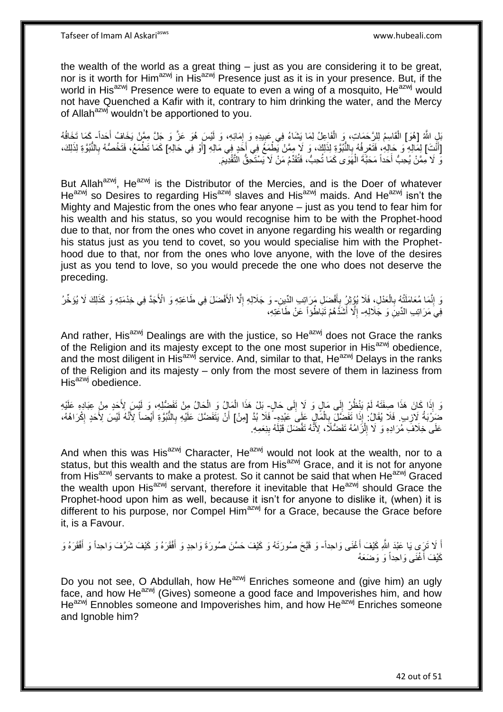the wealth of the world as a great thing – just as you are considering it to be great, nor is it worth for Him<sup>azwj</sup> in His<sup>azwj</sup> Presence just as it is in your presence. But, if the world in His<sup>azwj</sup> Presence were to equate to even a wing of a mosquito, He<sup>azwj</sup> would not have Quenched a Kafir with it, contrary to him drinking the water, and the Mercy of Allah<sup>azwj</sup> wouldn't be apportioned to you.

بْلِ اللَّهُ [هُوَ] الْقَاسِمُ لِلرَّحَمَاتِ، وَ الْفَاعِلُ لِمَا يَشَاءُ فِي عَبِيدِهِ وَ إِمَائِهِ، وَ لَيْسَ هُوَ عَزَّ وَ جَلَّ مِمَّنْ يَخَافُ أَحَداً- كَمَا تَخَافُهُ ِ **∶** ْ ْ َ [أَنْتَ] لِمَالِهِ ۚ وَ حَالِهِ، فَتَعْرِفُهُ بِالنُّبُوَّةِ لِذَلِكَ، وَ لَا مِمَّنْ يَطْمَعُ فِي أَخَدٍ فِي مَالِهِ [أَوْ فِي حَالِهِ] كَمَا تَطْمَعُ، فَتَخُصُّهُ بِالنُّبُوَّةِ لِذَلِكَ، **∶** ِ َ َ ِ نَّ لَا مِمَّنْ يُحِبُّ أَحَداً مَحَبَّةَ الْهَوَى كَمَا تُحِبُّ، فَتُقَدِّمُ مَنْ لَا يَسْتَحِقُّ التَّقْدِيمَ. ْ َ

But Allah<sup>azwj</sup>, He<sup>azwj</sup> is the Distributor of the Mercies, and is the Doer of whatever He<sup>azwj</sup> so Desires to regarding His<sup>azwj</sup> slaves and His<sup>azwj</sup> maids. And He<sup>azwj</sup> isn't the Mighty and Majestic from the ones who fear anyone – just as you tend to fear him for his wealth and his status, so you would recognise him to be with the Prophet-hood due to that, nor from the ones who covet in anyone regarding his wealth or regarding his status just as you tend to covet, so you would specialise him with the Prophethood due to that, nor from the ones who love anyone, with the love of the desires just as you tend to love, so you would precede the one who does not deserve the preceding.

وَ إِنَّمَا مُعَامَلَتُهُ بِالْعَدْلِ، فَلَا يُؤِثِرُ بِأَفْضَلِ مَرَ إِتِبِ الدِّينِ- وَ جَلَالِهِ إِلَّا الْأَفْضَلَ فِي طَاعَتِهِ وَ الْأَجَدَّ فِي خِدْمَتِهِ وَ كَذَلِكَ لَا يُؤَخِّرُ َ ِ ْ ِ ِ ِ فِيَ مَرَ اتِبِ الدِّينَِ وَ جَلَالِهِ- إِلَّا أَشَدَّهُمْ تَبَاطُوْاً عَنْ طَاعَتِهِ، َ ِ

And rather, His<sup>azwj</sup> Dealings are with the justice, so He<sup>azwj</sup> does not Grace the ranks of the Religion and its majesty except to the one most superior in His<sup>azwj</sup> obedience, and the most diligent in His<sup>azwj</sup> service. And, similar to that, He<sup>azwj</sup> Delays in the ranks of the Religion and its majesty – only from the most severe of them in laziness from  $His<sup>azwj</sup>$  obedience.

وَ إِذَا كَانَ هَذَا صِفَتَهُ لَمْ يَنْظُرِ إِلَى مَالٍ وَ لَإِ إِلَى حَالٍ- بَلْ هَذَا الْمَإِلُ وَ الْحَالُ مِنْ تَفَضُّلِهِ، وَ لَيْسَ لِأَجَدٍ مِنْ عِبَادِهِ عَلَيْهِ  $\frac{1}{2}$ ِ ْ ْ ضَرَبَةُ لِأَرِبِ. فَلَا يُقَالُ ٰ إِذَا تَفَضَّلَ بِالْمَالِيِّ عَلِيَ عَبْدِهِ ۖ فَلَا بُدَّ [مِنْ] أَنْ يَتَفَضّلَ عَلَيْهِ بِالنُّبُوَّةِ أَيْضاً لِأَنَّهُ لَيْسَ لِأَحَدٍ إِكْرَاهُهُ، ِ ْ ِ ן<br>י َ **∶** َ عَلَى خِلَافٌ مُرَادِهِ وَ لَا إِلْزُامُهُ تَفَضُّلًا، لِأَنَّهُ تَقَضَّلَ قَبْلَهُ بِنِعَمِهِ. **∣** ْ ِ

And when this was His<sup>azwj</sup> Character, He<sup>azwj</sup> would not look at the wealth, nor to a status, but this wealth and the status are from His<sup>azwj</sup> Grace, and it is not for anyone from His<sup>azwj</sup> servants to make a protest. So it cannot be said that when He<sup>azwj</sup> Graced the wealth upon His<sup>azwj</sup> servant, therefore it inevitable that  $He^{azwj}$  should Grace the Prophet-hood upon him as well, because it isn't for anyone to dislike it, (when) it is different to his purpose, nor Compel Him $^{a}$ zwj for a Grace, because the Grace before it, is a Favour.

اً لَا تَرَى يَا عَبْدَ اللَّهِ كَيْفَ أَغْنَى وَاحِداً- وَ قَبَّحَ صُورَتَهُ وَ كَيْفَ حَسَّنَ صُورَةَ وَاحِدٍ وَ أَفْقَرَهُ وَ كَيْفَ شَرَّفَ وَاحِداً وَ أَفْقَرَهُ وَ َ َ َ َ كَيْفَ أَغْنَى وَاحِداً وَ وَضَعَهُ

Do you not see, O Abdullah, how He<sup>azwj</sup> Enriches someone and (give him) an ugly face, and how He $^{azmj}$  (Gives) someone a good face and Impoverishes him, and how He<sup>azwj</sup> Ennobles someone and Impoverishes him, and how He<sup>azwj</sup> Enriches someone and lanoble him?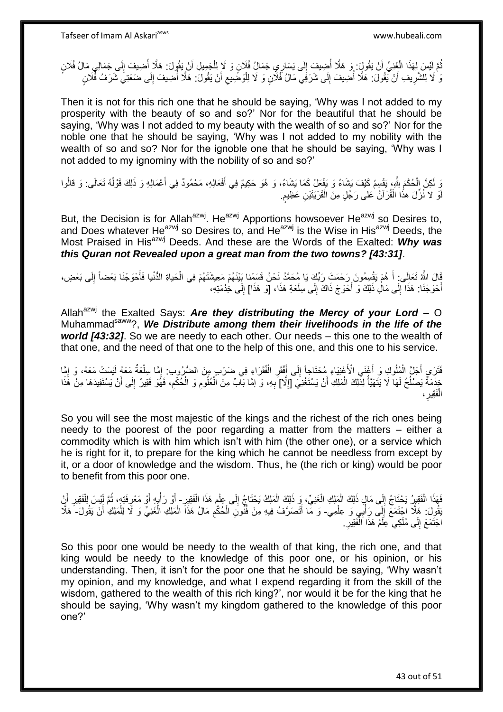يَّمَّ لَيْسَ لِهَذَا الْغَنِيِّ أَنْ يَقُولٍ ۚ وَ هَلَّا أُضِيفَ إِلَى يَسَارِي جَمَالُ فُلَانٍ وَ لَإِ لِلْجَمِيلِ أَنْ يَقُولَ: هَلَّا أُضِيفَ إِلَى جَمَالِي مَالُ فُلَانٍ<br>يَذِينَ يَسْبَعُونَ الْغَنِيِّ أَنْ يَقُولٍ ۚ و  $\frac{1}{2}$ ا<br>ا َ ْ ُ ِ ا<br>ا َ ْ ِ ىَ لَا لِلشَّرِيفِ أَنْ يَقُولَ: هَلَّا أَضِيفَ إِلَى شَرَفِي مَالُ فُلَّانٍ وَ لَا لِلْوَضِيعِ أَنْ يَقُولَ: هَلَّا أَضِيفَ إِلَى ضَعَتِيَ شَرَفُ فُلَانٍ ا<br>ا َ ِ ْ ِ ُ اً ِ

Then it is not for this rich one that he should be saying, 'Why was I not added to my prosperity with the beauty of so and so?' Nor for the beautiful that he should be saying, 'Why was I not added to my beauty with the wealth of so and so?' Nor for the noble one that he should be saying, 'Why was I not added to my nobility with the wealth of so and so? Nor for the ignoble one that he should be saying, 'Why was I not added to my ignominy with the nobility of so and so?'

نَ لِكِنَّ الْحُكْمَ لِلَّهِ، يَقْسِمُ كَيْفَ يَشَاءُ وَ يَفْعَلُ كَمَا يَشَاءُ، وَ هُوَ حَكِيمٌ فِي أَفْعَالِهِ، مَحْمُودٌ فِي أَعْمَالِهِ وَ ذَلِكَ قَوْلُهُ تَعَالَى: وَ قالُوا ْ ُ َ َ ا<br>ا وْ لا نُزّلَ هذَا الْقُرْآنُ عَلى رَجُلٍ مِنَ الْقَرْيَنَيْنِ عَظِيمٍ. ْ لَ ֧֖֖֖֧֧֖֧֧֧֧֧ׅ֧֧֧֧֧֚֚֚֚֓֝֝֝֝֟֓֟֓֝֬֝֓֝֓֝֬֟֓֟֓֟֓֟֓֝֬֝֬֝֓֝֬֜֓֝֬֝֓֝֬֝֬֝ ْ

But, the Decision is for Allah<sup>azwj</sup>. He<sup>azwj</sup> Apportions howsoever He<sup>azwj</sup> so Desires to, and Does whatever He<sup>azwj</sup> so Desires to, and He<sup>azwj</sup> is the Wise in His<sup>azwj</sup> Deeds, the Most Praised in His<sup>azwj</sup> Deeds. And these are the Words of the Exalted: Why was *this Quran not Revealed upon a great man from the two towns? [43:31]*.

قَالَ اللَّهُ تَعَالَى ۚ أَ هُمْ يَقْسِمُونَ رِدَحْمَتَ رَبِّكَ يَا مُحَمَّدُ نَحْنُ قَسَمْنا بَيْنَهُمْ مَعِيشَتَهُمْ فِي الْحَياةِ الدُّنْيا فَأَحْوَجْنَا بَعْضاً إِلَى بَعْضٍ، َ ِ َ ْ أَحْوَجْنَا: هَذَا إِلَى مَالِ ذَلِكَ وَ أَحْوَجَ ذَاكَ إِلَى سِلْعَةِ هَذَا، [وَ هَذَا] إِلَى خِدْمَتِهِ، יִי<br>י ْ ِ َ  $\frac{1}{2}$ 

Allah<sup>azwj</sup> the Exalted Says: Are they distributing the Mercy of your Lord - O Muhammad<sup>saww</sup>?, We Distribute among them their livelihoods in the life of the *world [43:32]*. So we are needy to each other. Our needs – this one to the wealth of that one, and the need of that one to the help of this one, and this one to his service.

فَتَرَي أَجَلَّ الْمُلُوكِ وَ أَغْنَى الْأَغْنِيَاءِ مُحْتَاجاً إِلَى أَفْقَرِ الْفُقَرَاءِ فِي ضَرْبٍ مِنَ الضُّرُوبِ: إِمَّا سِلْعَةٌ مَعَهُ لَيْسَتْ مَعَهُ، وَ إِمَّا ِ ْ ِ ِ َ ْ َ ْ ِ خِدْمَةٌ يَصْلُحُ لَهَا لَا يَتَهَيَّأُ لِذَّلِكَ الْمَلِكِ أَنْ يَسْتَغْنِيَ [إِلَّا] بِهِ، وَ إِمَّا بَالَّ مِنَ الْعُلُومِ وَ الْحُكْمِ، فَهُوَ فَقِيرٌ إِلَى أَنْ يَسْتَفِيدَهَا مِنْ هَذَا ِ ْ ِ ِ َ ْ المناطقي.<br>أحداث المناطقين المناطقين المناطقين المناطقين المناطقين المناطقين المناطقين المناطقين المناطقين المناطقين المناطقين<br>المناطقين المناطقين المناطقين المناطقين المناطقين المناطقين المناطقين المناطقين المناطقين المنا ُ اُ ِ ِ ْ الْفَقِيرِ ، **∶** ْ

So you will see the most majestic of the kings and the richest of the rich ones being needy to the poorest of the poor regarding a matter from the matters – either a commodity which is with him which isn't with him (the other one), or a service which he is right for it, to prepare for the king which he cannot be needless from except by it, or a door of knowledge and the wisdom. Thus, he (the rich or king) would be poor to benefit from this poor one.

ِ فَهَذَا الْفَقِيرُ يَحْتَاجُ إِلَى مَالٍ ذَلِكَ الْمَلِكِ الْغَنِيِّ، وَ ذَلِكَ الْمَلِكُ يَحْتَاجُ إِلَى عِلْمٍ هَذَا الْفَقِيرِ - أَوْ رَأْيِهِ أَوْ مَعْرِفَتِهِ، ثُمَّ لِّئِسَ لِلْفَقِيرِ أَنْ ْ ْ ْ  $\frac{1}{2}$ ْ ِ ْ ֺ֧֧֧֚֚֚֚֚֚֚֚֚֚֚֚֚֚֚֚֡֓֓֝֓֝֓֡֓֡֓֡֡֓֡֡֡֬֜֝֓ ْ َ ِ ْ ُ ِ َ ٍ<br>په ة<br>أ َ يَقُولَ: هَلِّا اجْتَمَعَ إِلَى رَأْيِي وَ عِلْمِي- وَ مَّا أَتَصَرَفُ فِيهِ مِنْ فُنُونَ الْحُكْمِ مَالُ هَذَا الْمَلِّكِ الْغَنِيِّ وَ لَا لِلْمَلِكِ أَنْ يَقُولَ- هَلَّا ْ ِ ِ ْ َ ْ ْ ْ اجْتَمَعَ إِلَى مُلْكِي عِلْمُ هَذَا الْفَقِيرِ . **∶** ْ ْ ْ ِ

So this poor one would be needy to the wealth of that king, the rich one, and that king would be needy to the knowledge of this poor one, or his opinion, or his understanding. Then, it isn't for the poor one that he should be saying, 'Why wasn't my opinion, and my knowledge, and what I expend regarding it from the skill of the wisdom, gathered to the wealth of this rich king?', nor would it be for the king that he should be saying, 'Why wasn't my kingdom gathered to the knowledge of this poor one?'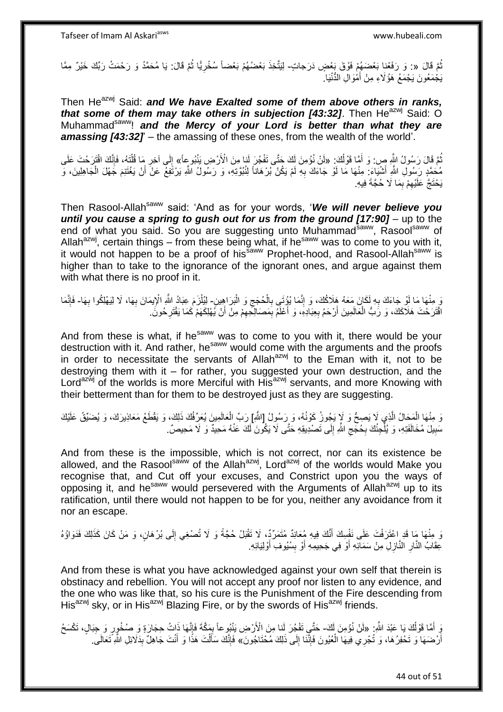ثُمَّ قَالَ «: وَ رَفَعْنا بَعْضَهُمْ فَوْقَ بَعْضٍ دَرَجاتٍ- لِيَتَّخِذَ بَعْضُهُمْ بَعْضاً سُخْرِيًّا ثُمَّ قَالَ: يَا مُحَمَّدُ وَ رَحْمَتُ رَبِّكَ خَيْرٌ مِمَّا ُ ا دیکھیے **∶** يَجْمَعُونَ يَجْمَعُ هَؤُلَاءِ مِنْ أَمْوَالِ الدُّنْيَا. َ

Then He<sup>azwj</sup> Said: *and We have Exalted some of them above others in ranks, that some of them may take others in subjection [43:32]*. Then He<sup>azwj</sup> Said: O Muhammad<sup>saww</sup>! and the Mercy of your Lord is better than what they are **amassing [43:32]'** – the amassing of these ones, from the wealth of the world'.

تُمَّ قَالَ رَسُولُ اللَّهِ صِ: وَ أَمَّا قَوْلُكَ: «لَنْ نُؤْمِنَ لَكَ جَتَّى تَفْجُرَ لَنا مِنَ الْأَرْضِ يَنْبُوعِاً» إِلَى آخِرِ مَا قُلْنَهُ، فَإِنَّكَ اقْتَرَحْتَ عَلَى ُ َ ا∣<br>ِ∘ِ ْ ِ ِ مُحَمَّدٍ رَسُولِ اللَّهِ أَشْيَاءَ: مِنْهَا مَا لَوْ جَاءَكَ بِهِ لَمْ يَكُنْ بُرْهَاناً لِنُبُوَّتِهِ، وَ رَسُولُ اللَّهِ يَرْتَفِعُ عَنْ أَنْ يَغْتَنِمَ جَهْلَ الْجَاهِلِينَ، وَ َ ِ ْ َ يَحْتَجَّ عَلَيْهِمْ بِمَا لَا حُجَّةَ فِيهِ. ِ ِ

Then Rasool-Allah<sup>saww</sup> said: 'And as for your words, 'We will never believe you *until you cause a spring to gush out for us from the ground [17:90]* – up to the end of what you said. So you are suggesting unto Muhammadsaww, Rasoolsaww of Allah<sup>azwj</sup>, certain things – from these being what, if he<sup>saww</sup> was to come to you with it, it would not happen to be a proof of his<sup>saww</sup> Prophet-hood, and Rasool-Allah<sup>saww</sup> is higher than to take to the ignorance of the ignorant ones, and argue against them with what there is no proof in it.

رَ مِنْهَا مَا لَوْ جَاءَكَ بِهِ لَكَانَ مَعَهُ هَلَاكُكَ، وَ إِنَّمَا يُؤْتَى بِالْحُجَجِ وَ الْبَرَاهِينِ- لِيُلْزَمَ عِبَادُ اللّهِ الْإِيمَانَ بِهَا، لَا لِيَهْلِكُوا بِهَا- فَإِنَّمَا ْ ِ ْ **∶** ِ **∶** ِ ِ ْ  $\frac{1}{2}$ ِ اقْتَرَحْتَ هَلَاكَكَ، وَ رَبُّ الْعَالَمِينَ أَرْحَمُ بِعِبَادِهِ، وَ أَعْلَمُ بِمَصَالِكِهِمْ مِنْ أَنْ يُهْلِكَهَمْ كَمَا يَقْتَرِحُونَ ِ ِ َ **∶** َ ْ ِ َ

And from these is what, if he<sup>saww</sup> was to come to you with it, there would be your destruction with it. And rather, he<sup>saww</sup> would come with the arguments and the proofs in order to necessitate the servants of Allah $a^{2x}$  to the Eman with it, not to be destroying them with it – for rather, you suggested your own destruction, and the Lord<sup>azwj</sup> of the worlds is more Merciful with His<sup>azwj</sup> servants, and more Knowing with their betterment than for them to be destroyed just as they are suggesting.

وَ مِنْهَا الْمَحَالُ الَّذِي لَا يَصِحُّ وَ لَاٍ يَجُوزُ كَوْنُهُ، وَ رَسُولُ [اللَّهِ] رَبِّ الْعَالَمِينَ يُعَرِّفُكَ ذَلِكَ، وَ يَقْطَعُ مَعَاذِيرَكَ، وَ يُضَيِّقُ عَلَيْكَ ه ْ ْ سَبِيلَ مُخَالَفَتِهِ، وَ يُلْجِئُكَ بِحُجِّجِ اللَّهِ إِلَى تَصْدِيقِهِ حَتَّى لَا يَكُونَ لَكَ عَنْهُ مَحِيدٌ وَ لَا مَحِيصٌ. ِ **∶** ا<br>ا **∣** ِ

And from these is the impossible, which is not correct, nor can its existence be allowed, and the Rasool<sup>saww</sup> of the Allah<sup>azwj</sup>, Lord<sup>azwj</sup> of the worlds would Make you recognise that, and Cut off your excuses, and Constrict upon you the ways of opposing it, and he<sup>saww</sup> would persevered with the Arguments of Allah<sup>azwj</sup> up to its ratification, until there would not happen to be for you, neither any avoidance from it nor an escape.

وَ مِنْهَا مَا قَدِ اعْتَرَفْتَ عَلَى نَفْسِكَ أَنَّكَ فِيهِ مُعَانِدٌ مُتَمَرِّدٌ، لَا تَقْبَلُ حُجَّةً وَ لَا تُصْغِي إِلَى بُرْهَانٍ، وَ مَنْ كَانَ كَذَلِكَ فَدَوَاؤُهُ لَ ِ َ **ٔ** عِقَابُ النَّارِ النَّازِلِ مِنْ سَمَائِهِ أَوْ فِي جَحِيمِهِ أَوْ بِسُيُوفِ أَوْلِيَائِهِ. َ ِ اُ َ ِ ِ

And from these is what you have acknowledged against your own self that therein is obstinacy and rebellion. You will not accept any proof nor listen to any evidence, and the one who was like that, so his cure is the Punishment of the Fire descending from His<sup>azwj</sup> sky, or in His<sup>azwj</sup> Blazing Fire, or by the swords of His<sup>azwj</sup> friends.

دٍّ أَمَّا قَوْلُكَ يَا عَبْدَ اللَّهِ: «لَنْ نُؤْمِنَ لَكَ- حَتَّـِي تَفْجُرَ لَنا مِنَ الْأَرْضِ يَنْبُوعاً بِمَكَّةَ فَإِنَّهَا ذَاتُ حِجَارَةٍ وَ صُخُورٍ وَ جِبَالٍ، تَكْسَحُ ُ اا<br>ِ∘ ¦ أَرْضَهَا وَ تَحْفِرُهَا، وَ تُجْرِي فِيهَا الْعُيُونَ فَإِنَّنَا إِلَى ذَلِكَ مُحْتَاجُونَ» فَإِنَّكَ سَأَلْتَ هَذَا وَ أَنْتَ جَاهِلٌ بِدَلَائِلِ اللَّهِ تَعَالَىَ<sub>.</sub> ِ ِ ْ اً ِ َ ْ اً<br>أ ׀ו<br>ְי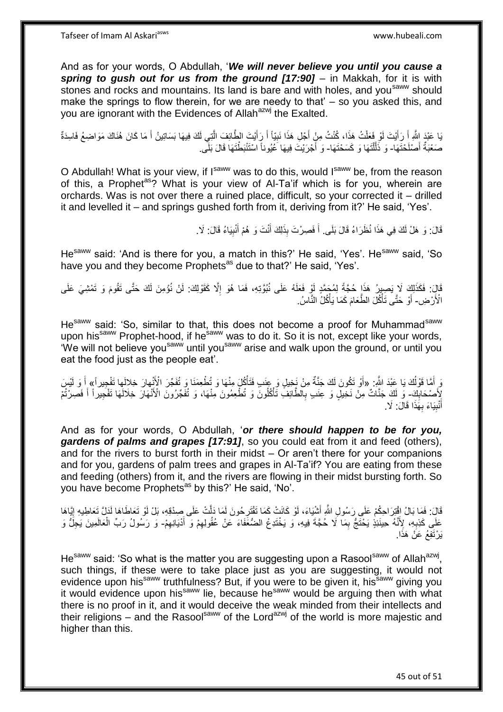And as for your words, O Abdullah, '*We will never believe you until you cause a spring to gush out for us from the ground [17:90]* – in Makkah, for it is with stones and rocks and mountains. Its land is bare and with holes, and you<sup>saww</sup> should make the springs to flow therein, for we are needy to that' – so you asked this, and you are ignorant with the Evidences of Allah<sup>azwj</sup> the Exalted.

يَا عَبْدَ اللَّهِ أَ رَأَيْتَ لَوْ فَعَلْتُ هَذَا، كُنْتُ مِنْ أَجْلِ هَذَا نَبِيّاً أَ رَأَيْتَ الطَّائِفَ الَّتِي لَكَ فِيهَا بَسَاتِينُ أَ مَا كَانَ هُذَاكَ مَوَاضِعُ فَاسِدَةٌ َ َ ِ َ ْ َ َ َ ه صَغْبَةٌ أَصْلَحْتَهَا- وَ ذَلَّلْتَهَا وَ كَسَحْتَهَا- وَ أَجْرَيْتَ فِيهَا عُيُوناً اسْتَنْبَطْتَهَا قَالَ بَلَّى َ ֺ֝֟֟֓֕֟֓֕֓֕׆<br>֧֢ׅ֦֧ׅ֦֧֦֧֦֦ׅ֦֧֦֧֦֦֧֧֧ׅ֘֘֜֓֬֘֓֞֬֘֩֓֓֬֟֩֓֓֞֬֩֩֓֓֩ اً َ

O Abdullah! What is your view, if Isaww was to do this, would Isaww be, from the reason of this, a Prophet<sup>as</sup>? What is your view of Al-Ta'if which is for you, wherein are orchards. Was is not over there a ruined place, difficult, so your corrected it – drilled it and levelled it – and springs gushed forth from it, deriving from it?' He said, 'Yes'.

> قَالَ: وَ هَلْ لَكَ فِي هَذَا نُظَرَاءُ قَالَ بَلَى ۖ أَ فَصِرْتَ بِذَلِكَ أَنْتَ وَ هُمْ أُنْبِيَاءُ قَالَ: لَا ِ َ َ َ

He<sup>saww</sup> said: 'And is there for you, a match in this?' He said, 'Yes'. He<sup>saww</sup> said, 'So have you and they become Prophets<sup>as</sup> due to that?' He said, 'Yes'.

قَالَ: فَكَذَلِكَ لَا يَصِبِرُ هَذَا حُجَّةً لِمُجَمَّدٍ لَوْ فَعَلَهُ عَلَى نُبُوَّتِهِ، فَمَا هُوَ إِلَّا كَقَوْلِكَ: لَنْ نُوُمِنَ لَكَ حَتَّى تَقُومَ وَ تَمْشِيَ عَلَى ِ الْأَرْضِ- أَوْ حَتَّى تَأْكُلَ الطَّعَامَ كَمَا يَأْكُلُ النَّاسُ. ة<br>أ َ ْ

He<sup>saww</sup> said: 'So, similar to that, this does not become a proof for Muhammad<sup>saww</sup> upon his<sup>saww</sup> Prophet-hood, if he<sup>saww</sup> was to do it. So it is not, except like your words, 'We will not believe you<sup>saww</sup> until you<sup>saww</sup> arise and walk upon the ground, or until you eat the food just as the people eat'.

رَ أَمَّا قَوْلُكَ يَا عَبْدَ الثَّهِ: «أَوْ تَكُونَ لَكَ جَنَّةٌ مِنْ نَخِيلٍ وَ عِنَبٍ فَتَأْكُلَ مِنْهَا وَ تُطْعِمَنَا وَ تُفَجِّرَ الْأَنْهارَ خِلالَها تَفْجِيراً» أَ وَ لَيْسَ ُ ْ إِلَهُ سُحَابِكَ ۖ وَ لَكَ جَنَّاتٌ مِنْ نَخِيلٍ وَ عِنَبٍ بِالطَّائِفِّ تَأْكُلُونَ وَ تُطْعِمُونَ مِنْهَا، وَ تُفَجّرُونَ الْأَنْهَارَ خِلَالَهَا تَفْجِيراً أَ فَصِرْتُمْ ِ َ ا<br>أ ِ َ أَنْبِيَاءَ بِهَٰذَا قَالَ: لَا. **∶ !** َ

And as for your words, O Abdullah, '*or there should happen to be for you, gardens of palms and grapes [17:91]*, so you could eat from it and feed (others), and for the rivers to burst forth in their midst – Or aren't there for your companions and for you, gardens of palm trees and grapes in Al-Ta'if? You are eating from these and feeding (others) from it, and the rivers are flowing in their midst bursting forth. So you have become Prophets<sup>as</sup> by this?' He said, 'No'.

قَالَ: فَمَا بَالُ افْتِرَاحِكُمْ عَلَى رَسُولِ اللَّهِ أَشْيَاءَ، لَوْ كَانَتْ كَمَا تَقْتَرِحُونَ لَمَا دَلَّتْ عَلَى صِدْقِهِ، بَلْ لَوْ تَعَاطَاهَا لَدَلَّ تَعَاطِيهِ إِيَّاهَا َ  $\frac{1}{2}$ ِ عَلَى كَذِبِهِ، لِأَنَّهُ حِينَئِذٍ يَحْتَجُّ بِمَا لَا حُجَّةَ فِيهِ، وَ يَخْتَدِعُ الضُّعَفَاءَ عَنْ عُقُولِهِمْ وَ أَدْيَانِهِمْ- وَ رَسُولُ رَبِّ الْعَالَمِينَ يَجِلُّ وَ َ ِ ِ **∶** ِ يَرْتَفِعُ عَنْ هَذَا.

He<sup>saww</sup> said: 'So what is the matter you are suggesting upon a Rasool<sup>saww</sup> of Allah<sup>azwj</sup>, such things, if these were to take place just as you are suggesting, it would not evidence upon his<sup>saww</sup> truthfulness? But, if you were to be given it, his<sup>saww</sup> giving you it would evidence upon his<sup>saww</sup> lie, because he<sup>saww</sup> would be arguing then with what there is no proof in it, and it would deceive the weak minded from their intellects and their religions – and the Rasoolsaw of the Lord<sup>azwj</sup> of the world is more majestic and higher than this.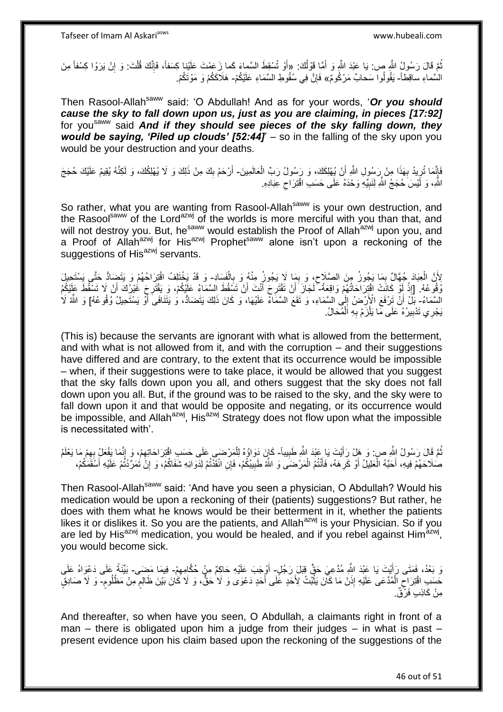Tafseer of Imam Al Askariasws www.hubeali.com

ُّمَّ قَالَ رَسُولُ اللَّهِ ص: يَا عَبْدَ اللَّهِ وَ أَمَّا قَوْلُكَ: «أَوْ تُسْقِطَ السَّماءَ كَما زَعَمْتَ عَلَيْنا كِسَفًا، فَإِنَّكَ قُلْتَ: وَ إِنْ يَرَوْا كِسْفاً مِنَ اُ َ ِ ْ ا∣<br>ِ∘ِ السَّماءِ ساقِطاً- يَقُولُوا سَحابٌ مَرْكُومٌ» فَإِنَّ فِي سُقُوطِ السَّمَاءِ عَلَيْكُمْ- هَلَاكَكُمْ وَ مَوْتَكُمْ. ِ

Then Rasool-Allah<sup>saww</sup> said: 'O Abdullah! And as for your words, 'Or you should *cause the sky to fall down upon us, just as you are claiming, in pieces [17:92]*  for you<sup>saww</sup> said *And if they should see pieces of the sky falling down, they would be saying, 'Piled up clouds' [52:44]*' – so in the falling of the sky upon you would be your destruction and your deaths.

فَإِنَّمَا تُرِيدُ بِهَذَا مِنْ رَسُولِ اللَّهِ أَنْ يُهْلِكَكَ، وَ رَسُولُ رَبِّ الْعَالَمِينَ- أَرْحَمُ بِكَ مِنْ ذَلِكَ وَ لَا يُهْلِكُكَ، وَ لَكِنَّهُ يُقِيمُ عَلَيْكَ حُجَجَ ِ ِ اا<br>ئە ْ  $\frac{1}{2}$ َ اللَّهِ، وَ لَيْسَ حُجَجُ اللَّهِ لِنَبِيِّهِ وَحْدَهُ عَلَى حَسَبِ اقْتِرَاحٍ عِبَادِهِ. ِ **!** 

So rather, what you are wanting from Rasool-Allah<sup>saww</sup> is your own destruction, and the Rasool<sup>saww</sup> of the Lord<sup>azwj</sup> of the worlds is more merciful with you than that, and will not destroy you. But, he<sup>saww</sup> would establish the Proof of Allah<sup>azwj</sup> upon you, and a Proof of Allah<sup>azwj</sup> for His<sup>azwj</sup> Prophet<sup>saww</sup> alone isn't upon a reckoning of the suggestions of His<sup>azwj</sup> servants.

لِأَنَّ الْعِبَادَ جُهَّالٌ بِمَا يَجُوزُ مِنَ الصَّلَاحِ، وَ بِمَا لَا يَجُوزُ مِنْهُ وَ بِالْفَسَادِ- وَ قَدْ يَخْتَلِفُ اقْتِرَاحُهُمْ وَ يَتَضِادُّ حَتَّى يَسْتَحِيلَ ْ **∶** ِ ِ ِ ْ رُفُوعُهُ. [إِذْ أَوْ كَانَتْ اقْتِرَاحَاتُهُمْ وَاقِعَةً ۖ لَجَازَ َأَنْ تَقْتَرِحَ أَنْتَ أَنْ تَسْقُطَ السَّمَاءُ عَلَيْكُمْ، وَ يَقْتَرِحَ غُيْرُكَ أَنْ لَا تَسْقُطَ عَلَيْكُمْ لَ ْ َ ِ اُ َ ِ اُ لَ السَّمَاءُ- بَلَّ أَنْ تَرْفَعَ الْأَرْضُ إِلَى السَّمَاءِ، وَ تَقَعَ السَّمَاءُ عَلَيْهَا، وَ كَانَ ذَلِكَ يَتَضَادُّ، وُ يَتَنَافَىَ أَوْ يَسْتَحِيلُ وُقُوعُهُ] وَ اللَّهُ لَا لَ ِ آ يَجْرِي تَدْبِيرُهُ عَلَى مَا يَلْزَمُ بِهِ اَلْمُحَالُ. ْ **∶** ْ **!** 

(This is) because the servants are ignorant with what is allowed from the betterment, and with what is not allowed from it, and with the corruption – and their suggestions have differed and are contrary, to the extent that its occurrence would be impossible – when, if their suggestions were to take place, it would be allowed that you suggest that the sky falls down upon you all, and others suggest that the sky does not fall down upon you all. But, if the ground was to be raised to the sky, and the sky were to fall down upon it and that would be opposite and negating, or its occurrence would be impossible, and Allah<sup>azwj</sup>, His<sup>azwj</sup> Strategy does not flow upon what the impossible is necessitated with'.

نُّمَّ قَالَ رَسُولُ اللَّهِ ص: وَ هَلْ رَأَيْتَ يَا عَبْدَ اللَّهِ طَبِيباً- كَإِنَ دَوَاؤُهُ لِلْمَرْضَى عَلَى حَسَبِ اقْتِرَاحَاتِهِمْ، وَ إِنَّمَا يَغْعَلُ بِهِمْ مَا يَعْلَمُ ِ َ ِ ِ ِ ْ صُلَاحَهُمْ فِيهِ، أَحَبَّهُ الْعَلِيلُ أَوْ كَرِ هَهُ، فَأَنْتُمُ الْمَرْضَىَ وَ اللَّهُ طَبِيبُكُمْ، فَإِنِ انْقَذَتُمْ لِدَوَائِهِ شَفَاكُمْ، وَ إِنَّ تَمَرَّدْتُمْ عَلَيْهِ أَسْقَمَكُمْ، ِ ْ َ **∶** ْ َ ِ َ

Then Rasool-Allah<sup>saww</sup> said: 'And have you seen a physician, O Abdullah? Would his medication would be upon a reckoning of their (patients) suggestions? But rather, he does with them what he knows would be their betterment in it, whether the patients likes it or dislikes it. So you are the patients, and Allah<sup>azwj</sup> is your Physician. So if you are led by His<sup>azwj</sup> medication, you would be healed, and if you rebel against Him<sup>azwj</sup>, you would become sick.

نَ بَعْدُ، فَمَتَى رَأَيْتَ يَا عَبْدَ اللَّهِ مُدَّعِيَ حَقٍّ قِبَلَ رَجُلٍ- أَوْجَبَ عَلَيْهِ حَاكِمٌ مِنْ حُكَّامِهِمْ- فِيمَا مَضَى- بَيِّنَةً عَلَى دَعْوَاهُ عَلَى َ ِ حَسَبِ اقْتِرَاحِ الْمُدَّعَى عَلَيْهِ إِذَنْ مَا كَاّنَ يَثْبُتُ لِأَحَدٍ عَلَى أَحَدٍ دَعْوَى وَ لَا حَقٌّ، وَ لَا كَانَ بَيْنَ ظَالِمٍ مِنْ مَظْلُومٍ- وَ لَا صَادِقٍ َ **ٔ** ْ ِ ֧֖֧֖֖֖֖֖֧֧֖֧֧֧֧ׅ֧֧֧֚֚֚֚֚֚֚֝֝֟֓֝֓֝֓֟֓֝֬֟֓֟֓֟֓֟֓֝֬֜֝֓֝֬֜֓֝֬֜֓֝֬ **ื** مِنْ كَاذِبٍ فَرْقٌ.

And thereafter, so when have you seen, O Abdullah, a claimants right in front of a man – there is obligated upon him a judge from their judges – in what is past – present evidence upon his claim based upon the reckoning of the suggestions of the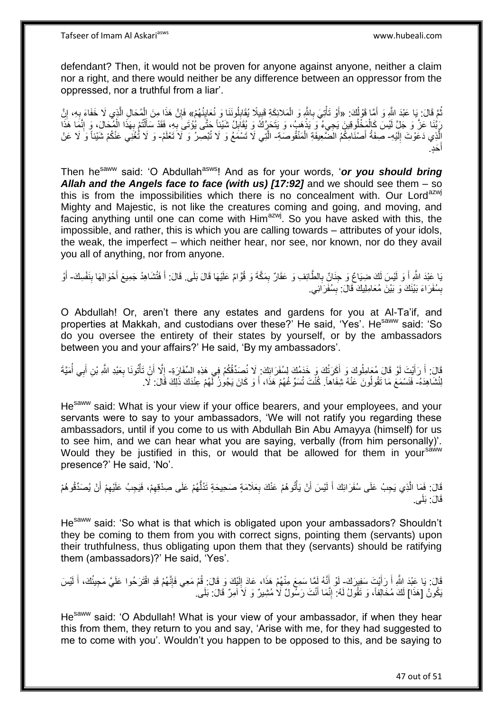defendant? Then, it would not be proven for anyone against anyone, neither a claim nor a right, and there would neither be any difference between an oppressor from the oppressed, nor a truthful from a liar'.

ثُمَّ قَالَ: بَا عَبْدَ اللَّهِ وَ أَمَّا قَوْلُكَ: «أَوْ تَأْتِيَ بِاللَّهِ وَ الْمَلائِكَةِ قَبِيلًا يُقَابِلُونَنَا وَ نُعَايِنُهُمْ» فَإِنَّ هَذَا مِنَ الْمُحَالِ الَّذِي لَا خَفَاءَ بِهِ، إِنَّ ُ َ ِ ِ ِ ْ **∶** ֧֧֦֧֦֧֦֧֦֧֦֧֧֦֧֦֧֦֧֦֧֦֧֧֧֧֧֧֦֧֝֟֓֓֝֜֓֓֓֓֞֓֓֞֓֓֞֓֓֞֓֓֓֞֡֓֓֡֬֓֓֓֡֬֓֓֓֓֓֬֓֓֞֓֬֓֓֡֬֓֓ ِ ِ ه ْ ∣lٍ رَبَّنَا عَزَّ وَ جَلِّ لَيْسَ كَالْمَخْلُوقِينَ يَجِيءُ وَ يَذْهِبُ، وَ يَتَحَرَّكُ وَ يُقَابِلُ شَيْئِاً جَتَّى يُؤْتَى بِهِ، فَقَدْ سَأَلْتُمْ بِهَذَا الْمُحَالَ، وَ إِنَّمَا هَذَا ْ ِ **ٔ** ِ ْ ِ ْ ĺ ِ الَّذِي دَعَوْتَ إِلَيْهِ- صِفَةُ أَصْنَامِكُمُ الْضَّعِيفَةِ الْمَنْقُوصَةِ- الَّتِي لَا تَسْمَعُ وَ لَا تُبْصِرُ وَ لَا تَعْلَمُ- وَ لَا تُغْنِي عَنْكُمْ شَيْئاً وَ لَا عَنْ لَ ِ ْ َحٍد. َ أ

Then he<sup>saww</sup> said: 'O Abdullah<sup>asws</sup>! And as for your words, 'or you should bring *Allah and the Angels face to face (with us) [17:92]* and we should see them – so this is from the impossibilities which there is no concealment with. Our Lord<sup>azwj</sup> Mighty and Majestic, is not like the creatures coming and going, and moving, and facing anything until one can come with Him<sup>azwj</sup>. So you have asked with this, the impossible, and rather, this is which you are calling towards – attributes of your idols, the weak, the imperfect – which neither hear, nor see, nor known, nor do they avail you all of anything, nor from anyone.

يَا عَبْدَ اللَّهِ أَ وَ لَيْسَ لَكَ ضِيَاعٌ وَ جِذَانٌ بِالطَّائِفِ وَ عَقَالٌ بِمَكَّةَ وَ قُوَّامٌ عَلَيْهَا قَالَ بَلَى. قَالَ: أَ فَتُشَاهِدُ جَمِيعَ أَحْوَالِهَا بِنَفْسِكَ- أَوْ ِ ِ َ َ ِ َ َ بِسُفَرَاءَ بَيْنَكَ وَ بَيْنَ مُعَامِلِيكَ قَالَ: بِسُفَرَائِي. **ِ ِ** 

O Abdullah! Or, aren't there any estates and gardens for you at Al-Ta'if, and properties at Makkah, and custodians over these? He said, 'Yes'. He<sup>saww</sup> said: 'So do you oversee the entirety of their states by yourself, or by the ambassadors between you and your affairs?' He said, 'By my ambassadors'.

قَالَ: أَ رَأَيْتَ لَوْ قَالَ مُعَامِلُوكَ وَ أَكَرَتُكَ وَ خَدَمُكَ لِسُفَرَائِكَ. لَا نُصَدِّقُكُمْ فِي هَذِهِ السِّفَارَةِ- إِلَّا أَنْ تَأْتُونَا بِعَبْدِ اللَّهِ بْنِ أَبِي أُمَيَّةَ<br>وَمَيْنَ فَيَرْتَبَعُ اللَّهِ بْن َ َ ِ **ٔ** َ ِ لِنُشَاهِدَهُ- فَنَسْمَعَ مَا تَقُولُونَ عَنْهُ شِفَاهاً. كُنْتَ تُسَوِّغُهُمْ هَذَا، أَ وَ كَانَ يَجُورُ لَهُمْ عِنْدَكَ ذَلِكَ قَالَ: لَا. َ

He<sup>saww</sup> said: What is your view if your office bearers, and your employees, and your servants were to say to your ambassadors, 'We will not ratify you regarding these ambassadors, until if you come to us with Abdullah Bin Abu Amayya (himself) for us to see him, and we can hear what you are saying, verbally (from him personally)'. Would they be justified in this, or would that be allowed for them in your<sup>saww</sup> presence?' He said, 'No'.

قَالَ: فَمَا الَّذِي يَجِبُ عَلَى سُفَرَائِكَ أَ لَيْسَ أَنْ يَأْتُوهُمْ عَنْكَ بِعَلَامَةٍ صَحِيحَةٍ تَدُلَّهُمْ عَلَى صِدْقِهِمْ، فَيَجِبُ عَلَيْهِمْ أَنْ يُصَدِّقُوهُمْ ِ ْ اُ لَ َ ه َ ِ ِ ُّ قَالَ: بَلَى.

He<sup>saww</sup> said: 'So what is that which is obligated upon your ambassadors? Shouldn't they be coming to them from you with correct signs, pointing them (servants) upon their truthfulness, thus obligating upon them that they (servants) should be ratifying them (ambassadors)?' He said, 'Yes'.

قَالَ: يَا عَبْدَ اللَّهِ أَ رَأَيْتَ سَفِيرَكَ- لَوْ أَنَّهُ لَمَّا سَمِعَ مِنْهُمْ هَذَا، عَادَ إِلَيْكَ وَ قَالَ: فُمْ مَعِي فَإِنَّهُمْ قَدِ اقْتَرَحُوا عَلَيَّ مَجِيئُكَ، أَ لَيْسَ َ لَ ∣l<br>∶ َ لَ َ ِ يَكُونُ [هَذَا] لَكَ مُخَالِفاً، وَ تَقُولُ لَهُ: إِنَّمَا أَنْتَ رَسُّولٌ لَا مُشِيرٌ وَ لَا آمِرٌ قَالَ: بَلَى َ ِ

He<sup>saww</sup> said: 'O Abdullah! What is your view of your ambassador, if when they hear this from them, they return to you and say, 'Arise with me, for they had suggested to me to come with you'. Wouldn't you happen to be opposed to this, and be saying to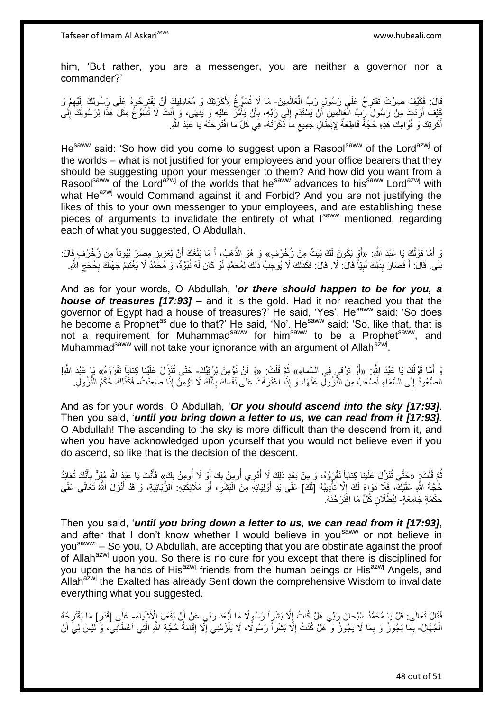Tafseer of Imam Al Askariasws www.hubeali.com

him, 'But rather, you are a messenger, you are neither a governor nor a commander?'

قَالَ: فَكَيْفَ صِرْتَ تَقْتَرِحُ عَلَى رَسُولِ رَبِّ الْعَالَمِينَ- مَا لَإِ تُسَوِّغُ لِأَكَرَنِكَ وَ مُعَامِلِيكَ أَنْ يَقْتَرِحُوهُ عَلَى رَسُولِكَ إِلَيْهِمْ وَ ْ ِ ِ لَ  $\frac{1}{2}$ ِ َ كَيْفَ أَرَدْتَ مِنْ رَسُولَِ رِّبٍّ الْعَالَمِينَ أَنْ يَسْتَذِمَ إِلَى رَبِّهِ، بِأَنْ يَأْمُرَ عَلَيْهِ وَ يَنْهَى، وَ أَنْتَ لَا تُسَوِّعُ مِثْلَ هَذَا لِرَسُولَكَ إِلَى َ ْ ا<br>ا أ ِ ∣∣<br>∶ لَ ِ **ٔ** َ أَكَرَتِكَ وَ قُوَّ امِكَ هَذِهِ حُجَّةٌ قَاطِعَةٌ لِإِبْطَالِ جَمِيعِ مَا ذَكَرْتَهُ- فِي كُلِّ مَا اقْتَرَحْتَهُ يَا عَبْدَ اللَّهِ. ِ َ

He<sup>saww</sup> said: 'So how did you come to suggest upon a Rasool<sup>saww</sup> of the Lord<sup>azwj</sup> of the worlds – what is not justified for your employees and your office bearers that they should be suggesting upon your messenger to them? And how did you want from a Rasoolsaww of the Lord<sup>azwj</sup> of the worlds that he<sup>saww</sup> advances to his<sup>saww</sup> Lord<sup>azwj</sup> with what He<sup>azwj</sup> would Command against it and Forbid? And you are not justifying the likes of this to your own messenger to your employees, and are establishing these pieces of arguments to invalidate the entirety of what Isaww mentioned, regarding each of what you suggested, O Abdullah.

رَ أَمَّا قَوْلُكَ يَا عَبْدَ اللَّهِ. «أَوْ يَكُونَ لَكَ بَيْتٌ مِنْ زُخْرُفٍ» وَ هُوَ الذَّهَبُ، أَ مَا بَلَغَكَ أَنَّ لِعَزِيزِ مِصْرَ بُيُوتاً مِنْ زُخْرُفٍ قَالَ: ُ َ ِ ِ َ َ ه بَلَى. قَالَ: أَ فَصَارَ بِذَلِكَ نَبِيّاً قَالَ: لَا. قَلَالَ: فَكَذَلِكَ لَا يُوجِبُ ذَلِكَ لِمُحَمَّدٍ لَوْ كَانَ لَهُ نُبُوّةٌ، وَ مُحَمَّدٌ لَا يَغْتَنِمُ جَهْلَكَ بِحُجَجِ اللَّهِ. **!** َ ِ **∶** 

And as for your words, O Abdullah, '*or there should happen to be for you, a house of treasures [17:93]* – and it is the gold. Had it nor reached you that the governor of Egypt had a house of treasures? He said, 'Yes'. He<sup>saww</sup> said: 'So does he become a Prophetas due to that?' He said, 'No'. Hesaww said: 'So, like that, that is not a requirement for Muhammad<sup>saww</sup> for him<sup>saww</sup> to be a Prophet<sup>saww</sup>, and Muhammad<sup>saww</sup> will not take your ignorance with an argument of Allah<sup>azwj</sup>.

دَ أَمَّا قَوْلُكَ يَا عَبْدَ اللَّهِ. «أَوْ تَرْقى فِي السَّماءِ» ثُمَّ قُلْتَ. «وَ لَنْ نُؤمِنَ لِرُقِيِّكَ- حَتَّى تُنَزِّلَ عَلَيْنا كِتاباً نَقْرَؤُهُ» يَا عَبْدَ اللَّهِ! ُ ْ الصُّعُودُ إِلَى السَّمَاءِ أَصْعَبُ مِنَ النُّزُولِّ عَنْهَا، وَ إِذَا اعْتَرَفْتَ عَلَى نَفْسِكَ بِأَنَّكَ لَا تُؤْمِنُ إِذَا صَعِدْتُ- فَكَذَلِكَ حُكْمُ النُّزُولِ َ **∶** َ  $\frac{1}{2}$ 

And as for your words, O Abdullah, '*Or you should ascend into the sky [17:93]*. Then you said, '*until you bring down a letter to us, we can read from it [17:93].*  O Abdullah! The ascending to the sky is more difficult than the descend from it, and when you have acknowledged upon yourself that you would not believe even if you do ascend, so like that is the decision of the descent.

ثُمَّ قُلْتَ: «حَتَّى تُنَزِّلَ عَلَيْنا كِتاباً نَقْرَؤُهُ، وَ مِنْ بَعْدِ ذَلِكَ لَا أَدْرِي أُومِنُ بِكَ أَو<br>ثُمَّ قُلْتَ: «حَتَّى تُنَزِّلَ عَلَيْنا كِتاباً نَقْرَؤُهُ، وَ مِنْ بَعْدِ ذَلِكَ لَا أَدْرِي أُومِنُ بِكَ أ ْ ُ َ ِ ا<br>أ َ ِ َ **∶** َ حُجَّةَ اللَّهِ عَلَيْكَ، فَلَا دَوَاءَ لَكَ إِلَّا تَأْدِيبُهُ [لَكَ] عَلَى يَدِ أَوْلِيَائِهِ مِنَ الْبَشَرِ، أَوْ مَلَائِكَتِهِ: الزَّبَانِيَةِ، وَ قَدْ أَنْزَلَ اللَّهُ تَعَالَى عَلَى ْ ِ َ َ **ٍ** ْ لَ حِكْمَةٍ جَامِعَةٍ- لِبُطْلَانِ كَلِّ مَا اقْتَرَحْتَهُ ِ

Then you said, '*until you bring down a letter to us, we can read from it [17:93]*, and after that I don't know whether I would believe in you<sup>saww</sup> or not believe in you<sup>saww</sup> – So you, O Abdullah, are accepting that you are obstinate against the proof of Allah<sup>azwj</sup> upon you. So there is no cure for you except that there is disciplined for you upon the hands of His<sup>azwj</sup> friends from the human beings or His<sup>azwj</sup> Angels, and Allah $a^2$ <sub>w</sub> the Exalted has already Sent down the comprehensive Wisdom to invalidate everything what you suggested.

فَقَالَ تَعَالَى: قُلْ يَا مُحَمَّدُ سُبْحانَ رَبِّي هَلْ كُنْتُ إِلَّا بَشَراً رَسُوٍلًا مَا أَبْعَدَ رَبِّي عَنْ أَنْ يَفْعَلَ اِلْأَشْيَاءَ- عَلَى [قَدْرِ] مَا يَقْتَرِ حُهُ َ َ  $\ddot{\phantom{a}}$ ِ ِ الْجُهَّالُ- بِمَا يَجُوزُ وَ بِمَا لَا يَجُوزُ وَ ۖ هَلْ كُنْتُ إِلَّا بَشَراً رَسُولًا، لَا يَلْزَمُنِي إِلَّا إِقَامَةُ حُجَّةِ اللَّهِ الَّتِي أَعْطَالِي، وَ لَمْس لِيَ أَنْ ْ ِ ِ ْ ِ ِ ِ َ َ ه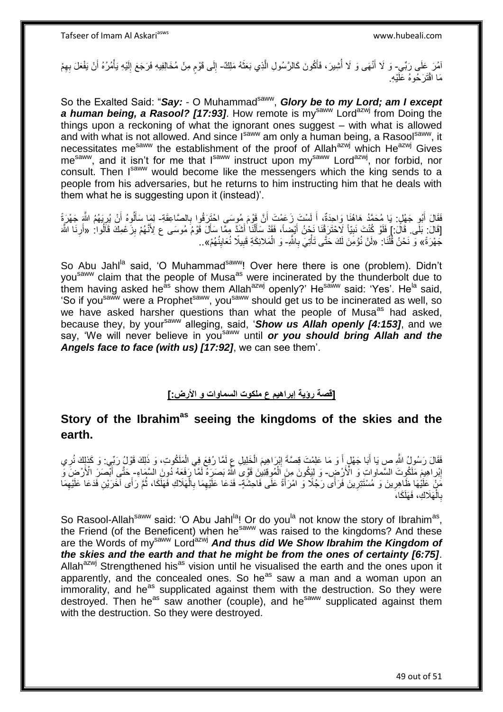امُرَ عَلَى رَبِّي- وَ لَا أَنْهَى وَ لَا أَشِيرَ، فَأَكُونَ كَالرَّسُولِ الَّذِي بَعَثَهُ مَلِكٌ- إِلَى قَوْمٍ مِنْ مُخَالِفِيهِ فَرَجَعَ إِلَيْهِ يَأْمُرُهُ أَنْ يَفْعَلَ بِهِمْ َ ا<br>ان َ ه َ ْ لَ ِ ٍ ∣∣<br>∶ مَا اقْتَرَحُوهُ عَلَيْهِ.

So the Exalted Said: "Say: - O Muhammad<sup>saww</sup>, Glory be to my Lord; am I except *a human being, a Rasool? [17:93]*. How remote is mysaww Lordazwj from Doing the things upon a reckoning of what the ignorant ones suggest – with what is allowed and with what is not allowed. And since I<sup>saww</sup> am only a human being, a Rasool<sup>saww</sup>, it necessitates me<sup>saww</sup> the establishment of the proof of Allah<sup>azwj</sup> which He<sup>azwj</sup> Gives mesaww, and it isn't for me that Isaww instruct upon my<sup>saww</sup> Lord<sup>azwj</sup>, nor forbid, nor consult. Then I<sup>saww</sup> would become like the messengers which the king sends to a people from his adversaries, but he returns to him instructing him that he deals with them what he is suggesting upon it (instead)'.

فَقَالَ أَبُو جَهْلٍ: يَا مُحَمَّدُ هَاهُنَا وَاحِدَةٌ، أَ لَسْتَ زَعَمْتَ أَنَّ قَوْمَ مُوسَى احْتَزَقُوا بِالصَّاعِقَةِ- لِمَا سَأَلُوهُ أَنْ يُرِبَهُمُ اللَّهِ جَهْرَةً ِ َ لَ َ َ ِ َ ון<br>ון [قَالَ: بَلَى قَالُ: ] فَلَوْ كُنْتَ نَبِيّاً لَاحْتَرَفْنَا نَحْنُ أَيْضِاً، فَقَدْ سَأَلْنَا أَشَدَّ مِمَّا سَأَلَ قَوْمُ مُوسَى ع لِأَنَّهُمْ بِزَعْمِكَ قَالُوا: «أَرِنَا اللَّهَ َ ْ َ َ **!** اُ ِ َ ِ َ جَهْرَةً» وَ نَحْنُ قُلْنَا: «لَنْ نُؤْمِنَ لَكَ حَتَّى تَأْتِيَ بِاشَّهِ- وَ الْمَلائِكَةِ قَبِيلًا نُعَايِنُهُمْ».. ْ أ **∶** ْ ِ ِ ْ

So Abu Jahl<sup>la</sup> said, 'O Muhammad<sup>saww</sup>! Over here there is one (problem). Didn't you<sup>saww</sup> claim that the people of Musa<sup>as</sup> were incinerated by the thunderbolt due to them having asked he<sup>as</sup> show them Allah<sup>azwj</sup> openly?' He<sup>saww</sup> said: 'Yes'. He<sup>la</sup> said, "So if you<sup>saww</sup> were a Prophet<sup>saww</sup>, you<sup>saww</sup> should get us to be incinerated as well, so we have asked harsher questions than what the people of Musa<sup>as</sup> had asked, because they, by your<sup>saww</sup> alleging, said, 'Show us Allah openly [4:153], and we say, 'We will never believe in you<sup>saww</sup> until **or you should bring Allah and the** *Angels face to face (with us) [17:92]*, we can see them'.

#### **]قصة رؤية إبراهيم ع ملكوت السماوات و اْلرض:[**

# **Story of the Ibrahimas seeing the kingdoms of the skies and the earth.**

فَقَالَ رَسُولُ اللَّهِ ص يَا أَبَا جَهْلٍ أَ وَ مَا عَلِمْتَ قِصَّةَ إِبْرَاهِيمَ الْخَلِيلِ عِ لَمَّا رُفِعَ فِي الْمَلَكُوتِ، وَ ذَلِكَ قَوْلُ رَبِّي. وَ كَذلِكَ نُرِي ْ ْ ∣l<br>∶ َ ِ إِبْراهِيمَ مَلَكُوتَ السَّمَاواتِ وَ الْأَرْضِ - وَ لِيَكُونَ مِنَ اَلْمُوقِنِينَ قَوَّىَ اللَّهُ بَصَرَةً لَمَّا ۖ رَفَعَهُ ذُونَ السَّمَاءِ- خَتَّى أَبْصَرَ الْأَرْضَ وَ <u>֖֚֚֚֓</u> ْ َ مَنْ عَلَيْهَا ظَاهِرِينَ وَ مُسْتَتِرِينَ فَرَأَى رَجُلًا وَ امْرَأَةً عَلَى فَاحِشَةٍ- فَدَعَا عَلَيْهِمَا بِالْهَلَاكِ فَهَلَكَا، ثُمَّ رَأَى آخَرَيْنِ فَدَعَا عَلَيْهِمَا َ ِ ِ ِ ُ ْ ِ ِ بِالْهَلَاكِ، فَهَلَكَا، ْ **∶** 

So Rasool-Allah<sup>saww</sup> said: 'O Abu Jahl<sup>la</sup>! Or do you<sup>la</sup> not know the story of Ibrahim<sup>as</sup>, the Friend (of the Beneficent) when he<sup>saww</sup> was raised to the kingdoms? And these are the Words of my<sup>saww</sup> Lord<sup>azwj</sup> And thus did We Show Ibrahim the Kingdom of *the skies and the earth and that he might be from the ones of certainty [6:75]*. Allah<sup>azwj</sup> Strengthened his<sup>as</sup> vision until he visualised the earth and the ones upon it apparently, and the concealed ones. So he $^{as}$  saw a man and a woman upon an  $\overline{\text{im}}$  immorality, and he<sup>as</sup> supplicated against them with the destruction. So they were destroyed. Then he<sup>as</sup> saw another (couple), and he<sup>saww</sup> supplicated against them with the destruction. So they were destroyed.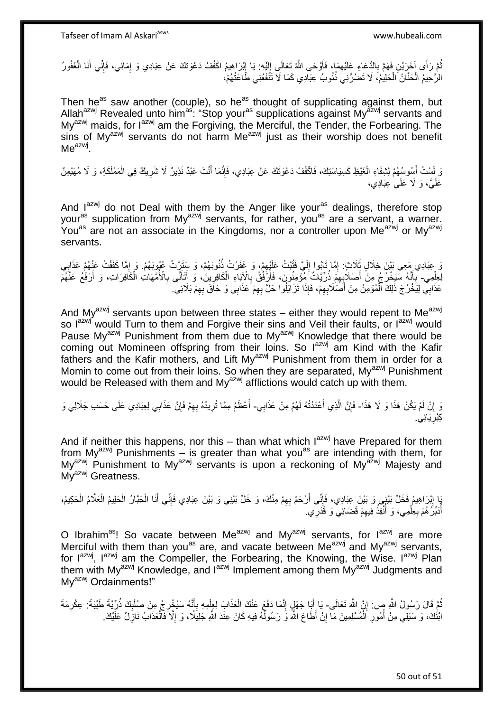نُّمَّ رَأَى آخَرَيْنِ فَهَمَّ بِالدُّعَاءِ عَلَيْهِمَا، فَأَوْحَى اللَّهُ تَعَالَى إِلَيْهِ: يَا إِبْرَاهِيمُ اكْفُفْ دَعْوَتَكَ عَنْ عِبَادِي وَ إِمَائِي، فَإِنِّي أَنَا الْغَفُورُ  $\frac{1}{2}$ لَ ِ َ ِ ِ  $\frac{1}{2}$ ِ ْ الرَّحِيمُ الْحَنَّانُ ۖ الْحَلِيمُ، لَا تَصُرُّنِي ذُنُوبُ عِبَادِي كَمَا لَا تَنَّفَعُنِي طَّاعَتُهُمْ، ْ ْ

Then he<sup>as</sup> saw another (couple), so he<sup>as</sup> thought of supplicating against them, but Allah<sup>azwj</sup> Revealed unto him<sup>as</sup>: "Stop your<sup>as</sup> supplications against My<sup>azwj</sup> servants and My<sup>azwj</sup> maids, for l<sup>azwj</sup> am the Forgiving, the Merciful, the Tender, the Forbearing. The sins of My $a^{2x}$  servants do not harm Me $a^{2x}$  just as their worship does not benefit  $\mathsf{Me}^{\mathsf{azwj}}$ .

وَ لَسْتُ أَسُوسُهُمْ لِثِيفَاءِ الْغَيْظِ كَسِيَاسَتِكَ، فَاكْفُفْ دَعْوَتَكَ عَنْ عِبَادِي، فَإِنَّمَا أَنْتَ عَبْدٌ نَذِيرٌ لَا شَرِيكٌ فِي الْمَمْلَكَةِ، وَ لَا مُهَيْمِنٌ َ ْ ْ **∶** َ ׀ו<br>ِי عَلَيَّ، وَ لَا عَلَىٰ عِبَادِي،

And I<sup>azwj</sup> do not Deal with them by the Anger like your<sup>as</sup> dealings, therefore stop your<sup>as</sup> supplication from My<sup>azwj</sup> servants, for rather, you<sup>as</sup> are a servant, a warner. You<sup>as</sup> are not an associate in the Kingdoms, nor a controller upon Me<sup>azwj</sup> or My<sup>azwj</sup> servants.

نَ عِبَادِي مَعِي بَيْنَ خِلَالٍ ثَلَاثٍ: إِمَّا تَابُوا إِلَيَّ فَتُبْتُ عَلَيْهِمْ، وَ غَفَرْتُ ذُنُوبَهُمْ، وَ سَتَرْتُ عُبُوبَهُمْ. وَ إِمَّا كَفَفْتُ عَنْهُمْ عَذَابِي ِ لَ  $\frac{1}{2}$ ِ **∶** ِ لِعِلْمِي ۖ بِأَنَّهُ سَيَخْرُجُ مِنْ أَصْلاَبِهِمْ ذُرِّيَّاتٌ مُؤْمِنُونَ، فَأَرْفُقُ بِالْإِبَاءِ الْكَافِرِينَ، وَ أَتَأَنَّى بِالْأُمَّهَاتِ الْكَافِرَينَ، وَ أَرْفَعُ عَنْهُمْ ِ َ َ ِ ْ ِ َ ِ َ َ ِ َ عَذَابِي لِيَخْرُجَ ذَلِكَ ٱلْمُؤْمِنُ مِنْ أَصَلْاَبِهِمْ، فَإِذَا تَزَايَلُوا حَلَّ بِهِمْ عَذَابِي وَ حَاقَ بِهِمْ بَلَائِي. ِ ِ ِ َ ْ

And My<sup>azwj</sup> servants upon between three states – either they would repent to Me<sup>azwj</sup> so I<sup>azwj</sup> would Turn to them and Forgive their sins and Veil their faults, or I<sup>azwj</sup> would Pause My<sup>azwj</sup> Punishment from them due to My<sup>azwj</sup> Knowledge that there would be coming out Momineen offspring from their loins. So lazwj am Kind with the Kafir fathers and the Kafir mothers, and Lift My<sup>azwj</sup> Punishment from them in order for a Momin to come out from their loins. So when they are separated, My<sup>azwj</sup> Punishment would be Released with them and My<sup>azwj</sup> afflictions would catch up with them.

وَ إِنْ لَمْ يَكُنْ هَذَا وَ لَا هَذَا- فَإِنَّ الَّذِي أَعْدَدْتُهُ لَهُمْ مِنْ عَذَابِي- أَعْظَمُ مِمَّا تُرِيدُهُ بِهِمْ فَإِنَّ عَذَابِي لِعِبَادِي عَلَى حَسَب جَلَالِي وَ َ ه ِ ِ ِ ِ ِ َ كِبْرِيَائِ*ي*. ِ

And if neither this happens, nor this – than what which  $I^{axmj}$  have Prepared for them from My<sup>azwj</sup> Punishments – is greater than what you<sup>as</sup> are intending with them, for My<sup>azwj</sup> Punishment to My<sup>azwj</sup> servants is upon a reckoning of My<sup>azwj</sup> Majesty and My<sup>azwj</sup> Greatness.

يَا إِبْرَاهِيمُ فَخَلٍّ بَيْنٍي وَ بَيْنَ عِبَادِي، فَإِنِّي أَرْحَمُ بِهِمْ مِنْكَ، وَ خَلِّ بَيْنِي وَ بَيْنَ عِبَادِي فَإِنِّي أَنَا الْجَبَّارُ الْحَلِيمُ الْحَكِيمُ، ِ اُ ِ ِ ْ ْ ْ ْ َ ا∣<br>ِ∘ِ اُدَبِّرُ هُمْ بِعِلْمِي، وَ أُنْفِذُ فِيهِمْ قَضَائِيٌ وَ قَذَرِي ۚ ِ ا<br>أ ْ **∶** ر<br>ا

O Ibrahim<sup>as</sup>! So vacate between Me<sup>azwj</sup> and My<sup>azwj</sup> servants, for l<sup>azwj</sup> are more Merciful with them than you<sup>as</sup> are, and vacate between Me<sup>azwj</sup> and My<sup>azwj</sup> servants, for  $I^{azmj}$ ,  $I^{azmj}$  am the Compeller, the Forbearing, the Knowing, the Wise.  $I^{azmj}$  Plan them with My<sup>azwj</sup> Knowledge, and l<sup>azwj</sup> Implement among them My<sup>azwj</sup> Judgments and My<sup>azwj</sup> Ordainments!"

نُمَّ قَالَ رَسُولُ اللَّهِ صٍ: إِنَّ اللَّهَ تَعَالَى- يَا إِنَبَا جَهْلٍ إِنَّمَا دَفَعَ عَنْكَ الْعَذَابَ لِعِلْمِهِ بِإِنَّهُ سَيُخْرِجُ مِنْ صُلْلِكَ ذُرِّيَّةً طَيِّبَةً: عِكْرِمَةَ ِ ِ ِ ْ ِ َ ِ ْ ْ ِ َ ابْنُكَ، وَ سَيَلِي مِنْ أُمُورِ اَلْمُسْلِمِينَ مَآ إِنْ أَطَاعَ اللَّهَ وَ رَسُولَّهُ فِيهِ كَانَ عِنْدَ اللَّهِ جَلِيَلًا، وَ إِلَّا فَالْعَذَابُ نَازِلٌ عَلَيْكَ. ِ ْ **∶** ِ<br>ا ِ ْ ِ